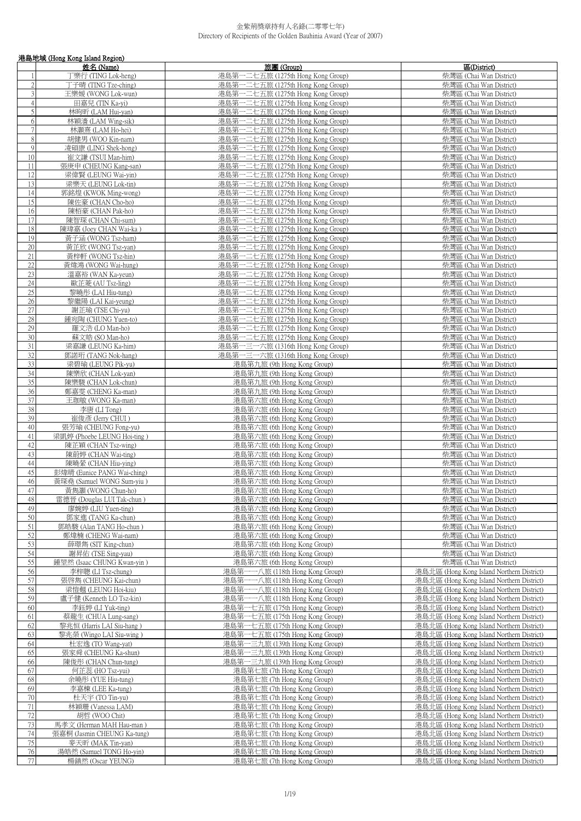|                     | 港島地域 (Hong Kong Island Region)                     |                                                                        |                                                                                        |  |
|---------------------|----------------------------------------------------|------------------------------------------------------------------------|----------------------------------------------------------------------------------------|--|
|                     | 姓名 (Name)                                          | 旅團 (Group)                                                             | 區(District)                                                                            |  |
|                     | 丁樂行 (TING Lok-heng)                                | 港島第一二七五旅 (1275th Hong Kong Group)                                      | 柴灣區 (Chai Wan District)                                                                |  |
| $\overline{2}$      | 丁子晴 (TING Tze-ching)                               | 港島第一二七五旅 (1275th Hong Kong Group)                                      | 柴灣區 (Chai Wan District)                                                                |  |
| 3                   | 王樂媛 (WONG Lok-wun)                                 | 港島第一二七五旅 (1275th Hong Kong Group)                                      | 柴灣區 (Chai Wan District)                                                                |  |
| $\overline{4}$<br>5 | 田嘉兒 (TIN Ka-yi)<br>林昫昕 (LAM Hui-yan)               | 港島第一二七五旅 (1275th Hong Kong Group)<br>港島第一二七五旅 (1275th Hong Kong Group) | 柴灣區 (Chai Wan District)<br>柴灣區 (Chai Wan District)                                     |  |
| 6                   | 林穎濇 (LAM Wing-sik)                                 | 港島第一二七五旅 (1275th Hong Kong Group)                                      | 柴灣區 (Chai Wan District)                                                                |  |
| $\overline{7}$      | 林灝熹 (LAM Ho-hei)                                   | 港島第一二七五旅 (1275th Hong Kong Group)                                      | 柴灣區 (Chai Wan District)                                                                |  |
| 8                   | 胡健男 (WOO Kin-nam)                                  | 港島第一二七五旅 (1275th Hong Kong Group)                                      | 柴灣區 (Chai Wan District)                                                                |  |
| 9                   | 凌碩康 (LING Shek-hong)                               | 港島第一二七五旅 (1275th Hong Kong Group)                                      | 柴灣區 (Chai Wan District)                                                                |  |
| 10                  | 崔文謙 (TSUI Man-him)                                 | 港島第一二七五旅 (1275th Hong Kong Group)                                      | 柴灣區 (Chai Wan District)                                                                |  |
| 11                  | 張庚申 (CHEUNG Kang-san)                              | 港島第一二七五旅 (1275th Hong Kong Group)                                      | 柴灣區 (Chai Wan District)                                                                |  |
| 12                  | 梁偉賢 (LEUNG Wai-yin)                                | 港島第一二七五旅 (1275th Hong Kong Group)                                      | 柴灣區 (Chai Wan District)                                                                |  |
| 13<br>14            | 梁樂天 (LEUNG Lok-tin)<br>郭銘煌 (KWOK Ming-wong)        | 港島第一二七五旅 (1275th Hong Kong Group)<br>港島第一二七五旅 (1275th Hong Kong Group) | 柴灣區 (Chai Wan District)<br>柴灣區 (Chai Wan District)                                     |  |
| 15                  | 陳佐豪 (CHAN Cho-ho)                                  | 港島第一二七五旅 (1275th Hong Kong Group)                                      | 柴灣區 (Chai Wan District)                                                                |  |
| 16                  | 陳栢豪 (CHAN Pak-ho)                                  | 港島第一二七五旅 (1275th Hong Kong Group)                                      | 柴灣區 (Chai Wan District)                                                                |  |
| 17                  | 陳智琛 (CHAN Chi-sum)                                 | 港島第一二七五旅 (1275th Hong Kong Group)                                      | 柴灣區 (Chai Wan District)                                                                |  |
| 18                  | 陳瑋嘉 (Joey CHAN Wai-ka)                             | 港島第一二七五旅 (1275th Hong Kong Group)                                      | 柴灣區 (Chai Wan District)                                                                |  |
| 19                  | 黃子涵 (WONG Tsz-ham)                                 | 港島第一二七五旅 (1275th Hong Kong Group)                                      | 柴灣區 (Chai Wan District)                                                                |  |
| 20                  | 黃芷欣 (WONG Tsz-yan)                                 | 港島第一二七五旅 (1275th Hong Kong Group)                                      | 柴灣區 (Chai Wan District)                                                                |  |
| 21                  | 黃梓軒 (WONG Tsz-hin)                                 | 港島第一二七五旅 (1275th Hong Kong Group)                                      | 柴灣區 (Chai Wan District)                                                                |  |
| 22                  | 黃煒鴻 (WONG Wai-hung)                                | 港島第一二七五旅 (1275th Hong Kong Group)                                      | 柴灣區 (Chai Wan District)                                                                |  |
| 23<br>24            | 溫嘉裕 (WAN Ka-yeun)<br>歐芷菱 (AU Tsz-ling)             | 港島第一二七五旅 (1275th Hong Kong Group)<br>港島第一二七五旅 (1275th Hong Kong Group) | 柴灣區 (Chai Wan District)<br>柴灣區 (Chai Wan District)                                     |  |
| $\overline{25}$     | 黎曉彤 (LAI Hiu-tung)                                 | 港島第一二七五旅 (1275th Hong Kong Group)                                      | 柴灣區 (Chai Wan District)                                                                |  |
| 26                  | 黎繼陽 (LAI Kai-yeung)                                | 港島第一二七五旅 (1275th Hong Kong Group)                                      | 柴灣區 (Chai Wan District)                                                                |  |
| 27                  | 謝芷瑜 (TSE Chi-yu)                                   | 港島第一二七五旅 (1275th Hong Kong Group)                                      | 柴灣區 (Chai Wan District)                                                                |  |
| 28                  | 鍾宛陶 (CHUNG Yuen-to)                                | 港島第一二七五旅 (1275th Hong Kong Group)                                      | 柴灣區 (Chai Wan District)                                                                |  |
| 29                  | 羅文浩 (LO Man-ho)                                    | 港島第一二七五旅 (1275th Hong Kong Group)                                      | 柴灣區 (Chai Wan District)                                                                |  |
| 30                  | 蘇文皓 (SO Man-ho)                                    | 港島第一二七五旅 (1275th Hong Kong Group)                                      | 柴灣區 (Chai Wan District)                                                                |  |
| 31                  | 梁嘉謙 (LEUNG Ka-him)                                 | 港島第一三一六旅 (1316th Hong Kong Group)                                      | 柴灣區 (Chai Wan District)                                                                |  |
| 32<br>33            | 鄧諾珩 (TANG Nok-hang)                                | 港島第一三一六旅 (1316th Hong Kong Group)                                      | 柴灣區 (Chai Wan District)                                                                |  |
| 34                  | 梁碧瑜 (LEUNG Pik-yu)<br>陳樂欣 (CHAN Lok-yan)           | 港島第九旅 (9th Hong Kong Group)<br>港島第九旅 (9th Hong Kong Group)             | 柴灣區 (Chai Wan District)<br>柴灣區 (Chai Wan District)                                     |  |
| $\overline{35}$     | 陳樂駿 (CHAN Lok-chun)                                | 港島第九旅 (9th Hong Kong Group)                                            | 柴灣區 (Chai Wan District)                                                                |  |
| 36                  | 鄭嘉雯 (CHENG Ka-man)                                 | 港島第九旅 (9th Hong Kong Group)                                            | 柴灣區 (Chai Wan District)                                                                |  |
| 37                  | 王珈敏 (WONG Ka-man)                                  | 港島第六旅 (6th Hong Kong Group)                                            | 柴灣區 (Chai Wan District)                                                                |  |
| 38                  | 李唐 (LI Tong)                                       | 港島第六旅 (6th Hong Kong Group)                                            | 柴灣區 (Chai Wan District)                                                                |  |
| 39                  | 崔俊彥 (Jerry CHUI)                                   | 港島第六旅 (6th Hong Kong Group)                                            | 柴灣區 (Chai Wan District)                                                                |  |
| 40                  | 張芳瑜 (CHEUNG Fong-yu)                               | 港島第六旅 (6th Hong Kong Group)                                            | 柴灣區 (Chai Wan District)                                                                |  |
| 41<br>42            | 梁凱婷 (Phoebe LEUNG Hoi-ting)<br>陳芷穎 (CHAN Tsz-wing) | 港島第六旅 (6th Hong Kong Group)<br>港島第六旅 (6th Hong Kong Group)             | 柴灣區 (Chai Wan District)<br>柴灣區 (Chai Wan District)                                     |  |
| 43                  | 陳蔚婷 (CHAN Wai-ting)                                | 港島第六旅 (6th Hong Kong Group)                                            | 柴灣區 (Chai Wan District)                                                                |  |
| 44                  | 陳曉縈 (CHAN Hiu-ying)                                | 港島第六旅 (6th Hong Kong Group)                                            | 柴灣區 (Chai Wan District)                                                                |  |
| 45                  | 彭煒晴 (Eunice PANG Wai-ching)                        | 港島第六旅 (6th Hong Kong Group)                                            | 柴灣區 (Chai Wan District)                                                                |  |
| 46                  | 黃琛堯 (Samuel WONG Sum-yiu)                          | 港島第六旅 (6th Hong Kong Group)                                            | 柴灣區 (Chai Wan District)                                                                |  |
| 47                  | 黃雋灝 (WONG Chun-ho)                                 | 港島第六旅 (6th Hong Kong Group)                                            | 柴灣區 (Chai Wan District)                                                                |  |
| 48                  | 雷德晉 (Douglas LUI Tak-chun)                         | 港島第六旅 (6th Hong Kong Group)                                            | 柴灣區 (Chai Wan District)                                                                |  |
| 49                  | 廖婉婷 (LIU Yuen-ting)                                | 港島第六旅 (6th Hong Kong Group)                                            | 柴灣區 (Chai Wan District)                                                                |  |
| 50<br>51            | 鄧家進 (TANG Ka-chun)<br>鄧皓駿 (Alan TANG Ho-chun )     | 港島第六旅 (6th Hong Kong Group)<br>港島第六旅 (6th Hong Kong Group)             | 柴灣區 (Chai Wan District)<br>柴灣區 (Chai Wan District)                                     |  |
| 52                  | 鄭煒楠 (CHENG Wai-nam)                                | 港島第六旅 (6th Hong Kong Group)                                            | 柴灣區 (Chai Wan District)                                                                |  |
| 53                  | 薛璟雋 (SIT King-chun)                                | 港島第六旅 (6th Hong Kong Group)                                            | 柴灣區 (Chai Wan District)                                                                |  |
| 54                  | 謝昇佑 (TSE Sing-yau)                                 | 港島第六旅 (6th Hong Kong Group)                                            | 柴灣區 (Chai Wan District)                                                                |  |
| $\overline{55}$     | 鍾堃然 (Isaac CHUNG Kwan-yin)                         | 港島第六旅 (6th Hong Kong Group)                                            | 柴灣區 (Chai Wan District)                                                                |  |
| 56                  | 李梓聰 (LI Tsz-chung)                                 | 港島第一一八旅 (118th Hong Kong Group)                                        | 港島北區 (Hong Kong Island Northern District)                                              |  |
| 57                  | 張啓雋 (CHEUNG Kai-chun)                              | 港島第一一八旅 (118th Hong Kong Group)                                        | 港島北區 (Hong Kong Island Northern District)                                              |  |
| 58<br>59            | 梁愷翹 (LEUNG Hoi-kiu)<br>盧子健 (Kenneth LO Tsz-kin)    | 港島第一一八旅 (118th Hong Kong Group)<br>港島第一一八旅 (118th Hong Kong Group)     | 港島北區 (Hong Kong Island Northern District)<br>港島北區 (Hong Kong Island Northern District) |  |
| 60                  | 李鈺婷 (LI Yuk-ting)                                  | 港島第一七五旅 (175th Hong Kong Group)                                        | 港島北區 (Hong Kong Island Northern District)                                              |  |
| 61                  | 蔡龍生 (CHUA Lung-sang)                               | 港島第一七五旅 (175th Hong Kong Group)                                        | 港島北區 (Hong Kong Island Northern District)                                              |  |
| 62                  | 黎兆恒 (Harris LAI Siu-hang)                          | 港島第一七五旅 (175th Hong Kong Group)                                        | 港島北區 (Hong Kong Island Northern District)                                              |  |
| 63                  | 黎兆榮 (Wingo LAI Siu-wing)                           | 港島第一七五旅 (175th Hong Kong Group)                                        | 港島北區 (Hong Kong Island Northern District)                                              |  |
| 64                  | 杜宏逸 (TO Wang-yat)                                  | 港島第一三九旅 (139th Hong Kong Group)                                        | 港島北區 (Hong Kong Island Northern District)                                              |  |
| 65                  | 張家舜 (CHEUNG Ka-shun)                               | 港島第一三九旅 (139th Hong Kong Group)                                        | 港島北區 (Hong Kong Island Northern District)                                              |  |
| 66                  | 陳俊彤 (CHAN Chun-tung)                               | 港島第一三九旅 (139th Hong Kong Group)                                        | 港島北區 (Hong Kong Island Northern District)                                              |  |
| 67<br>68            | 何芷蕊 (HO Tsz-yui)                                   | 港島第七旅 (7th Hong Kong Group)                                            | 港島北區 (Hong Kong Island Northern District)<br>港島北區 (Hong Kong Island Northern District) |  |
| 69                  | 余曉彤 (YUE Hiu-tung)<br>李嘉棟 (LEE Ka-tung)            | 港島第七旅 (7th Hong Kong Group)<br>港島第七旅 (7th Hong Kong Group)             | 港島北區 (Hong Kong Island Northern District)                                              |  |
| $70\,$              | 杜天宇 (TO Tin-yu)                                    | 港島第七旅 (7th Hong Kong Group)                                            | 港島北區 (Hong Kong Island Northern District)                                              |  |
| 71                  | 林穎珊 (Vanessa LAM)                                  | 港島第七旅 (7th Hong Kong Group)                                            | 港島北區 (Hong Kong Island Northern District)                                              |  |
| 72                  | 胡哲 (WOO Chit)                                      | 港島第七旅 (7th Hong Kong Group)                                            | 港島北區 (Hong Kong Island Northern District)                                              |  |
| 73                  | 馬孝文 (Herman MAH Hau-man)                           | 港島第七旅 (7th Hong Kong Group)                                            | 港島北區 (Hong Kong Island Northern District)                                              |  |
| 74                  | 張嘉桐 (Jasmin CHEUNG Ka-tung)                        | 港島第七旅 (7th Hong Kong Group)                                            | 港島北區 (Hong Kong Island Northern District)                                              |  |
| 75                  | 麥天昕 (MAK Tin-yan)                                  | 港島第七旅 (7th Hong Kong Group)                                            | 港島北區 (Hong Kong Island Northern District)                                              |  |
| 76<br>77            | 湯皓然 (Samuel TONG Ho-yin)<br>楊鎮然 (Oscar YEUNG)      | 港島第七旅 (7th Hong Kong Group)<br>港島第七旅 (7th Hong Kong Group)             | 港島北區 (Hong Kong Island Northern District)<br>港島北區 (Hong Kong Island Northern District) |  |
|                     |                                                    |                                                                        |                                                                                        |  |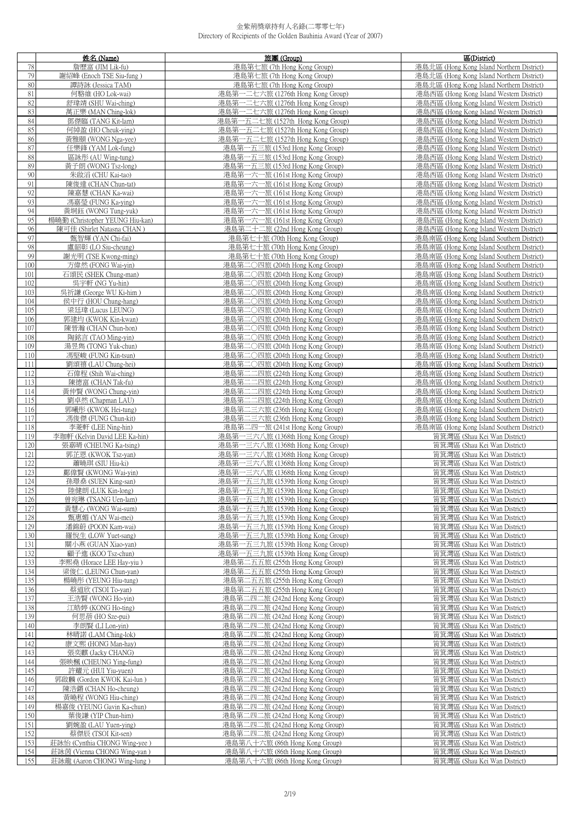|            | 姓名 (Name)                       | 旅團 (Group)                        | 區(District)                               |
|------------|---------------------------------|-----------------------------------|-------------------------------------------|
| 78         | 詹歷富 (JIM Lik-fu)                | 港島第七旅 (7th Hong Kong Group)       | 港島北區 (Hong Kong Island Northern District) |
| 79         | 謝紹峰 (Enoch TSE Siu-fung)        | 港島第七旅 (7th Hong Kong Group)       | 港島北區 (Hong Kong Island Northern District) |
| 80         | 譚詩詠 (Jessica TAM)               | 港島第七旅 (7th Hong Kong Group)       | 港島北區 (Hong Kong Island Northern District) |
| 81         | 何駱維 (HO Lok-wai)                | 港島第一二七六旅 (1276th Hong Kong Group) | 港島西區 (Hong Kong Island Western District)  |
| 82         | 舒瑋靖 (SHU Wai-ching)             | 港島第一二七六旅 (1276th Hong Kong Group) | 港島西區 (Hong Kong Island Western District)  |
| 83         | 萬正樂 (MAN Ching-lok)             | 港島第一二七六旅 (1276th Hong Kong Group) | 港島西區 (Hong Kong Island Western District)  |
| 84         | 鄧傑臨 (TANG Kit-lam)              | 港島第一五二七旅 (1527th Hong Kong Group) | 港島西區 (Hong Kong Island Western District)  |
| 85         |                                 | 港島第一五二七旅 (1527th Hong Kong Group) | 港島西區 (Hong Kong Island Western District)  |
| 86         | 何綽盈 (HO Cheuk-ying)             |                                   |                                           |
|            | 黃雅頤 (WONG Nga-yee)              | 港島第一五二七旅 (1527th Hong Kong Group) | 港島西區 (Hong Kong Island Western District)  |
| 87         | 任樂鋒 (YAM Lok-fung)              | 港島第一五三旅 (153rd Hong Kong Group)   | 港島西區 (Hong Kong Island Western District)  |
| 88         | 區詠彤 (AU Wing-tung)              | 港島第一五三旅 (153rd Hong Kong Group)   | 港島西區 (Hong Kong Island Western District)  |
| 89         | 黃子朗 (WONG Tsz-long)             | 港島第一五三旅 (153rd Hong Kong Group)   | 港島西區 (Hong Kong Island Western District)  |
| 90         | 朱啟滔 (CHU Kai-tao)               | 港島第一六一旅 (161st Hong Kong Group)   | 港島西區 (Hong Kong Island Western District)  |
| 91         | 陳俊達 (CHAN Chun-tat)             | 港島第一六一旅 (161st Hong Kong Group)   | 港島西區 (Hong Kong Island Western District)  |
| 92         | 陳嘉慧 (CHAN Ka-wai)               | 港島第一六一旅 (161st Hong Kong Group)   | 港島西區 (Hong Kong Island Western District)  |
| 93         | 馮嘉瑩 (FUNG Ka-ying)              | 港島第一六一旅 (161st Hong Kong Group)   | 港島西區 (Hong Kong Island Western District)  |
| 94         | 黃垌鈺 (WONG Tung-yuk)             | 港島第一六一旅 (161st Hong Kong Group)   | 港島西區 (Hong Kong Island Western District)  |
| 95         | 楊曉勤 (Christopher YEUNG Hiu-kan) | 港島第一六一旅 (161st Hong Kong Group)   | 港島西區 (Hong Kong Island Western District)  |
| 96         | 陳可佳 (Shirlet Natasna CHAN)      | 港島第二十二旅 (22nd Hong Kong Group)    | 港島西區 (Hong Kong Island Western District)  |
| 97         | 甄智輝 (YAN Chi-fai)               | 港島第七十旅 (70th Hong Kong Group)     | 港島南區 (Hong Kong Island Southern District) |
| 98         | 盧韶彰 (LO Siu-cheung)             | 港島第七十旅 (70th Hong Kong Group)     | 港島南區 (Hong Kong Island Southern District) |
| 99         | 謝光明 (TSE Kwong-ming)            | 港島第七十旅 (70th Hong Kong Group)     | 港島南區 (Hong Kong Island Southern District) |
| 100        | 方偉然 (FONG Wai-vin)              | 港島第二〇四旅 (204th Hong Kong Group)   | 港島南區 (Hong Kong Island Southern District) |
| 101        | 石頌民 (SHEK Chung-man)            | 港島第二〇四旅 (204th Hong Kong Group)   | 港島南區 (Hong Kong Island Southern District) |
| 102        | 吳宇軒 (NG Yu-hin)                 | 港島第二〇四旅 (204th Hong Kong Group)   | 港島南區 (Hong Kong Island Southern District) |
| 103        | 吳祈謙 (George WU Ki-him)          | 港島第二〇四旅 (204th Hong Kong Group)   | 港島南區 (Hong Kong Island Southern District) |
| 104        | 侯中行 (HOU Chung-hang)            | 港島第二〇四旅 (204th Hong Kong Group)   | 港島南區 (Hong Kong Island Southern District) |
| 105        | 梁廷瑋 (Lucus LEUNG)               | 港島第二○四旅 (204th Hong Kong Group)   | 港島南區 (Hong Kong Island Southern District) |
| 106        | 郭建均 (KWOK Kin-kwan)             | 港島第二〇四旅 (204th Hong Kong Group)   | 港島南區 (Hong Kong Island Southern District) |
| 107        | 陳晉瀚 (CHAN Chun-hon)             | 港島第二○四旅 (204th Hong Kong Group)   | 港島南區 (Hong Kong Island Southern District) |
| 108        | 陶銘言 (TAO Ming-yin)              | 港島第二〇四旅 (204th Hong Kong Group)   | 港島南區 (Hong Kong Island Southern District) |
| 109        | 湯昱雋 (TONG Yuk-chun)             | 港島第二○四旅 (204th Hong Kong Group)   | 港島南區 (Hong Kong Island Southern District) |
| 110        | 馮堅峻 (FUNG Kin-tsun)             | 港島第二〇四旅 (204th Hong Kong Group)   | 港島南區 (Hong Kong Island Southern District) |
| 111        | 劉頌禧 (LAU Chung-hei)             | 港島第二〇四旅 (204th Hong Kong Group)   | 港島南區 (Hong Kong Island Southern District) |
| 112        | 石偉程 (Shih Wai-ching)            | 港島第二二四旅 (224th Hong Kong Group)   | 港島南區 (Hong Kong Island Southern District) |
| 113        | 陳德富 (CHAN Tak-fu)               | 港島第二二四旅 (224th Hong Kong Group)   | 港島南區 (Hong Kong Island Southern District) |
|            |                                 | 港島第二二四旅 (224th Hong Kong Group)   |                                           |
| 114<br>115 | 黃仲賢 (WONG Chung-yin)            |                                   | 港島南區 (Hong Kong Island Southern District) |
|            | 劉卓然 (Chapman LAU)               | 港島第二二四旅 (224th Hong Kong Group)   | 港島南區 (Hong Kong Island Southern District) |
| 116        | 郭曦彤 (KWOK Hei-tung)             | 港島第二三六旅 (236th Hong Kong Group)   | 港島南區 (Hong Kong Island Southern District) |
| 117        | 馮俊傑 (FUNG Chun-kit)             | 港島第二三六旅 (236th Hong Kong Group)   | 港島南區 (Hong Kong Island Southern District) |
| 118        | 李菱軒 (LEE Ning-hin)              | 港島第二四一旅 (241st Hong Kong Group)   | 港島南區 (Hong Kong Island Southern District) |
| 119        | 李珈軒 (Kelvin David LEE Ka-hin)   | 港島第一三六八旅 (1368th Hong Kong Group) | 筲箕灣區 (Shau Kei Wan District)              |
| 120        | 張嘉晴 (CHEUNG Ka-tsing)           | 港島第一三六八旅 (1368th Hong Kong Group) | 筲箕灣區 (Shau Kei Wan District)              |
| 121        | 郭芷恩 (KWOK Tsz-yan)              | 港島第一三六八旅 (1368th Hong Kong Group) | 筲箕灣區 (Shau Kei Wan District)              |
| 122        | 蕭曉琪 (SIU Hiu-ki)                | 港島第一三六八旅 (1368th Hong Kong Group) | 筲箕灣區 (Shau Kei Wan District)              |
| 123        | 鄺偉賢 (KWONG Wai-yin)             | 港島第一三六八旅 (1368th Hong Kong Group) | 筲箕灣區 (Shau Kei Wan District)              |
| 124        | 孫璟燊 (SUEN King-san)             | 港島第一五三九旅 (1539th Hong Kong Group) | 筲箕灣區 (Shau Kei Wan District)              |
| 125        | 陸健朗 (LUK Kin-long)              | 港島第一五三九旅 (1539th Hong Kong Group) | 筲箕灣區 (Shau Kei Wan District)              |
| 126        | 曾宛琳 (TSANG Uen-lam)             | 港島第一五三九旅 (1539th Hong Kong Group) | 筲箕灣區 (Shau Kei Wan District)              |
| 127        | 黃慧心 (WONG Wai-sum)              | 港島第一五三九旅 (1539th Hong Kong Group) | 筲箕灣區 (Shau Kei Wan District)              |
| 128        | 甄惠媚 (YAN Wai-mei)               | 港島第一五三九旅 (1539th Hong Kong Group) | 筲箕灣區 (Shau Kei Wan District)              |
| 129        | 潘錦蔚 (POON Kam-wai)              | 港島第一五三九旅 (1539th Hong Kong Group) | 筲箕灣區 (Shau Kei Wan District)              |
| 130        | 羅悅生 (LOW Yuet-sang)             | 港島第一五三九旅 (1539th Hong Kong Group) | 筲箕灣區 (Shau Kei Wan District)              |
| 131        | 關小燕 (GUAN Xiao-yan)             | 港島第一五三九旅 (1539th Hong Kong Group) | 筲箕灣區 (Shau Kei Wan District)              |
| 132        | 顧子進 (KOO Tsz-chun)              | 港島第一五三九旅 (1539th Hong Kong Group) | 筲箕灣區 (Shau Kei Wan District)              |
| 133        | 李熙堯 (Horace LEE Hay-yiu)        | 港島第二五五旅 (255th Hong Kong Group)   | 筲箕灣區 (Shau Kei Wan District)              |
| 134        | 梁俊仁 (LEUNG Chun-yan)            | 港島第二五五旅 (255th Hong Kong Group)   | 筲箕灣區 (Shau Kei Wan District)              |
| 135        | 楊曉彤 (YEUNG Hiu-tung)            | 港島第二五五旅 (255th Hong Kong Group)   | 筲箕灣區 (Shau Kei Wan District)              |
| 136        | 蔡道欣 (TSOI To-yan)               | 港島第二五五旅 (255th Hong Kong Group)   | 筲箕灣區 (Shau Kei Wan District)              |
| 137        | 王浩賢 (WONG Ho-yin)               | 港島第二四二旅 (242nd Hong Kong Group)   | 筲箕灣區 (Shau Kei Wan District)              |
| 138        | 江皓婷 (KONG Ho-ting)              | 港島第二四二旅 (242nd Hong Kong Group)   | 筲箕灣區 (Shau Kei Wan District)              |
| 139        | 何思蓓 (HO Sze-pui)                | 港島第二四二旅 (242nd Hong Kong Group)   | 筲箕灣區 (Shau Kei Wan District)              |
| 140        | 李朗賢 (LI Lon-yin)                | 港島第二四二旅 (242nd Hong Kong Group)   | 筲箕灣區 (Shau Kei Wan District)              |
| 141        | 林晴諾 (LAM Ching-lok)             | 港島第二四二旅 (242nd Hong Kong Group)   | 筲箕灣區 (Shau Kei Wan District)              |
| 142        | 康文熙 (HONG Man-hay)              | 港島第二四二旅 (242nd Hong Kong Group)   | 筲箕灣區 (Shau Kei Wan District)              |
| 143        | 張奕麒 (Jacky CHANG)               | 港島第二四二旅 (242nd Hong Kong Group)   | 筲箕灣區 (Shau Kei Wan District)              |
| 144        | 張映楓 (CHEUNG Ying-fung)          | 港島第二四二旅 (242nd Hong Kong Group)   | 筲箕灣區 (Shau Kei Wan District)              |
| 145        | 許耀元 (HUI Yiu-yuen)              | 港島第二四二旅 (242nd Hong Kong Group)   | 筲箕灣區 (Shau Kei Wan District)              |
| 146        | 郭啟麟 (Gordon KWOK Kai-lun)       | 港島第二四二旅 (242nd Hong Kong Group)   | 筲箕灣區 (Shau Kei Wan District)              |
| 147        | 陳浩鏘 (CHAN Ho-cheung)            | 港島第二四二旅 (242nd Hong Kong Group)   | 筲箕灣區 (Shau Kei Wan District)              |
| 148        | 黃曉程 (WONG Hiu-ching)            | 港島第二四二旅 (242nd Hong Kong Group)   | 筲箕灣區 (Shau Kei Wan District)              |
| 149        | 楊嘉俊 (YEUNG Gavin Ka-chun)       | 港島第二四二旅 (242nd Hong Kong Group)   | 筲箕灣區 (Shau Kei Wan District)              |
| 150        | 葉俊謙 (YIP Chun-him)              | 港島第二四二旅 (242nd Hong Kong Group)   | 筲箕灣區 (Shau Kei Wan District)              |
| 151        | 劉婉盈 (LAU Yuen-ying)             | 港島第二四二旅 (242nd Hong Kong Group)   | 筲箕灣區 (Shau Kei Wan District)              |
| 152        | 蔡傑辰 (TSOI Kit-sen)              | 港島第二四二旅 (242nd Hong Kong Group)   | 筲箕灣區 (Shau Kei Wan District)              |
| 153        | 莊詠怡 (Cynthia CHONG Wing-yee)    | 港島第八十六旅 (86th Hong Kong Group)    | 筲箕灣區 (Shau Kei Wan District)              |
| 154        | 莊詠茵 (Vienna CHONG Wing-yan)     | 港島第八十六旅 (86th Hong Kong Group)    | 筲箕灣區 (Shau Kei Wan District)              |
| 155        | 莊詠龍 (Aaron CHONG Wing-lung)     | 港島第八十六旅 (86th Hong Kong Group)    | 筲箕灣區 (Shau Kei Wan District)              |
|            |                                 |                                   |                                           |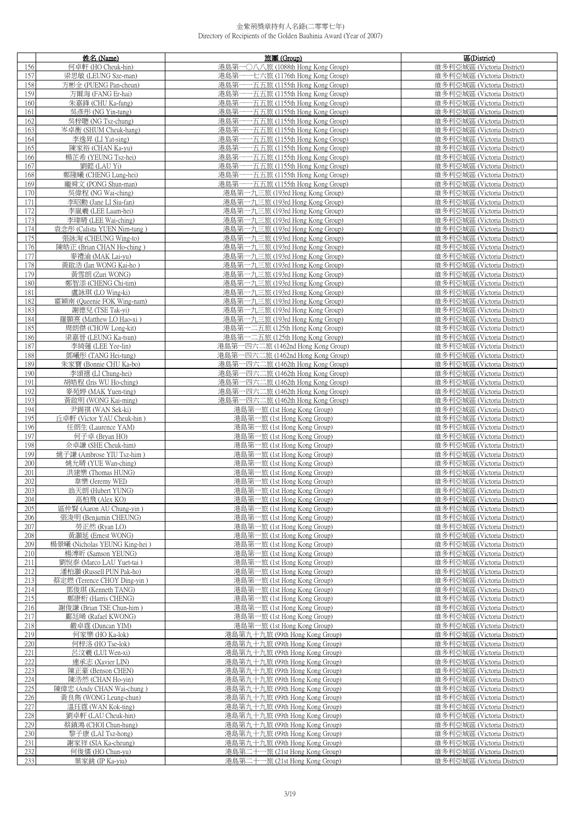|            | 姓名 (Name)                                      | 旅團(Group)                                                                  | 區(District)                                              |
|------------|------------------------------------------------|----------------------------------------------------------------------------|----------------------------------------------------------|
| 156        | 何卓軒 (HO Cheuk-hin)                             | 港島第-<br>- O八八旅 (1088th Hong Kong Group)                                    | 維多利亞城區 (Victoria District)                               |
| 157        | 梁思敏 (LEUNG Sze-man)                            | 一七六旅 (1176th Hong Kong Group)<br>港島第                                       | 維多利亞城區 (Victoria District)                               |
| 158        | 方彬全 (PUENG Pan-cheun)                          | 港島第<br>一五五旅 (1155th Hong Kong Group)                                       | 維多利亞城區 (Victoria District)                               |
| 159        | 方爾海 (FANG Er-hai)                              | 港島第<br>-五五旅 (1155th Hong Kong Group)                                       | 維多利亞城區 (Victoria District)                               |
| 160        | 朱嘉鋒 (CHU Ka-fung)                              | 港島第-<br>一五五旅 (1155th Hong Kong Group)                                      | 維多利亞城區 (Victoria District)                               |
| 161        | 吳彥彤 (NG Yin-tung)                              | --- 五五旅 (1155th Hong Kong Group)<br>港島第                                    | 維多利亞城區 (Victoria District)                               |
| 162        | 吳梓聰 (NG Tsz-chung)                             | 港島第<br>一五五旅 (1155th Hong Kong Group)                                       | 維多利亞城區 (Victoria District)                               |
| 163        | 岑卓衡 (SHUM Cheuk-hang)                          | 港島第-<br>-五五旅 (1155th Hong Kong Group)                                      | 維多利亞城區 (Victoria District)                               |
| 164        | 李逸昇 (LI Yat-sing)                              | 港島第<br>一五五旅 (1155th Hong Kong Group)                                       | 維多利亞城區 (Victoria District)                               |
| 165        | 陳家裕 (CHAN Ka-yu)                               | 港島第-<br>---五五旅 (1155th Hong Kong Group)                                    | 維多利亞城區 (Victoria District)                               |
| 166        | 楊芷希 (YEUNG Tsz-hei)                            | 港島第一<br>-五五旅 (1155th Hong Kong Group)<br>港島第-                              | 維多利亞城區 (Victoria District)<br>維多利亞城區 (Victoria District) |
| 167<br>168 | 劉懿 (LAU Yi)<br>鄭隆曦 (CHENG Lung-hei)            | ---五五旅 (1155th Hong Kong Group)<br>港島第-<br>---五五旅 (1155th Hong Kong Group) | 維多利亞城區 (Victoria District)                               |
| 169        | 龐舜文 (PONG Shun-man)                            | 港島第一一五五旅 (1155th Hong Kong Group)                                          | 維多利亞城區 (Victoria District)                               |
| 170        | 吳偉程 (NG Wai-ching)                             | 港島第一九三旅 (193rd Hong Kong Group)                                            | 維多利亞城區 (Victoria District)                               |
| 171        | 李昭勳 (Jane LI Siu-fan)                          | 港島第一九三旅 (193rd Hong Kong Group)                                            | 維多利亞城區 (Victoria District)                               |
| 172        | 李嵐羲 (LEE Laam-hei)                             | 港島第一九三旅 (193rd Hong Kong Group)                                            | 維多利亞城區 (Victoria District)                               |
| 173        | 李瑋晴 (LEE Wai-ching)                            | 港島第一九三旅 (193rd Hong Kong Group)                                            | 維多利亞城區 (Victoria District)                               |
| 174        | 袁念彤 (Calista YUEN Nim-tung)                    | 港島第一九三旅 (193rd Hong Kong Group)                                            | 維多利亞城區 (Victoria District)                               |
| 175        | 張詠淘 (CHEUNG Wing-to)                           | 港島第一九三旅 (193rd Hong Kong Group)                                            | 維多利亞城區 (Victoria District)                               |
| 176        | 陳皓正 (Brian CHAN Ho-ching)                      | 港島第一九三旅 (193rd Hong Kong Group)                                            | 維多利亞城區 (Victoria District)                               |
| 177        | 麥禮渝 (MAK Lai-yu)                               | 港島第一九三旅 (193rd Hong Kong Group)                                            | 維多利亞城區 (Victoria District)                               |
| 178        | 黃啟浩 (Ian WONG Kai-ho)                          | 港島第一九三旅 (193rd Hong Kong Group)                                            | 維多利亞城區 (Victoria District)                               |
| 179        | 黃雪朗 (Zuri WONG)                                | 港島第一九三旅 (193rd Hong Kong Group)                                            | 維多利亞城區 (Victoria District)                               |
| 180        | 鄭智添 (CHENG Chi-tim)                            | 港島第一九三旅 (193rd Hong Kong Group)                                            | 維多利亞城區 (Victoria District)                               |
| 181        | 盧詠琪 (LO Wing-ki)                               | 港島第一九三旅 (193rd Hong Kong Group)                                            | 維多利亞城區 (Victoria District)                               |
| 182        | 霍穎南 (Queenie FOK Wing-nam)                     | 港島第一九三旅 (193rd Hong Kong Group)                                            | 維多利亞城區 (Victoria District)                               |
| 183        | 謝德兒 (TSE Tak-vi)                               | 港島第一九三旅 (193rd Hong Kong Group)                                            | 維多利亞城區 (Victoria District)                               |
| 184        | 羅顥熹 (Matthew LO Hao-xi)                        | 港島第一九三旅 (193rd Hong Kong Group)                                            | 維多利亞城區 (Victoria District)                               |
| 185        | 周朗傑 (CHOW Long-kit)<br>梁嘉晉 (LEUNG Ka-tsun)     | 港島第一二五旅 (125th Hong Kong Group)<br>港島第一二五旅 (125th Hong Kong Group)         | 維多利亞城區 (Victoria District)<br>維多利亞城區 (Victoria District) |
| 186<br>187 | 李綺蓮 (LEE Yee-lin)                              | 港島第一四六二旅 (1462nd Hong Kong Group)                                          | 維多利亞城區 (Victoria District)                               |
| 188        | 鄧曦彤 (TANG Hei-tung)                            | 港島第一四六二旅 (1462nd Hong Kong Group)                                          | 維多利亞城區 (Victoria District)                               |
| 189        | 朱家寶 (Bonnie CHU Ka-bo)                         | 港島第一四六二旅 (1462th Hong Kong Group)                                          | 維多利亞城區 (Victoria District)                               |
| 190        | 李頌禧 (LI Chung-hei)                             | 港島第一四六二旅 (1462th Hong Kong Group)                                          | 維多利亞城區 (Victoria District)                               |
| 191        | 胡皓程 (Iris WU Ho-ching)                         | 港島第一四六二旅 (1462th Hong Kong Group)                                          | 維多利亞城區 (Victoria District)                               |
| 192        | 麥苑婷 (MAK Yuen-ting)                            | 港島第一四六二旅 (1462th Hong Kong Group)                                          | 維多利亞城區 (Victoria District)                               |
| 193        | 黃啟明 (WONG Kai-ming)                            | 港島第一四六二旅 (1462th Hong Kong Group)                                          | 維多利亞城區 (Victoria District)                               |
| 194        | 尹錫祺 (WAN Sek-ki)                               | 港島第一旅 (1st Hong Kong Group)                                                | 維多利亞城區 (Victoria District)                               |
| 195        | 丘卓軒 (Victor YAU Cheuk-hin)                     | 港島第一旅 (1st Hong Kong Group)                                                | 維多利亞城區 (Victoria District)                               |
| 196        | 任朗生 (Laurence YAM)                             | 港島第一旅 (1st Hong Kong Group)                                                | 維多利亞城區 (Victoria District)                               |
| 197        | 何子卓 (Bryan HO)                                 | 港島第一旅 (1st Hong Kong Group)                                                | 維多利亞城區 (Victoria District)                               |
| 198        | 佘卓謙 (SHE Cheuk-him)                            | 港島第一旅 (1st Hong Kong Group)                                                | 維多利亞城區 (Victoria District)                               |
| 199        | 姚子謙 (Ambrose YIU Tsz-him)                      | 港島第一旅 (1st Hong Kong Group)                                                | 維多利亞城區 (Victoria District)                               |
| 200        | 姚允晴 (YUE Wan-ching)                            | 港島第一旅 (1st Hong Kong Group)                                                | 維多利亞城區 (Victoria District)                               |
| 201        | 洪建樂 (Thomas HUNG)                              | 港島第一旅 (1st Hong Kong Group)                                                | 維多利亞城區 (Victoria District)                               |
| 202        | 韋樂 (Jeremy WEI)                                | 港島第一旅 (1st Hong Kong Group)                                                | 維多利亞城區 (Victoria District)                               |
| 203<br>204 | 翁大明 (Hubert YUNG)<br>高柏飛 (Alex KO)             | 港島第一旅 (Ist Hong Kong Group)                                                | 維多利亞城區 (Victoria District)<br>維多利亞城區 (Victoria District) |
| 205        | 區仲賢 (Aaron AU Chung-yin)                       | 港島第一旅 (1st Hong Kong Group)<br>港島第一旅 (1st Hong Kong Group)                 | 維多利亞城區 (Victoria District)                               |
| 206        | 張浚明 (Benjamin CHEUNG)                          | 港島第一旅 (1st Hong Kong Group)                                                | 維多利亞城區 (Victoria District)                               |
| 207        | 勞正然 (Ryan LO)                                  | 港島第一旅 (1st Hong Kong Group)                                                | 維多利亞城區 (Victoria District)                               |
| 208        | 黃灝延 (Ernest WONG)                              | 港島第一旅 (1st Hong Kong Group)                                                | 維多利亞城區 (Victoria District)                               |
| 209        | 楊景曦 (Nicholas YEUNG King-hei)                  | 港島第一旅 (1st Hong Kong Group)                                                | 維多利亞城區 (Victoria District)                               |
| 210        | 楊溥昕 (Samson YEUNG)                             | 港島第一旅 (1st Hong Kong Group)                                                | 維多利亞城區 (Victoria District)                               |
| 211        | 劉悅泰 (Marco LAU Yuet-tai)                       | 港島第一旅 (1st Hong Kong Group)                                                | 維多利亞城區 (Victoria District)                               |
| 212        | 潘柏灝 (Russell PUN Pak-ho)                       | 港島第一旅 (1st Hong Kong Group)                                                | 維多利亞城區 (Victoria District)                               |
| 213        | 蔡定燃 (Terence CHOY Ding-yin)                    | 港島第一旅 (1st Hong Kong Group)                                                | 維多利亞城區 (Victoria District)                               |
| 214        | 鄧俊琪 (Kenneth TANG)                             | 港島第一旅 (1st Hong Kong Group)                                                | 維多利亞城區 (Victoria District)                               |
| 215        | 鄭康桁 (Harris CHENG)<br>謝俊謙 (Brian TSE Chun-him) | 港島第一旅 (1st Hong Kong Group)                                                | 維多利亞城區 (Victoria District)<br>維多利亞城區 (Victoria District) |
| 216        |                                                | 港島第一旅 (1st Hong Kong Group)                                                |                                                          |
| 217<br>218 | 鄺廷晞 (Rafael KWONG)<br>嚴卓霆 (Duncan YIM)         | 港島第一旅 (1st Hong Kong Group)<br>港島第一旅 (1st Hong Kong Group)                 | 維多利亞城區 (Victoria District)<br>維多利亞城區 (Victoria District) |
| 219        | 何家樂 (HO Ka-lok)                                | 港島第九十九旅 (99th Hong Kong Group)                                             | 維多利亞城區 (Victoria District)                               |
| 220        | 何梓洛 (HO Tse-lok)                               | 港島第九十九旅 (99th Hong Kong Group)                                             | 維多利亞城區 (Victoria District)                               |
| 221        | 呂汶羲 (LUI Wen-xi)                               | 港島第九十九旅 (99th Hong Kong Group)                                             | 維多利亞城區 (Victoria District)                               |
| 222        | 連承志 (Xavier LIN)                               | 港島第九十九旅 (99th Hong Kong Group)                                             | 維多利亞城區 (Victoria District)                               |
| 223        | 陳正豪 (Benson CHEN)                              | 港島第九十九旅 (99th Hong Kong Group)                                             | 維多利亞城區 (Victoria District)                               |
| 224        | 陳浩然 (CHAN Ho-yin)                              | 港島第九十九旅 (99th Hong Kong Group)                                             | 維多利亞城區 (Victoria District)                               |
| 225        | 陳偉忠 (Andy CHAN Wai-chung)                      | 港島第九十九旅 (99th Hong Kong Group)                                             | 維多利亞城區 (Victoria District)                               |
| 226        | 黃良雋 (WONG Leung-chun)                          | 港島第九十九旅 (99th Hong Kong Group)                                             | 維多利亞城區 (Victoria District)                               |
| 227        | 溫珏霆 (WAN Kok-ting)                             | 港島第九十九旅 (99th Hong Kong Group)                                             | 維多利亞城區 (Victoria District)                               |
| 228        | 劉卓軒 (LAU Cheuk-hin)                            | 港島第九十九旅 (99th Hong Kong Group)                                             | 維多利亞城區 (Victoria District)                               |
| 229        | 蔡鎮鴻 (CHOI Chun-hung)                           | 港島第九十九旅 (99th Hong Kong Group)                                             | 維多利亞城區 (Victoria District)                               |
| 230        | 黎子康 (LAI Tsz-hong)                             | 港島第九十九旅 (99th Hong Kong Group)                                             | 維多利亞城區 (Victoria District)                               |
| 231        | 謝家祥 (SIA Ka-cheung)                            | 港島第九十九旅 (99th Hong Kong Group)                                             | 維多利亞城區 (Victoria District)                               |
| 232<br>233 | 何俊儒 (HO Chun-yu)<br>葉家銚 (IP Ka-yiu)            | 港島第二十一旅 (21st Hong Kong Group)<br>港島第二十一旅 (21st Hong Kong Group)           | 維多利亞城區 (Victoria District)<br>維多利亞城區 (Victoria District) |
|            |                                                |                                                                            |                                                          |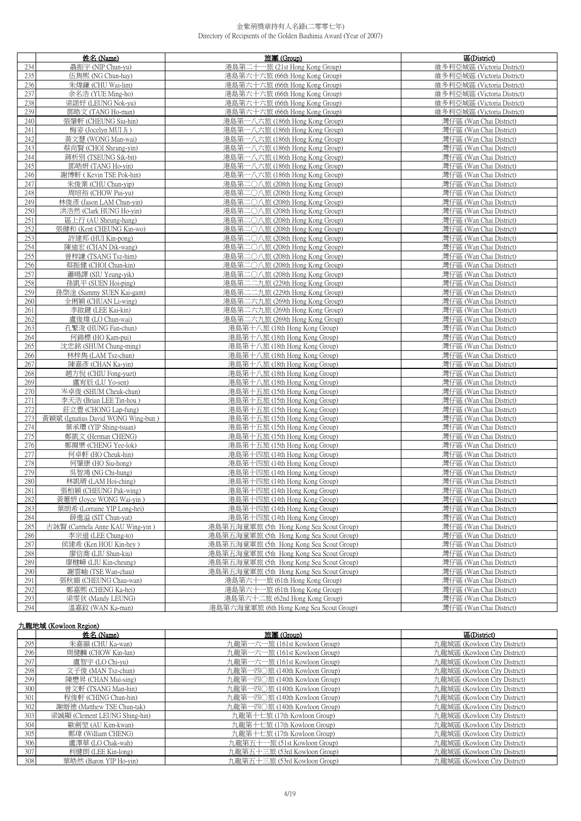|            | 姓名 (Name)                                                  | 旅團 (Group)                                                     | 區(District)                                        |
|------------|------------------------------------------------------------|----------------------------------------------------------------|----------------------------------------------------|
| 234        | 聶振宇 (NIP Chun-yu)                                          | 港島第二十一旅 (21st Hong Kong Group)                                 | 維多利亞城區 (Victoria District)                         |
| 235        | 伍雋熙 (NG Chun-hay)                                          | 港島第六十六旅 (66th Hong Kong Group)                                 | 維多利亞城區 (Victoria District)                         |
| 236        | 朱煒鎌 (CHU Wai-lim)                                          | 港島第六十六旅 (66th Hong Kong Group)                                 | 維多利亞城區 (Victoria District)                         |
| 237        | 余名浩 (YUE Ming-ho)                                          | 港島第六十六旅 (66th Hong Kong Group)                                 | 維多利亞城區 (Victoria District)                         |
| 238        | 梁諾妤 (LEUNG Nok-yu)                                         | 港島第六十六旅 (66th Hong Kong Group)                                 | 維多利亞城區 (Victoria District)                         |
| 239        | 鄧皓文 (TANG Ho-man)                                          | 港島第六十六旅 (66th Hong Kong Group)                                 | 維多利亞城區 (Victoria District)                         |
| 240        | 張肇軒 (CHEUNG Siu-hin)                                       | 港島第一八六旅 (186th Hong Kong Group)                                | 灣仔區 (Wan Chai District)                            |
| 241        | 梅姿 (Jocelyn MUI Ji)                                        | 港島第一八六旅 (186th Hong Kong Group)                                | 灣仔區 (Wan Chai District)                            |
| 242        | 黃文慧 (WONG Man-wai)                                         | 港島第一八六旅 (186th Hong Kong Group)                                | 灣仔區 (Wan Chai District)                            |
| 243        | 蔡尚賢 (CHOI Sheung-yin)                                      | 港島第一八六旅 (186th Hong Kong Group)                                | 灣仔區 (Wan Chai District)                            |
| 244        | 蔣析別 (TSEUNG Sik-bit)                                       | 港島第一八六旅 (186th Hong Kong Group)                                | 灣仔區 (Wan Chai District)                            |
| 245        | 鄧皓妍 (TANG Ho-yin)                                          | 港島第一八六旅 (186th Hong Kong Group)                                | 灣仔區 (Wan Chai District)                            |
| 246        | 謝博軒 ( Kevin TSE Pok-hin)                                   | 港島第一八六旅 (186th Hong Kong Group)                                | 灣仔區 (Wan Chai District)                            |
| 247        | 朱俊業 (CHU Chun-yip)                                         | 港島第二〇八旅 (208th Hong Kong Group)                                | 灣仔區 (Wan Chai District)                            |
| 248        | 周培裕 (CHOW Pui-yu)                                          | 港島第二〇八旅 (208th Hong Kong Group)                                | 灣仔區 (Wan Chai District)                            |
| 249        | 林俊彥 (Jason LAM Chun-yin)                                   | 港島第二〇八旅 (208th Hong Kong Group)                                | 灣仔區 (Wan Chai District)                            |
| 250        | 洪浩然 (Clark HUNG Ho-yin)                                    | 港島第二〇八旅 (208th Hong Kong Group)                                | 灣仔區 (Wan Chai District)                            |
| 251        | 區上行 (AU Sheung-hang)                                       | 港島第二〇八旅 (208th Hong Kong Group)                                | 灣仔區 (Wan Chai District)                            |
| 252        | 張健和 (Kent CHEUNG Kin-wo)                                   | 港島第二〇八旅 (208th Hong Kong Group)                                | 灣仔區 (Wan Chai District)                            |
| 253        | 許建邦 (HUI Kin-pong)                                         | 港島第二〇八旅 (208th Hong Kong Group)                                | 灣仔區 (Wan Chai District)                            |
| 254        | 陳迪宏 (CHAN Dik-wang)                                        | 港島第二〇八旅 (208th Hong Kong Group)                                | 灣仔區 (Wan Chai District)                            |
| 255        | 曾梓謙 (TSANG Tsz-him)                                        | 港島第二〇八旅 (208th Hong Kong Group)                                | 灣仔區 (Wan Chai District)                            |
| 256        | 蔡振健 (CHOI Chun-kin)                                        | 港島第二〇八旅 (208th Hong Kong Group)                                | 灣仔區 (Wan Chai District)                            |
| 257        | 蕭暘譯 (SIU Yeung-yik)                                        | 港島第二〇八旅 (208th Hong Kong Group)                                | 灣仔區 (Wan Chai District)                            |
| 258        | 孫凱平 (SUEN Hoi-ping)                                        | 港島第二二九旅 (229th Hong Kong Group)                                | 灣仔區 (Wan Chai District)                            |
| 259        | 孫棨淦 (Sammy SUEN Kai-gam)                                   | 港島第二二九旅 (229th Hong Kong Group)                                | 灣仔區 (Wan Chai District)                            |
| 260        | 全俐穎 (CHUAN Li-wing)                                        | 港島第二六九旅 (269th Hong Kong Group)                                | 灣仔區 (Wan Chai District)                            |
| 261        | 李啟鍵 (LEE Kai-kin)                                          | 港島第二六九旅 (269th Hong Kong Group)                                | 灣仔區 (Wan Chai District)                            |
| 262        | 盧俊煒 (LO Chun-wai)                                          | 港島第二六九旅 (269th Hong Kong Group)                                | 灣仔區 (Wan Chai District)                            |
| 263        | 孔繁浚 (HUNG Fan-chun)                                        | 港島第十八旅 (18th Hong Kong Group)                                  | 灣仔區 (Wan Chai District)                            |
| 264        | 何錦標 (HO Kam-pui)                                           | 港島第十八旅 (18th Hong Kong Group)                                  | 灣仔區 (Wan Chai District)                            |
| 265        | 沈忠銘 (SHUM Chung-ming)                                      | 港島第十八旅 (18th Hong Kong Group)                                  | 灣仔區 (Wan Chai District)                            |
| 266        | 林梓雋 (LAM Tsz-chun)                                         | 港島第十八旅 (18th Hong Kong Group)                                  | 灣仔區 (Wan Chai District)                            |
| 267        | 陳嘉彥 (CHAN Ka-yin)                                          | 港島第十八旅 (18th Hong Kong Group)                                  | 灣仔區 (Wan Chai District)                            |
| 268        | 趙方悅 (CHIU Fong-yuet)                                       | 港島第十八旅 (18th Hong Kong Group)                                  | 灣仔區 (Wan Chai District)                            |
| 269        | 盧宥辰 (LU Yo-sen)                                            | 港島第十八旅 (18th Hong Kong Group)                                  | 灣仔區 (Wan Chai District)                            |
| 270        | 岑卓俊 (SHUM Cheuk-chun)                                      | 港島第十五旅 (15th Hong Kong Group)                                  | 灣仔區 (Wan Chai District)                            |
| 271<br>272 | 李天浩 (Brian LEE Tin-hou)                                    | 港島第十五旅 (15th Hong Kong Group)                                  | 灣仔區 (Wan Chai District)                            |
| 273        | 莊立豊 (CHONG Lap-fung)<br>黃穎斌 (Ignatius David WONG Wing-bun) | 港島第十五旅 (15th Hong Kong Group)<br>港島第十五旅 (15th Hong Kong Group) | 灣仔區 (Wan Chai District)<br>灣仔區 (Wan Chai District) |
| 274        | 葉承瓚 (YIP Shing-tsuan)                                      | 港島第十五旅 (15th Hong Kong Group)                                  | 灣仔區 (Wan Chai District)                            |
| 275        | 鄭凱文 (Herman CHENG)                                         | 港島第十五旅 (15th Hong Kong Group)                                  | 灣仔區 (Wan Chai District)                            |
| 276        | 鄭爾樂 (CHENG Yee-lok)                                        | 港島第十五旅 (15th Hong Kong Group)                                  | 灣仔區 (Wan Chai District)                            |
| 277        | 何卓軒 (HO Cheuk-hin)                                         | 港島第十四旅 (14th Hong Kong Group)                                  | 灣仔區 (Wan Chai District)                            |
| 278        | 何肇康 (HO Siu-hong)                                          | 港島第十四旅 (14th Hong Kong Group)                                  | 灣仔區 (Wan Chai District)                            |
| 279        | 吳智鴻 (NG Chi-hung)                                          | 港島第十四旅 (14th Hong Kong Group)                                  | 灣仔區 (Wan Chai District)                            |
| 280        | 林凱晴 (LAM Hoi-ching)                                        | 港島第十四旅 (14th Hong Kong Group)                                  | 灣仔區 (Wan Chai District)                            |
| 281        | 張柏穎 (CHEUNG Pak-wing)                                      | 港島第十四旅 (14th Hong Kong Group)                                  | 灣仔區 (Wan Chai District)                            |
| 282        | 黃蕙妍 (Joyce WONG Wai-yin)                                   | 港島第十四旅 (14th Hong Kong Group)                                  | 灣仔區 (Wan Chai District)                            |
| 283        | 葉朗希 (Lorraine YIP Long-hei)                                | 港島第十四旅 (14th Hong Kong Group)                                  | 灣仔區 (Wan Chai District)                            |
| 284        | 薛進溢 (SIT Chun-yat)                                         | 港島第十四旅 (14th Hong Kong Group)                                  | 灣仔區 (Wan Chai District)                            |
| 285        | 古詠賢 (Carmela Anne KAU Wing-yin)                            | 港島第五海童軍旅 (5th Hong Kong Sea Scout Group)                       | 灣仔區 (Wan Chai District)                            |
| 286        | 李宗道 (LEE Chung-to)                                         | 港島第五海童軍旅 (5th Hong Kong Sea Scout Group)                       | 灣仔區 (Wan Chai District)                            |
| 287        | 侯建希 (Ken HOU Kin-hey)                                      | 港島第五海童軍旅 (5th Hong Kong Sea Scout Group)                       | 灣仔區 (Wan Chai District)                            |
| 288        | 廖信喬 (LIU Shun-kiu)                                         | 港島第五海童軍旅 (5th Hong Kong Sea Scout Group)                       | 灣仔區 (Wan Chai District)                            |
| 289        | 廖楗嶂 (LIU Kin-cheung)                                       | 港島第五海童軍旅 (5th Hong Kong Sea Scout Group)                       | 灣仔區 (Wan Chai District)                            |
| 290        | 謝雲岫 (TSE Wan-chau)                                         | 港島第五海童軍旅 (5th Hong Kong Sea Scout Group)                       | 灣仔區 (Wan Chai District)                            |
| 291        | 張秋韻 (CHEUNG Chau-wan)                                      | 港島第六十一旅 (61th Hong Kong Group)                                 | 灣仔區 (Wan Chai District)                            |
| 292        | 鄭嘉熙 (CHENG Ka-hei)                                         | 港島第六十一旅 (61th Hong Kong Group)                                 | 灣仔區 (Wan Chai District)                            |
| 293        | 梁雯狄 (Mandy LEUNG)                                          | 港島第六十二旅 (62nd Hong Kong Group)                                 | 灣仔區 (Wan Chai District)                            |
| 294        | 溫嘉鈫 (WAN Ka-man)                                           | 港島第六海童軍旅 (6th Hong Kong Sea Scout Group)                       | 灣仔區 (Wan Chai District)                            |

## 九龍地域 (Kowloon Region)

|     | 姓名 (Name)                     | 旅團 (Group)                    | 區(District)                  |
|-----|-------------------------------|-------------------------------|------------------------------|
| 295 | 朱嘉韻 (CHU Ka-wan)              | 九龍第一六一旅 (161st Kowloon Group) | 九龍城區 (Kowloon City District) |
| 296 | 周健麟 (CHOW Kin-lun)            | 九龍第一六一旅 (161st Kowloon Group) | 九龍城區 (Kowloon City District) |
| 297 | 盧智宇 (LO Chi-yu)               | 九龍第一六一旅 (161st Kowloon Group) | 九龍城區 (Kowloon City District) |
| 298 | 文子俊 (MAN Tsz-chun)            | 九龍第一四〇旅 (140th Kowloon Group) | 九龍城區 (Kowloon City District) |
| 299 | 陳懋昇 (CHAN Mui-sing)           | 九龍第一四〇旅 (140th Kowloon Group) | 九龍城區 (Kowloon City District) |
| 300 | 曾文軒 (TSANG Man-hin)           | 九龍第一四〇旅 (140th Kowloon Group) | 九龍城區 (Kowloon City District) |
| 301 | 程俊軒 (CHING Chun-hin)          | 九龍第一四〇旅 (140th Kowloon Group) | 九龍城區 (Kowloon City District) |
| 302 | 謝縉德 (Matthew TSE Chun-tak)    | 九龍第一四〇旅 (140th Kowloon Group) | 九龍城區 (Kowloon City District) |
| 303 | 梁誠顯 (Clement LEUNG Shing-hin) | 九龍第十七旅 (17th Kowloon Group)   | 九龍城區 (Kowloon City District) |
| 304 | 歐劍堃 (AU Kim-kwan)             | 九龍第十七旅 (17th Kowloon Group)   | 九龍城區 (Kowloon City District) |
| 305 | 鄭瑋 (William CHENG)            | 九龍第十七旅 (17th Kowloon Group)   | 力龍城區 (Kowloon City District) |
| 306 | 盧澤華 (LO Chak-wah)             | 九龍第五十一旅 (51st Kowloon Group)  | 九龍城區 (Kowloon City District) |
| 307 | 利健朗 (LEE Kin-long)            | 九龍第五十三旅 (53rd Kowloon Group)  | 九龍城區 (Kowloon City District) |
| 308 | 葉皓然 (Baron YIP Ho-yin)        | 九龍第五十三旅 (53rd Kowloon Group)  | 九龍城區 (Kowloon City District) |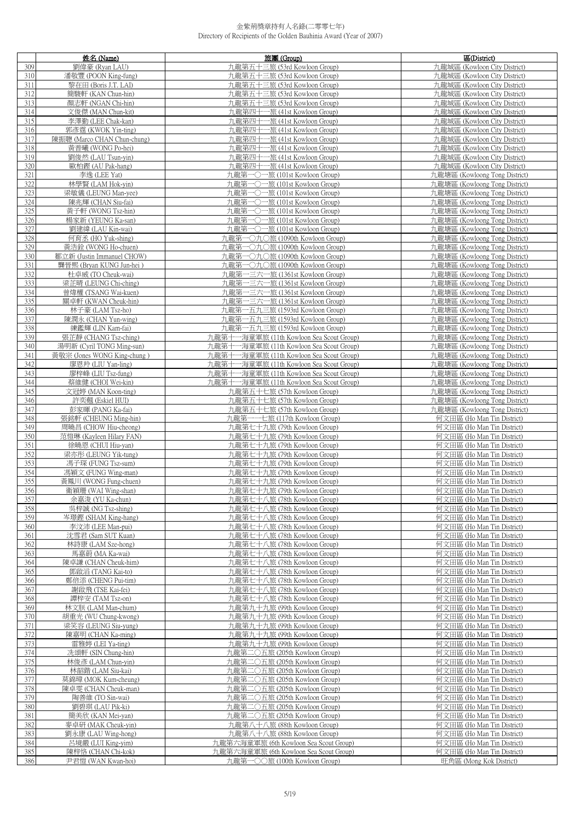|            | 姓名 (Name)                                        | 旅團 (Group)                                                                           | 區(District)                                                    |
|------------|--------------------------------------------------|--------------------------------------------------------------------------------------|----------------------------------------------------------------|
| 309        | 劉偉豪 (Ryan LAU)                                   | 九龍第五十三旅 (53rd Kowloon Group)                                                         | 九龍城區 (Kowloon City District)                                   |
| 310        | 潘敬豐 (POON King-fung)                             | 九龍第五十三旅 (53rd Kowloon Group)                                                         | 九龍城區 (Kowloon City District)                                   |
| 311        | 黎在田 (Boris J.T. LAI)                             | 九龍第五十三旅 (53rd Kowloon Group)                                                         | 九龍城區 (Kowloon City District)                                   |
| 312        | 簡駿軒 (KAN Chun-hin)                               | 九龍第五十三旅 (53rd Kowloon Group)                                                         | 九龍城區 (Kowloon City District)                                   |
| 313        | 顏志軒 (NGAN Chi-hin)                               | 九龍第五十三旅 (53rd Kowloon Group)                                                         | 九龍城區 (Kowloon City District)                                   |
| 314        | 文俊傑 (MAN Chun-kit)                               | 九龍第四十一旅 (41st Kowloon Group)                                                         | 力龍城區 (Kowloon City District)                                   |
| 315        | 李澤勤 (LEE Chak-kan)                               | 九龍第四十一旅 (41st Kowloon Group)                                                         | 九龍城區 (Kowloon City District)                                   |
| 316        | 郭彥霆 (KWOK Yin-ting)                              | 九龍第四十一旅 (41st Kowloon Group)                                                         | 九龍城區 (Kowloon City District)                                   |
| 317<br>318 | 陳振聰 (Marco CHAN Chun-chung)<br>黃普曦 (WONG Po-hei) | 九龍第四十一旅 (41st Kowloon Group)                                                         | 九龍城區 (Kowloon City District)                                   |
| 319        | 劉俊然 (LAU Tsun-yin)                               | 九龍第四十一旅 (41st Kowloon Group)<br>九龍第四十一旅 (41st Kowloon Group)                         | 九龍城區 (Kowloon City District)<br>九龍城區 (Kowloon City District)   |
| 320        | 歐柏鏗 (AU Pak-hang)                                | 九龍第四十一旅 (41st Kowloon Group)                                                         | 九龍城區 (Kowloon City District)                                   |
| 321        | 李逸 (LEE Yat)                                     | 九龍第一〇一旅 (101st Kowloon Group)                                                        | 九龍塘區 (Kowloong Tong District)                                  |
| 322        | 林學賢 (LAM Hok-yin)                                | 九龍第一〇一旅 (101st Kowloon Group)                                                        | 九龍塘區 (Kowloong Tong District)                                  |
| 323        | 梁敏儀 (LEUNG Man-yee)                              | 九龍第一〇一旅 (101st Kowloon Group)                                                        | 九龍塘區 (Kowloong Tong District)                                  |
| 324        | 陳兆輝 (CHAN Siu-fai)                               | 九龍第一〇一旅 (101st Kowloon Group)                                                        | 九龍塘區 (Kowloong Tong District)                                  |
| 325        | 黃子軒 (WONG Tsz-hin)                               | 九龍第一〇一旅 (101st Kowloon Group)                                                        | 九龍塘區 (Kowloong Tong District)                                  |
| 326        | 楊家新 (YEUNG Ka-san)                               | 九龍第一〇一旅 (101st Kowloon Group)                                                        | 九龍塘區 (Kowloong Tong District)                                  |
| 327        | 劉建緯 (LAU Kin-wai)                                | 九龍第一〇一旅 (101st Kowloon Group)                                                        | 九龍塘區 (Kowloong Tong District)                                  |
| 328        | 何育丞 (HO Yuk-shing)                               | 九龍第一〇九〇旅 (1090th Kowloon Group)                                                      | 九龍塘區 (Kowloong Tong District)                                  |
| 329        | 黃浩銓 (WONG Ho-chuen)                              | 九龍第一〇九〇旅 (1090th Kowloon Group)                                                      | 九龍塘區 (Kowloong Tong District)                                  |
| 330        | 鄒立新 (Justin Immanuel CHOW)                       | 九龍第一〇九〇旅 (1090th Kowloon Group)<br>九龍第一〇九〇旅 (1090th Kowloon Group)                   | 九龍塘區 (Kowloong Tong District)                                  |
| 331<br>332 | 龔晉熙 (Bryan KUNG Jun-hei)<br>杜卓威 (TO Cheuk-wai)   | 九龍第一三六一旅 (1361st Kowloon Group)                                                      | 九龍塘區 (Kowloong Tong District)<br>九龍塘區 (Kowloong Tong District) |
| 333        | 梁芷晴 (LEUNG Chi-ching)                            | 九龍第一三六一旅 (1361st Kowloon Group)                                                      | 九龍塘區 (Kowloong Tong District)                                  |
| 334        | 曾煒權 (TSANG Wai-kuen)                             | 九龍第一三六一旅 (1361st Kowloon Group)                                                      | 九龍塘區 (Kowloong Tong District)                                  |
| 335        | 關卓軒 (KWAN Cheuk-hin)                             | 九龍第一三六一旅 (1361st Kowloon Group)                                                      | 九龍塘區 (Kowloong Tong District)                                  |
| 336        | 林子豪 (LAM Tsz-ho)                                 | 九龍第一五九三旅 (1593rd Kowloon Group)                                                      | 九龍塘區 (Kowloong Tong District)                                  |
| 337        | 陳潤永 (CHAN Yun-wing)                              | 九龍第一五九三旅 (1593rd Kowloon Group)                                                      | 九龍塘區 (Kowloong Tong District)                                  |
| 338        | 練鑑輝 (LIN Kam-fai)                                | 九龍第一五九三旅 (1593rd Kowloon Group)                                                      | 九龍塘區 (Kowloong Tong District)                                  |
| 339        | 張芷靜 (CHANG Tsz-ching)                            | 九龍第十一海童軍旅 (11th Kowloon Sea Scout Group)                                             | 九龍塘區 (Kowloong Tong District)                                  |
| 340        | 湯明新 (Cyril TONG Ming-sun)                        | 九龍第十一海童軍旅 (11th Kowloon Sea Scout Group)                                             | 九龍塘區 (Kowloong Tong District)                                  |
| 341        | 黃敬宗 (Jones WONG King-chung)                      | 九龍第十一海童軍旅 (11th Kowloon Sea Scout Group)                                             | 九龍塘區 (Kowloong Tong District)                                  |
| 342<br>343 | 廖恩羚 (LIU Yan-ling)<br>廖梓峰 (LIU Tsz-fung)         | 九龍第十一海童軍旅 (11th Kowloon Sea Scout Group)<br>九龍第十一海童軍旅 (11th Kowloon Sea Scout Group) | 九龍塘區 (Kowloong Tong District)<br>九龍塘區 (Kowloong Tong District) |
| 344        | 蔡維健 (CHOI Wei-kin)                               | 九龍第十一海童軍旅 (11th Kowloon Sea Scout Group)                                             | 九龍塘區 (Kowloong Tong District)                                  |
| 345        | 文冠婷 (MAN Koon-ting)                              | 九龍第五十七旅 (57th Kowloon Group)                                                         | 九龍塘區 (Kowloong Tong District)                                  |
| 346        | 許奕翹 (Eskiel HUI)                                 | 九龍第五十七旅 (57th Kowloon Group)                                                         | 九龍塘區 (Kowloong Tong District)                                  |
| 347        | 彭家暉 (PANG Ka-fai)                                | 九龍第五十七旅 (57th Kowloon Group)                                                         | 九龍塘區 (Kowloong Tong District)                                  |
| 348        | 張銘軒 (CHEUNG Ming-hin)                            | 九龍第一一七旅 (117th Kowloon Group)                                                        | 何文田區 (Ho Man Tin District)                                     |
| 349        | 周曉昌 (CHOW Hiu-cheong)                            | 九龍第七十九旅 (79th Kowloon Group)                                                         | 何文田區 (Ho Man Tin District)                                     |
| 350        | 范愷琳 (Kayleen Hilary FAN)                         | 九龍第七十九旅 (79th Kowloon Group)                                                         | 何文田區 (Ho Man Tin District)                                     |
| 351<br>352 | 徐曉恩 (CHUI Hiu-yan)<br>梁亦彤 (LEUNG Yik-tung)       | 九龍第七十九旅 (79th Kowloon Group)                                                         | 何文田區 (Ho Man Tin District)<br>何文田區 (Ho Man Tin District)       |
| 353        | 馮子琛 (FUNG Tsz-sum)                               | 九龍第七十九旅 (79th Kowloon Group)<br>九龍第七十九旅 (79th Kowloon Group)                         | 何文田區 (Ho Man Tin District)                                     |
| 354        | 馮穎文 (FUNG Wing-man)                              | 九龍第七十九旅 (79th Kowloon Group)                                                         | 何文田區 (Ho Man Tin District)                                     |
| 355        | 黃鳳川 (WONG Fung-chuen)                            | 九龍第七十九旅 (79th Kowloon Group)                                                         | 何文田區 (Ho Man Tin District)                                     |
| 356        | 衛親姍 (WAI Wing-shan)                              | 九龍第七十九旅 (79th Kowloon Group)                                                         | 何文田區 (Ho Man Tin District)                                     |
| 357        | 余嘉浚 (YU Ka-chun)                                 | 九龍第七十八旅 (78th Kowloon Group)                                                         | 何文田區 (Ho Man Tin District)                                     |
| 358        | 吳梓誠 (NG Tsz-shing)                               | 九龍第七十八旅 (78th Kowloon Group)                                                         | 何文田區 (Ho Man Tin District)                                     |
| 359        | 岑璟鏗 (SHAM King-hang)                             | 九龍第七十八旅 (78th Kowloon Group)                                                         | 何文田區 (Ho Man Tin District)                                     |
| 360        | 李汶沛 (LEE Man-pui)                                | 九龍第七十八旅 (78th Kowloon Group)                                                         | 何文田區 (Ho Man Tin District)                                     |
| 361<br>362 | 沈雪君 (Sam SUT Kuan)<br>林詩康 (LAM Sze-hong)         | 九龍第七十八旅 (78th Kowloon Group)<br>九龍第七十八旅 (78th Kowloon Group)                         | 何文田區 (Ho Man Tin District)<br>何文田區 (Ho Man Tin District)       |
| 363        | 馬嘉蔚 (MA Ka-wai)                                  | 九龍第七十八旅 (78th Kowloon Group)                                                         | 何文田區 (Ho Man Tin District)                                     |
| 364        | 陳卓謙 (CHAN Cheuk-him)                             | 九龍第七十八旅 (78th Kowloon Group)                                                         | 何文田區 (Ho Man Tin District)                                     |
| 365        | 鄧啟滔 (TANG Kai-to)                                | 九龍第七十八旅 (78th Kowloon Group)                                                         | 何文田區 (Ho Man Tin District)                                     |
| 366        | 鄭倍添 (CHENG Pui-tim)                              | 九龍第七十八旅 (78th Kowloon Group)                                                         | 何文田區 (Ho Man Tin District)                                     |
| 367        | 謝啟飛 (TSE Kai-fei)                                | 九龍第七十八旅 (78th Kowloon Group)                                                         | 何文田區 (Ho Man Tin District)                                     |
| 368        | 譚梓安 (TAM Tsz-on)                                 | 九龍第七十八旅 (78th Kowloon Group)                                                         | 何文田區 (Ho Man Tin District)                                     |
| 369        | 林文朕 (LAM Man-chum)                               | 九龍第九十九旅 (99th Kowloon Group)                                                         | 何文田區 (Ho Man Tin District)                                     |
| 370        | 胡重光 (WU Chung-kwong)                             | 九龍第九十九旅 (99th Kowloon Group)                                                         | 何文田區 (Ho Man Tin District)                                     |
| 371<br>372 | 梁笑容 (LEUNG Siu-yung)<br>陳嘉明 (CHAN Ka-ming)       | 九龍第九十九旅 (99th Kowloon Group)<br>九龍第九十九旅 (99th Kowloon Group)                         | 何文田區 (Ho Man Tin District)<br>何文田區 (Ho Man Tin District)       |
| 373        | 雷雅婷 (LEI Ya-ting)                                | 九龍第九十九旅 (99th Kowloon Group)                                                         | 何文田區 (Ho Man Tin District)                                     |
| 374        | 冼頌軒 (SIN Chung-hin)                              | 九龍第二〇五旅 (205th Kowloon Group)                                                        | 何文田區 (Ho Man Tin District)                                     |
| 375        | 林俊彥 (LAM Chun-yin)                               | 九龍第二〇五旅 (205th Kowloon Group)                                                        | 何文田區 (Ho Man Tin District)                                     |
| 376        | 林韶鍇 (LAM Siu-kai)                                | 九龍第二〇五旅 (205th Kowloon Group)                                                        | 何文田區 (Ho Man Tin District)                                     |
| 377        | 莫錦璋 (MOK Kum-cheung)                             | 九龍第二〇五旅 (205th Kowloon Group)                                                        | 何文田區 (Ho Man Tin District)                                     |
| 378        | 陳卓雯 (CHAN Cheuk-man)                             | 九龍第二〇五旅 (205th Kowloon Group)                                                        | 何文田區 (Ho Man Tin District)                                     |
| 379        | 陶善維 (TO Sin-wai)                                 | 九龍第二〇五旅 (205th Kowloon Group)                                                        | 何文田區 (Ho Man Tin District)                                     |
| 380<br>381 | 劉碧琪 (LAU Pik-ki)                                 | 九龍第二〇五旅 (205th Kowloon Group)                                                        | 何文田區 (Ho Man Tin District)                                     |
| 382        | 簡美欣 (KAN Mei-yan)<br>麥卓研 (MAK Cheuk-yin)         | 九龍第二〇五旅 (205th Kowloon Group)<br>九龍第八十八旅 (88th Kowloon Group)                        | 何文田區 (Ho Man Tin District)<br>何文田區 (Ho Man Tin District)       |
| 383        | 劉永康 (LAU Wing-hong)                              | 九龍第八十八旅 (88th Kowloon Group)                                                         | 何文田區 (Ho Man Tin District)                                     |
| 384        | 呂境嚴 (LUI King-yim)                               | 九龍第六海童軍旅 (6th Kowloon Sea Scout Group)                                               | 何文田區 (Ho Man Tin District)                                     |
| 385        | 陳梓恪 (CHAN Chi-kok)                               | 九龍第六海童軍旅 (6th Kowloon Sea Scout Group)                                               | 何文田區 (Ho Man Tin District)                                     |
| 386        | 尹君愷 (WAN Kwan-hoi)                               | 九龍第一〇〇旅 (100th Kowloon Group)                                                        | 旺角區 (Mong Kok District)                                        |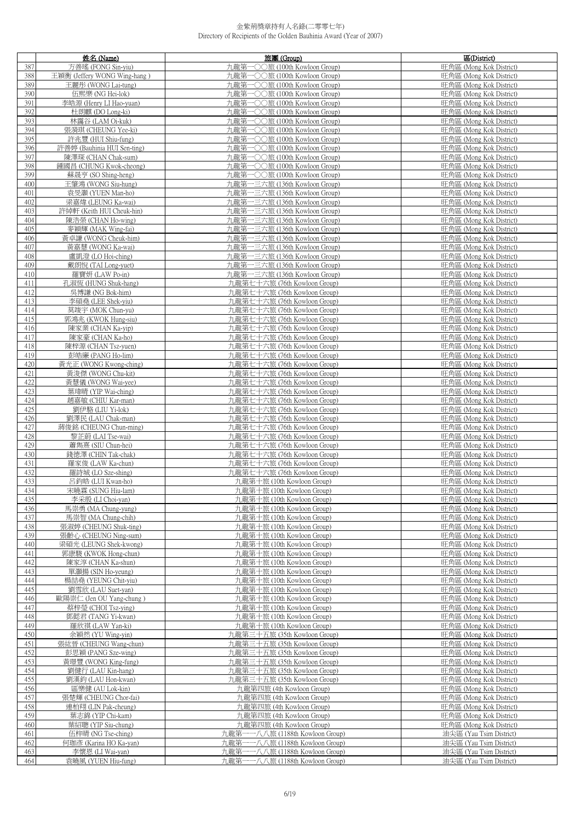|            | 姓名 (Name)                                       | 旅團 (Group)                                                     | 區(District)                                        |
|------------|-------------------------------------------------|----------------------------------------------------------------|----------------------------------------------------|
| 387        | 方善瑤 (FONG Sin-yiu)                              | 九龍第一〇〇旅 (100th Kowloon Group)                                  | 旺角區 (Mong Kok District)                            |
| 388        | 王穎衡 (Jeffery WONG Wing-hang)                    | 九龍第一〇〇旅 (100th Kowloon Group)                                  | 旺角區 (Mong Kok District)                            |
| 389        | 王麗彤 (WONG Lai-tung)                             | 九龍第一〇〇旅 (100th Kowloon Group)                                  | 旺角區 (Mong Kok District)                            |
| 390        | 伍熙樂 (NG Hei-lok)                                | 九龍第一〇〇旅 (100th Kowloon Group)                                  | 旺角區 (Mong Kok District)                            |
| 391        | 李皓源 (Henry LI Hao-yuan)                         | 九龍第一〇〇旅 (100th Kowloon Group)                                  | 旺角區 (Mong Kok District)                            |
| 392        | 杜朗麒 (DO Long-ki)                                | 九龍第一〇〇旅 (100th Kowloon Group)                                  | 旺角區 (Mong Kok District)                            |
| 393        | 林靄谷 (LAM Oi-kuk)                                | 九龍第一〇〇旅 (100th Kowloon Group)                                  | 旺角區 (Mong Kok District)                            |
| 394        | 張漪琪 (CHEUNG Yee-ki)                             | 九龍第一〇〇旅 (100th Kowloon Group)                                  | 旺角區 (Mong Kok District)                            |
| 395        | 許兆豐 (HUI Shiu-fung)                             | 九龍第一○○旅 (100th Kowloon Group)                                  | 旺角區 (Mong Kok District)                            |
| 396        | 許善婷 (Bauhinia HUI Sen-ting)                     | 九龍第一〇〇旅 (100th Kowloon Group)                                  | 旺角區 (Mong Kok District)                            |
| 397        | 陳澤琛 (CHAN Chak-sum)                             | 九龍第一〇〇旅 (100th Kowloon Group)                                  | 旺角區 (Mong Kok District)                            |
| 398        | 鍾國昌 (CHUNG Kwok-cheong)                         | 九龍第一〇〇旅 (100th Kowloon Group)                                  | 旺角區 (Mong Kok District)                            |
| 399        | 蘇晟亨 (SO Shing-heng)                             | 九龍第一〇〇旅 (100th Kowloon Group)                                  | 旺角區 (Mong Kok District)                            |
| 400        | 王肇鴻 (WONG Siu-hung)                             | 九龍第一三六旅 (136th Kowloon Group)                                  | 旺角區 (Mong Kok District)                            |
| 401<br>402 | 袁旻灝 (YUEN Man-ho)                               | 九龍第一三六旅 (136th Kowloon Group)<br>九龍第一三六旅 (136th Kowloon Group) | 旺角區 (Mong Kok District)<br>旺角區 (Mong Kok District) |
| 403        | 梁嘉煒 (LEUNG Ka-wai)<br>許綽軒 (Keith HUI Cheuk-hin) | 九龍第一三六旅 (136th Kowloon Group)                                  | 旺角區 (Mong Kok District)                            |
| 404        | 陳浩榮 (CHAN Ho-wing)                              | 九龍第一三六旅 (136th Kowloon Group)                                  | 旺角區 (Mong Kok District)                            |
| 405        | 麥穎輝 (MAK Wing-fai)                              | 九龍第一三六旅 (136th Kowloon Group)                                  | 旺角區 (Mong Kok District)                            |
| 406        | 黃卓謙 (WONG Cheuk-him)                            | 九龍第一三六旅 (136th Kowloon Group)                                  | 旺角區 (Mong Kok District)                            |
| 407        | 黃嘉慧 (WONG Ka-wai)                               | 九龍第一三六旅 (136th Kowloon Group)                                  | 旺角區 (Mong Kok District)                            |
| 408        | 盧凱澄 (LO Hoi-ching)                              | 九龍第一三六旅 (136th Kowloon Group)                                  | 旺角區 (Mong Kok District)                            |
| 409        | 戴朗悅 (TAI Long-yuet)                             | 九龍第一三六旅 (136th Kowloon Group)                                  | 旺角區 (Mong Kok District)                            |
| 410        | 羅寶妍 (LAW Po-in)                                 | 九龍第一三六旅 (136th Kowloon Group)                                  | 旺角區 (Mong Kok District)                            |
| 411        | 孔淑恆 (HUNG Shuk-hang)                            | 九龍第七十六旅 (76th Kowloon Group)                                   | 旺角區 (Mong Kok District)                            |
| 412        | 吳博謙 (NG Bok-him)                                | 九龍第七十六旅 (76th Kowloon Group)                                   | 旺角區 (Mong Kok District)                            |
| 413        | 李碩堯 (LEE Shek-yiu)                              | 九龍第七十六旅 (76th Kowloon Group)                                   | 旺角區 (Mong Kok District)                            |
| 414        | 莫竣宇 (MOK Chun-yu)                               | 九龍第七十六旅 (76th Kowloon Group)                                   | 旺角區 (Mong Kok District)                            |
| 415        | 郭鴻兆 (KWOK Hung-siu)                             | 九龍第七十六旅 (76th Kowloon Group)                                   | 旺角區 (Mong Kok District)                            |
| 416        | 陳家業 (CHAN Ka-yip)                               | 九龍第七十六旅 (76th Kowloon Group)                                   | 旺角區 (Mong Kok District)                            |
| 417        | 陳家豪 (CHAN Ka-ho)                                | 九龍第七十六旅 (76th Kowloon Group)                                   | 旺角區 (Mong Kok District)                            |
| 418        | 陳梓源 (CHAN Tsz-yuen)                             | 九龍第七十六旅 (76th Kowloon Group)                                   | 旺角區 (Mong Kok District)                            |
| 419        | 彭皓廉 (PANG Ho-lim)                               | 九龍第七十六旅 (76th Kowloon Group)                                   | 旺角區 (Mong Kok District)                            |
| 420        | 黃光正 (WONG Kwong-ching)                          | 九龍第七十六旅 (76th Kowloon Group)                                   | 旺角區 (Mong Kok District)                            |
| 421        | 黃浚傑 (WONG Chu-kit)                              | 九龍第七十六旅 (76th Kowloon Group)                                   | 旺角區 (Mong Kok District)                            |
| 422        | 黃慧儀 (WONG Wai-yee)                              | 九龍第七十六旅 (76th Kowloon Group)                                   | 旺角區 (Mong Kok District)                            |
| 423<br>424 | 葉瑋晴 (YIP Wai-ching)<br>趙嘉敏 (CHIU Kar-man)       | 九龍第七十六旅 (76th Kowloon Group)<br>九龍第七十六旅 (76th Kowloon Group)   | 旺角區 (Mong Kok District)<br>旺角區 (Mong Kok District) |
| 425        | 劉伊駱 (LIU Yi-lok)                                | 九龍第七十六旅 (76th Kowloon Group)                                   | 旺角區 (Mong Kok District)                            |
| 426        | 劉澤民 (LAU Chak-man)                              | 九龍第七十六旅 (76th Kowloon Group)                                   | 旺角區 (Mong Kok District)                            |
| 427        | 蔣俊銘 (CHEUNG Chun-ming)                          | 九龍第七十六旅 (76th Kowloon Group)                                   | 旺角區 (Mong Kok District)                            |
| 428        | 黎芷蔚 (LAI Tse-wai)                               | 九龍第七十六旅 (76th Kowloon Group)                                   | 旺角區 (Mong Kok District)                            |
| 429        | 蕭雋熹 (SIU Chun-hei)                              | 九龍第七十六旅 (76th Kowloon Group)                                   | 旺角區 (Mong Kok District)                            |
| 430        | 錢德澤 (CHIN Tak-chak)                             | 九龍第七十六旅 (76th Kowloon Group)                                   | 旺角區 (Mong Kok District)                            |
| 431        | 羅家俊 (LAW Ka-chun)                               | 九龍第七十六旅 (76th Kowloon Group)                                   | 旺角區 (Mong Kok District)                            |
| 432        | 羅詩城 (LO Sze-shing)                              | 九龍第七十六旅 (76th Kowloon Group)                                   | 旺角區 (Mong Kok District)                            |
| 433        | 呂鈞皓 (LUI Kwan-ho)                               | 九龍第十旅 (10th Kowloon Group)                                     | 旺角區 (Mong Kok District)                            |
| 434        | 宋曉箖 (SUNG Hiu-lam)                              | 九龍第十旅 (10th Kowloon Group)                                     | 吐角區 (Mong Kok District)                            |
| 435        | 李采殷 (LI Choi-yan)                               | 九龍第十旅 (10th Kowloon Group)                                     | 旺角區 (Mong Kok District)                            |
| 436        | 馬崇勇 (MA Chung-yung)                             | 九龍第十旅 (10th Kowloon Group)                                     | 旺角區 (Mong Kok District)                            |
| 437        | 馬崇智 (MA Chung-chih)                             | 九龍第十旅 (10th Kowloon Group)                                     | 旺角區 (Mong Kok District)                            |
| 438        | 張淑婷 (CHEUNG Shuk-ting)                          | 九龍第十旅 (10th Kowloon Group)                                     | 旺角區 (Mong Kok District)                            |
| 439        | 張齡心 (CHEUNG Ning-sum)                           | 九龍第十旅 (10th Kowloon Group)                                     | 旺角區 (Mong Kok District)                            |
| 440<br>441 | 梁碩光 (LEUNG Shek-kwong)<br>郭康駿 (KWOK Hong-chun)  | 九龍第十旅 (10th Kowloon Group)<br>九龍第十旅 (10th Kowloon Group)       | 旺角區 (Mong Kok District)<br>旺角區 (Mong Kok District) |
| 442        | 陳家淳 (CHAN Ka-shun)                              | 九龍第十旅 (10th Kowloon Group)                                     | 旺角區 (Mong Kok District)                            |
| 443        | 單灝楊 (SIN Ho-veung)                              | 九龍第十旅 (10th Kowloon Group)                                     | 旺角區 (Mong Kok District)                            |
| 444        | 楊喆堯 (YEUNG Chit-yiu)                            | 九龍第十旅 (10th Kowloon Group)                                     | 旺角區 (Mong Kok District)                            |
| 445        | 劉雪欣 (LAU Suet-yan)                              | 九龍第十旅 (10th Kowloon Group)                                     | 旺角區 (Mong Kok District)                            |
| 446        | 歐陽崇仁 (Jen OU Yang-chung)                        | 九龍第十旅 (10th Kowloon Group)                                     | 旺角區 (Mong Kok District)                            |
| 447        | 蔡梓瑩 (CHOI Tsz-ying)                             | 九龍第十旅 (10th Kowloon Group)                                     | 旺角區 (Mong Kok District)                            |
| 448        | 鄧懿君 (TANG Yi-kwan)                              | 九龍第十旅 (10th Kowloon Group)                                     | 旺角區 (Mong Kok District)                            |
| 449        | 羅欣祺 (LAW Yan-ki)                                | 九龍第十旅 (10th Kowloon Group)                                     | 旺角區 (Mong Kok District)                            |
| 450        | 余穎然 (YU Wing-yin)                               | 九龍第三十五旅 (35th Kowloon Group)                                   | 旺角區 (Mong Kok District)                            |
| 451        | 張紘晉 (CHEUNG Wang-chun)                          | 九龍第三十五旅 (35th Kowloon Group)                                   | 旺角區 (Mong Kok District)                            |
| 452        | 彭思穎 (PANG Sze-wing)                             | 九龍第三十五旅 (35th Kowloon Group)                                   | 旺角區 (Mong Kok District)                            |
| 453        | 黃璟豐 (WONG King-fung)                            | 九龍第三十五旅 (35th Kowloon Group)                                   | 旺角區 (Mong Kok District)                            |
| 454        | 劉健行 (LAU Kin-hang)                              | 九龍第三十五旅 (35th Kowloon Group)                                   | 旺角區 (Mong Kok District)                            |
| 455        | 劉漢鈞 (LAU Hon-kwan)                              | 九龍第三十五旅 (35th Kowloon Group)                                   | 旺角區 (Mong Kok District)                            |
| 456        | 區樂健 (AU Lok-kin)                                | 九龍第四旅 (4th Kowloon Group)                                      | 旺角區 (Mong Kok District)                            |
| 457        | 張楚輝 (CHEUNG Chor-fai)                           | 九龍第四旅 (4th Kowloon Group)                                      | 旺角區 (Mong Kok District)                            |
| 458        | 連柏翔 (LIN Pak-cheung)                            | 九龍第四旅 (4th Kowloon Group)                                      | 旺角區 (Mong Kok District)                            |
| 459<br>460 | 葉志錦 (YIP Chi-kam)                               | 九龍第四旅 (4th Kowloon Group)                                      | 旺角區 (Mong Kok District)                            |
| 461        | 葉紹聰 (YIP Siu-chung)<br>伍梓晴 (NG Tse-ching)       | 九龍第四旅 (4th Kowloon Group)<br>九龍第一一八八旅 (1188th Kowloon Group)   | 旺角區 (Mong Kok District)<br>油尖區 (Yau Tsim District) |
| 462        | 何珈彥 (Karina HO Ka-yan)                          | 九龍第一一八八旅 (1188th Kowloon Group)                                | 油尖區 (Yau Tsim District)                            |
| 463        | 李懷恩 (LI Wai-yan)                                | 一八八旅 (1188th Kowloon Group)<br>九龍第一                            | 油尖區 (Yau Tsim District)                            |
| 464        | 袁曉風 (YUEN Hiu-fung)                             | 九龍第一一八八旅 (1188th Kowloon Group)                                | 油尖區 (Yau Tsim District)                            |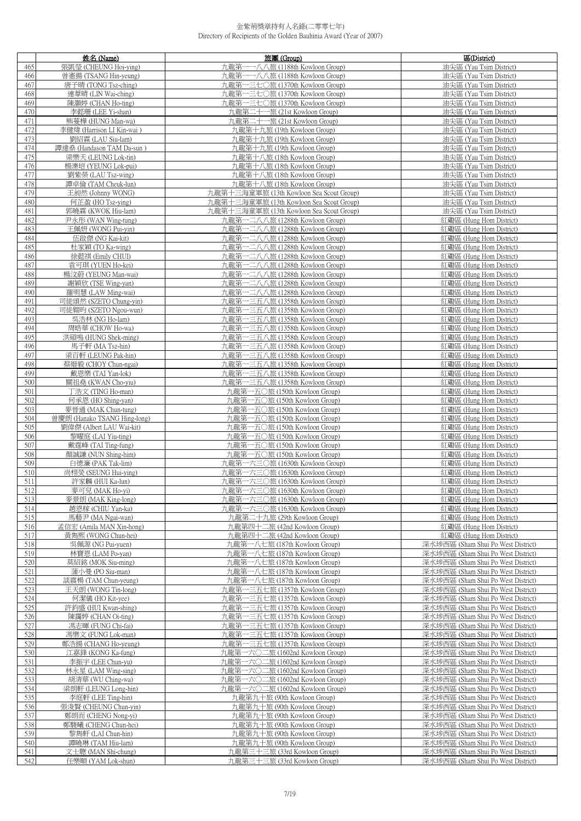|            | 姓名 (Name)                                      | 旅團 (Group)                                                         | 區(District)                                                              |
|------------|------------------------------------------------|--------------------------------------------------------------------|--------------------------------------------------------------------------|
| 465        | 張凱瑩 (CHEUNG Hoi-ying)                          | 九龍第一一八八旅 (1188th Kowloon Group)                                    | 油尖區 (Yau Tsim District)                                                  |
| 466        | 曾憲揚 (TSANG Hin-yeung)                          | 九龍第一一八八旅 (1188th Kowloon Group)                                    | 油尖區 (Yau Tsim District)                                                  |
| 467        | 唐子晴 (TONG Tsz-ching)                           | 九龍第一三七〇旅 (1370th Kowloon Group)                                    | 油尖區 (Yau Tsim District)                                                  |
| 468        | 連葦晴 (LIN Wai-ching)                            | 九龍第一三七〇旅 (1370th Kowloon Group)                                    | 油尖區 (Yau Tsim District)                                                  |
| 469        | 陳灝婷 (CHAN Ho-ting)                             | 九龍第一三七〇旅 (1370th Kowloon Group)                                    | 油尖區 (Yau Tsim District)                                                  |
| 470        | 李懿珊 (LEE Yi-shan)                              | 九龍第二十一旅 (21st Kowloon Group)                                       | 油尖區 (Yau Tsim District)                                                  |
| 471        | 熊蔓槿 (HUNG Man-wa)                              | 九龍第二十一旅 (21st Kowloon Group)                                       | 油尖區 (Yau Tsim District)                                                  |
| 472        | 李健煒 (Harrison LI Kin-wai)                      | 九龍第十九旅 (19th Kowloon Group)                                        | 油尖區 (Yau Tsim District)                                                  |
| 473        | 劉紹霖 (LAU Siu-lam)                              | 九龍第十九旅 (19th Kowloon Group)                                        | 油尖區 (Yau Tsim District)                                                  |
| 474        | 譚達桑 (Handason TAM Da-sun)                      | 九龍第十九旅 (19th Kowloon Group)                                        | 油尖區 (Yau Tsim District)                                                  |
| 475        | 梁樂天 (LEUNG Lok-tin)                            | 九龍第十八旅 (18th Kowloon Group)                                        | 油尖區 (Yau Tsim District)                                                  |
| 476        | 楊濼培 (YEUNG Lok-pui)                            | 九龍第十八旅 (18th Kowloon Group)                                        | 油尖區 (Yau Tsim District)                                                  |
| 477        | 劉紫榮 (LAU Tsz-wing)                             | 九龍第十八旅 (18th Kowloon Group)                                        | 油尖區 (Yau Tsim District)                                                  |
| 478        | 譚卓倫 (TAM Cheuk-lun)                            | 九龍第十八旅 (18th Kowloon Group)                                        | 油尖區 (Yau Tsim District)                                                  |
| 479        | 王昶然 (Johnny WONG)                              | 九龍第十三海童軍旅 (13th Kowloon Sea Scout Group)                           | 油尖區 (Yau Tsim District)                                                  |
| 480        | 何芷盈 (HO Tsz-ying)                              | 九龍第十三海童軍旅 (13th Kowloon Sea Scout Group)                           | 油尖區 (Yau Tsim District)                                                  |
| 481        | 郭曉霖 (KWOK Hiu-lam)                             | 九龍第十三海童軍旅 (13th Kowloon Sea Scout Group)                           | 油尖區 (Yau Tsim District)                                                  |
| 482        | 尹永彤 (WAN Wing-tung)                            | 九龍第一二八八旅 (1288th Kowloon Group)                                    | 紅磡區 (Hung Hom District)                                                  |
| 483        | 王佩妍 (WONG Pui-yin)                             | 九龍第一二八八旅 (1288th Kowloon Group)                                    | 紅磡區 (Hung Hom District)                                                  |
| 484        | 伍啟傑 (NG Kai-kit)                               | 九龍第一二八八旅 (1288th Kowloon Group)                                    | 紅磡區 (Hung Hom District)                                                  |
| 485        | 杜家穎 (TO Ka-wing)                               | 九龍第一二八八旅 (1288th Kowloon Group)                                    | 紅磡區 (Hung Hom District)                                                  |
| 486        | 徐懿祺 (Emily CHUI)                               | 九龍第一二八八旅 (1288th Kowloon Group)                                    | 紅磡區 (Hung Hom District)                                                  |
| 487        | 袁可琪 (YUEN Ho-kei)                              | 九龍第一二八八旅 (1288th Kowloon Group)                                    | 紅磡區 (Hung Hom District)                                                  |
| 488        | 楊汶蔚 (YEUNG Man-wai)                            | 九龍第一二八八旅 (1288th Kowloon Group)                                    | 紅磡區 (Hung Hom District)                                                  |
| 489        | 謝穎欣 (TSE Wing-yan)                             | 九龍第一二八八旅 (1288th Kowloon Group)                                    | 紅磡區 (Hung Hom District)                                                  |
| 490        | 羅明慧 (LAW Ming-wai)                             | 九龍第一二八八旅 (1288th Kowloon Group)                                    | 紅磡區 (Hung Hom District)                                                  |
| 491        | 司徒頌然 (SZETO Chung-yin)                         | 九龍第一三五八旅 (1358th Kowloon Group)                                    | 紅磡區 (Hung Hom District)                                                  |
| 492        | 司徒翱昀 (SZETO Ngou-wun)                          | 九龍第一三五八旅 (1358th Kowloon Group)                                    | 紅磡區 (Hung Hom District)                                                  |
| 493        | 吳浩林 (NG Ho-lam)                                | 九龍第一三五八旅 (1358th Kowloon Group)                                    | 紅磡區 (Hung Hom District)                                                  |
| 494        | 周晧華 (CHOW Ho-wa)                               | 九龍第一三五八旅 (1358th Kowloon Group)                                    | 紅磡區 (Hung Hom District)                                                  |
| 495        | 洪碩鳴 (HUNG Shek-ming)                           | 九龍第一三五八旅 (1358th Kowloon Group)                                    | 紅磡區 (Hung Hom District)                                                  |
| 496        | 馬子軒 (MA Tsz-hin)                               | 九龍第一三五八旅 (1358th Kowloon Group)                                    | 紅磡區 (Hung Hom District)                                                  |
| 497        | 梁百軒 (LEUNG Pak-hin)                            | 九龍第一三五八旅 (1358th Kowloon Group)                                    | 紅磡區 (Hung Hom District)                                                  |
| 498        | 蔡縉毅 (CHOY Chun-ngai)                           | 九龍第一三五八旅 (1358th Kowloon Group)                                    | 紅磡區 (Hung Hom District)                                                  |
| 499        | 戴恩樂 (TAI Yan-lok)                              | 九龍第一三五八旅 (1358th Kowloon Group)                                    | 紅磡區 (Hung Hom District)                                                  |
| 500        | 關祖堯 (KWAN Cho-yiu)                             | 九龍第一三五八旅 (1358th Kowloon Group)                                    | 紅磡區 (Hung Hom District)                                                  |
| 501        | 丁浩文 (TING Ho-man)                              | 九龍第一五〇旅 (150th Kowloon Group)                                      | 紅磡區 (Hung Hom District)                                                  |
| 502        | 何承恩 (HO Shing-yan)                             | 九龍第一五〇旅 (150th Kowloon Group)                                      | 紅磡區 (Hung Hom District)                                                  |
| 503        | 麥晉通 (MAK Chun-tung)                            | 九龍第一五〇旅 (150th Kowloon Group)                                      | 紅磡區 (Hung Hom District)                                                  |
| 504        | 曾慶朗 (Hanako TSANG Hing-long)                   | 九龍第一五〇旅 (150th Kowloon Group)                                      | 紅磡區 (Hung Hom District)                                                  |
| 505        | 劉偉傑 (Albert LAU Wai-kit)<br>黎曜庭 (LAI Yiu-ting) | 九龍第一五〇旅 (150th Kowloon Group)<br>九龍第一五〇旅 (150th Kowloon Group)     | 紅磡區 (Hung Hom District)                                                  |
| 506        |                                                |                                                                    | 紅磡區 (Hung Hom District)                                                  |
| 507<br>508 | 戴霆峰 (TAI Ting-fung)                            | 九龍第一五〇旅 (150th Kowloon Group)                                      | 紅磡區 (Hung Hom District)<br>紅磡區 (Hung Hom District)                       |
| 509        | 顏誠謙 (NUN Shing-him)<br>白德濂 (PAK Tak-lim)       | 九龍第一五〇旅 (150th Kowloon Group)<br>九龍第一六三〇旅 (1630th Kowloon Group)   | 紅磡區 (Hung Hom District)                                                  |
| 510        | 尚栩熒 (SEUNG Hui-ying)                           | 九龍第一六三〇旅 (1630th Kowloon Group)                                    | 紅磡區 (Hung Hom District)                                                  |
| 511        | 許家麟 (HUI Ka-lun)                               | 九龍第一六三〇旅 (1630th Kowloon Group)                                    | 紅磡區 (Hung Hom District)                                                  |
| 512        | 參可兒 (MAK Ho-yı)                                | 九龍弟一六三〇旅 (1630th Kowloon Group)                                    | 紅磡區 (Hung Hom District)                                                  |
| 513        | 麥景朗 (MAK King-long)                            | 九龍第一六三〇旅 (1630th Kowloon Group)                                    | 紅磡區 (Hung Hom District)                                                  |
| 514        | 趙恩稼 (CHIU Yan-ka)                              | 九龍第一六三〇旅 (1630th Kowloon Group)                                    | 紅磡區 (Hung Hom District)                                                  |
| 515        | 馬藝尹 (MA Ngai-wan)                              | 九龍第二十九旅 (29th Kowloon Group)                                       | 紅磡區 (Hung Hom District)                                                  |
| 516        | 孟信宏 (Amila MAN Xin-hong)                       | 九龍第四十二旅 (42nd Kowloon Group)                                       | 紅磡區 (Hung Hom District)                                                  |
| 517        | 黃雋熙 (WONG Chun-hei)                            | 九龍第四十二旅 (42nd Kowloon Group)                                       | 紅磡區 (Hung Hom District)                                                  |
| 518        | 吳佩源 (NG Pui-yuen)                              | 九龍第一八七旅 (187th Kowloon Group)                                      | 深水埗西區 (Sham Shui Po West District)                                       |
| 519        | 林寶恩 (LAM Po-yan)                               | 九龍第一八七旅 (187th Kowloon Group)                                      | 深水埗西區 (Sham Shui Po West District)                                       |
| 520        | 莫紹銘 (MOK Siu-ming)                             | 九龍第一八七旅 (187th Kowloon Group)                                      | 深水埗西區 (Sham Shui Po West District)                                       |
| 521        | 蒲小曼 (PO Siu-man)                               | 九龍第一八七旅 (187th Kowloon Group)                                      | 深水埗西區 (Sham Shui Po West District)                                       |
| 522        | 談震楊 (TAM Chun-yeung)                           | 九龍第一八七旅 (187th Kowloon Group)                                      | 深水埗西區 (Sham Shui Po West District)                                       |
| 523        | 王天朗 (WONG Tin-long)                            | 九龍第一三五七旅 (1357th Kowloon Group)                                    | 深水埗西區 (Sham Shui Po West District)                                       |
| 524        | 何潔儀 (HO Kit-yee)                               | 九龍第一三五七旅 (1357th Kowloon Group)                                    | 深水埗西區 (Sham Shui Po West District)                                       |
| 525        | 許鈞盛 (HUI Kwan-shing)                           | 九龍第一三五七旅 (1357th Kowloon Group)                                    | 深水埗西區 (Sham Shui Po West District)                                       |
| 526        | 陳靄婷 (CHAN Oi-ting)                             | 九龍第一三五七旅 (1357th Kowloon Group)                                    | 深水埗西區 (Sham Shui Po West District)                                       |
| 527        | 馮志暉 (FUNG Chi-fai)                             | 九龍第一三五七旅 (1357th Kowloon Group)                                    | 深水埗西區 (Sham Shui Po West District)                                       |
| 528<br>529 | 馮樂文 (FUNG Lok-man)<br>鄭浩揚 (CHANG Ho-yeung)     | 九龍第一三五七旅 (1357th Kowloon Group)<br>九龍第一三五七旅 (1357th Kowloon Group) | 深水埗西區 (Sham Shui Po West District)<br>深水埗西區 (Sham Shui Po West District) |
| 530        | 江嘉鋒 (KONG Ka-fung)                             | 九龍第一六〇二旅 (1602nd Kowloon Group)                                    | 深水埗西區 (Sham Shui Po West District)                                       |
| 531        | 李振宇 (LEE Chun-yu)                              | 九龍第一六〇二旅 (1602nd Kowloon Group)                                    | 深水埗西區 (Sham Shui Po West District)                                       |
| 532        | 林永星 (LAM Wing-sing)                            | 九龍第一六〇二旅 (1602nd Kowloon Group)                                    | 深水埗西區 (Sham Shui Po West District)                                       |
| 533        | 胡清華 (WU Ching-wa)                              | 九龍第一六〇二旅 (1602nd Kowloon Group)                                    | 深水埗西區 (Sham Shui Po West District)                                       |
| 534        | 梁朗軒 (LEUNG Long-hin)                           | 九龍第一六〇二旅 (1602nd Kowloon Group)                                    | 深水埗西區 (Sham Shui Po West District)                                       |
| 535        | 李庭軒 (LEE Ting-hin)                             | 九龍第九十旅 (90th Kowloon Group)                                        | 深水埗西區 (Sham Shui Po West District)                                       |
| 536        | 張浚賢 (CHEUNG Chun-yin)                          | 九龍第九十旅 (90th Kowloon Group)                                        | 深水埗西區 (Sham Shui Po West District)                                       |
| 537        | 鄭朗而 (CHENG Nong-yi)                            | 九龍第九十旅 (90th Kowloon Group)                                        | 深水埗西區 (Sham Shui Po West District)                                       |
| 538        | 鄭駿曦 (CHENG Chun-hei)                           | 九龍第九十旅 (90th Kowloon Group)                                        | 深水埗西區 (Sham Shui Po West District)                                       |
| 539        | 黎雋軒 (LAI Chun-hin)                             | 九龍第九十旅 (90th Kowloon Group)                                        | 深水埗西區 (Sham Shui Po West District)                                       |
| 540        | 譚曉琳 (TAM Hiu-lam)                              | 九龍第九十旅 (90th Kowloon Group)                                        | 深水埗西區 (Sham Shui Po West District)                                       |
| 541        | 文士聰 (MAN Shi-chung)                            | 九龍第三十三旅 (33rd Kowloon Group)                                       | 深水埗西區 (Sham Shui Po West District)                                       |
| 542        | 任樂順 (YAM Lok-shun)                             | 九龍第三十三旅 (33rd Kowloon Group)                                       | 深水埗西區 (Sham Shui Po West District)                                       |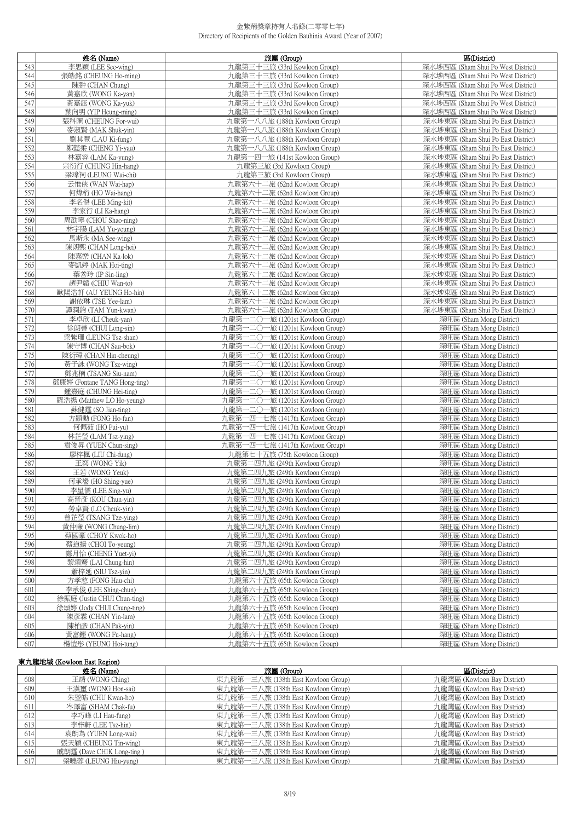|            | 姓名 (Name)                                    | 旅團 (Group)                                                         | 區(District)                                                              |
|------------|----------------------------------------------|--------------------------------------------------------------------|--------------------------------------------------------------------------|
| 543        | 李思穎 (LEE See-wing)                           | 九龍第三十三旅 (33rd Kowloon Group)                                       | 深水埗西區 (Sham Shui Po West District)                                       |
| 544        | 張皓銘 (CHEUNG Ho-ming)                         | 九龍第三十三旅 (33rd Kowloon Group)                                       | 深水埗西區 (Sham Shui Po West District)                                       |
| 545        | 陳翀 (CHAN Chung)                              | 九龍第三十三旅 (33rd Kowloon Group)                                       | 深水埗西區 (Sham Shui Po West District)                                       |
| 546        | 黃嘉欣 (WONG Ka-yan)                            | 九龍第三十三旅 (33rd Kowloon Group)                                       | 深水埗西區 (Sham Shui Po West District)                                       |
| 547        | 黃嘉鈺 (WONG Ka-yuk)                            | 九龍第三十三旅 (33rd Kowloon Group)                                       | 深水埗西區 (Sham Shui Po West District)                                       |
| 548        | 葉向明 (YIP Heung-ming)                         | 九龍第三十三旅 (33rd Kowloon Group)                                       | 深水埗西區 (Sham Shui Po West District)                                       |
| 549        | 張科匯 (CHEUNG For-wui)                         | 九龍第一八八旅 (188th Kowloon Group)                                      | 深水埗東區 (Sham Shui Po East District)                                       |
| 550        | 麥淑賢 (MAK Shuk-yin)                           | 九龍第一八八旅 (188th Kowloon Group)                                      | 深水埗東區 (Sham Shui Po East District)                                       |
| 551        | 劉其豐 (LAU Ki-fung)                            | 九龍第一八八旅 (188th Kowloon Group)                                      | 深水埗東區 (Sham Shui Po East District)                                       |
| 552        | 鄭懿柔 (CHENG Yi-yau)                           | 九龍第一八八旅 (188th Kowloon Group)                                      | 深水埗東區 (Sham Shui Po East District)                                       |
| 553        | 林嘉容 (LAM Ka-yung)                            | 九龍第一四一旅 (141st Kowloon Group)                                      | 深水埗東區 (Sham Shui Po East District)                                       |
| 554        | 宗衍行 (CHUNG Hin-hang)                         | 九龍第三旅 (3rd Kowloon Group)                                          | 深水埗東區 (Sham Shui Po East District)                                       |
|            | 梁瑋祠 (LEUNG Wai-chi)                          | 九龍第三旅 (3rd Kowloon Group)                                          | 深水埗東區 (Sham Shui Po East District)                                       |
| 555        |                                              |                                                                    |                                                                          |
| 556        | 云惟俠 (WAN Wai-hap)<br>何煒桁 (HO Wai-hang)       | 九龍第六十二旅 (62nd Kowloon Group)                                       | 深水埗東區 (Sham Shui Po East District)<br>深水埗東區 (Sham Shui Po East District) |
| 557        |                                              | 九龍第六十二旅 (62nd Kowloon Group)                                       |                                                                          |
| 558        | 李名傑 (LEE Ming-kit)                           | 九龍第六十二旅 (62nd Kowloon Group)                                       | 深水埗東區 (Sham Shui Po East District)                                       |
| 559        | 李家行 (LI Ka-hang)                             | 九龍第六十二旅 (62nd Kowloon Group)                                       | 深水埗東區 (Sham Shui Po East District)                                       |
| 560        | 周劭寧 (CHOU Shao-ning)                         | 九龍第六十二旅 (62nd Kowloon Group)                                       | 深水埗東區 (Sham Shui Po East District)                                       |
| 561        | 林宇陽 (LAM Yu-yeung)                           | 九龍第六十二旅 (62nd Kowloon Group)                                       | 深水埗東區 (Sham Shui Po East District)                                       |
| 562        | 馬斯永 (MA See-wing)                            | 九龍第六十二旅 (62nd Kowloon Group)                                       | 深水埗東區 (Sham Shui Po East District)                                       |
| 563        | 陳朗熙 (CHAN Long-hei)                          | 九龍第六十二旅 (62nd Kowloon Group)                                       | 深水埗東區 (Sham Shui Po East District)                                       |
| 564        | 陳嘉樂 (CHAN Ka-lok)                            | 九龍第六十二旅 (62nd Kowloon Group)                                       | 深水埗東區 (Sham Shui Po East District)                                       |
| 565        | 麥凱婷 (MAK Hoi-ting)                           | 九龍第六十二旅 (62nd Kowloon Group)                                       | 深水埗東區 (Sham Shui Po East District)                                       |
| 566        | 葉善玲 (IP Sin-ling)                            | 九龍第六十二旅 (62nd Kowloon Group)                                       | 深水埗東區 (Sham Shui Po East District)<br>深水埗東區 (Sham Shui Po East District) |
| 567        | 趙尹韜 (CHIU Wan-to)                            | 九龍第六十二旅 (62nd Kowloon Group)                                       |                                                                          |
| 568        | 歐陽浩軒 (AU YEUNG Ho-hin)                       | 九龍第六十二旅 (62nd Kowloon Group)                                       | 深水埗東區 (Sham Shui Po East District)                                       |
| 569        | 謝依琳 (TSE Yee-lam)                            | 九龍第六十二旅 (62nd Kowloon Group)                                       | 深水埗東區 (Sham Shui Po East District)<br>深水埗東區 (Sham Shui Po East District) |
| 570        | 譚潤鈞 (TAM Yun-kwan)                           | 九龍第六十二旅 (62nd Kowloon Group)                                       |                                                                          |
| 571        | 李卓欣 (LI Cheuk-yan)                           | 九龍第一二〇一旅 (1201st Kowloon Group)                                    | 深旺區 (Sham Mong District)                                                 |
| 572<br>573 | 徐朗善 (CHUI Long-sin)                          | 九龍第一二〇一旅 (1201st Kowloon Group)<br>九龍第一二〇一旅 (1201st Kowloon Group) | 深旺區 (Sham Mong District)                                                 |
| 574        | 梁紫珊 (LEUNG Tsz-shan)<br>陳守博 (CHAN Sau-bok)   |                                                                    | 深旺區 (Sham Mong District)                                                 |
| 575        |                                              | 九龍第一二〇一旅 (1201st Kowloon Group)<br>九龍第一二〇一旅 (1201st Kowloon Group) | 深旺區 (Sham Mong District)                                                 |
| 576        | 陳衍璋 (CHAN Hin-cheung)<br>黃子詠 (WONG Tsz-wing) | 九龍第一二〇一旅 (1201st Kowloon Group)                                    | 深旺區 (Sham Mong District)<br>深旺區 (Sham Mong District)                     |
| 577        | 鄧兆楠 (TSANG Siu-nam)                          | 九龍第一二〇一旅 (1201st Kowloon Group)                                    | 深旺區 (Sham Mong District)                                                 |
| 578        | 鄧康婷 (Fontane TANG Hong-ting)                 | 九龍第一二〇一旅 (1201st Kowloon Group)                                    | 深旺區 (Sham Mong District)                                                 |
| 579        | 鍾熹庭 (CHUNG Hei-ting)                         | 九龍第一二〇一旅 (1201st Kowloon Group)                                    | 深旺區 (Sham Mong District)                                                 |
| 580        | 羅浩揚 (Matthew LO Ho-yeung)                    | 九龍第一二〇一旅 (1201st Kowloon Group)                                    | 深旺區 (Sham Mong District)                                                 |
| 581        | 蘇健霆 (SO Jian-ting)                           | 九龍第一二〇一旅 (1201st Kowloon Group)                                    | 深旺區 (Sham Mong District)                                                 |
| 582        | 方顥勳 (FONG Ho-fan)                            | 九龍第一四一七旅 (1417th Kowloon Group)                                    | 深旺區 (Sham Mong District)                                                 |
| 583        | 何佩茹 (HO Pui-yu)                              | 九龍第一四一七旅 (1417th Kowloon Group)                                    | 深旺區 (Sham Mong District)                                                 |
| 584        | 林芷瑩 (LAM Tsz-ying)                           | 九龍第一四一七旅 (1417th Kowloon Group)                                    | 深旺區 (Sham Mong District)                                                 |
| 585        | 袁俊昇 (YUEN Chun-sing)                         | 九龍第一四一七旅 (1417th Kowloon Group)                                    | 深旺區 (Sham Mong District)                                                 |
| 586        | 廖梓楓 (LIU Chi-fung)                           | 九龍第七十五旅 (75th Kowloon Group)                                       | 深旺區 (Sham Mong District)                                                 |
| 587        | 王奕 (WONG Yik)                                | 九龍第二四九旅 (249th Kowloon Group)                                      | 深旺區 (Sham Mong District)                                                 |
| 588        | 王若 (WONG Yeuk)                               | 九龍第二四九旅 (249th Kowloon Group)                                      | 深旺區 (Sham Mong District)                                                 |
| 589        | 何承譽 (HO Shing-yue)                           | 九龍第二四九旅 (249th Kowloon Group)                                      | 深旺區 (Sham Mong District)                                                 |
| 590        | 李星儒 (LEE Sing-yu)                            | 九龍第二四九旅 (249th Kowloon Group)                                      | 深旺區 (Sham Mong District)                                                 |
| 591        | 高晉彥 (KOU Chun-yin)                           | 九龍第二四九旅 (249th Kowloon Group)                                      | 深旺區 (Sham Mong District)                                                 |
| 592        | 勞卓賢 (LO Cheuk-yin)                           | 九龍第二四九旅 (249th Kowloon Group)                                      | 深旺區 (Sham Mong District)                                                 |
| 593        | 曾芷瑩 (TSANG Tze-ying)                         | 九龍第二四九旅 (249th Kowloon Group)                                      | 深旺區 (Sham Mong District)                                                 |
| 594        | 黃仲廉 (WONG Chung-lim)                         | 九龍第二四九旅 (249th Kowloon Group)                                      | 深旺區 (Sham Mong District)                                                 |
| 595        | 蔡國豪 (CHOY Kwok-ho)                           | 九龍第二四九旅 (249th Kowloon Group)                                      | 深旺區 (Sham Mong District)                                                 |
| 596        | 蔡道揚 (CHOI To-yeung)                          | 九龍第二四九旅 (249th Kowloon Group)                                      | 深旺區 (Sham Mong District)                                                 |
| 597        | 鄭月怡 (CHENG Yuet-yi)                          | 九龍第二四九旅 (249th Kowloon Group)                                      | 深旺區 (Sham Mong District)                                                 |
| 598        | 黎頌騫 (LAI Chung-hin)                          | 九龍第二四九旅 (249th Kowloon Group)                                      | 深旺區 (Sham Mong District)                                                 |
| 599        | 蕭梓延 (SIU Tsz-yin)                            | 九龍第二四九旅 (249th Kowloon Group)                                      | 深旺區 (Sham Mong District)                                                 |
| 600        | 方孝慈 (FONG Hau-chi)                           | 九龍第六十五旅 (65th Kowloon Group)                                       | 深旺區 (Sham Mong District)                                                 |
| 601        | 李承俊 (LEE Shing-chun)                         | 九龍第六十五旅 (65th Kowloon Group)                                       | 深旺區 (Sham Mong District)                                                 |
| 602        | 徐振庭 (Justin CHUI Chun-ting)                  | 九龍第六十五旅 (65th Kowloon Group)                                       | 深旺區 (Sham Mong District)                                                 |
| 603        | 徐頌婷 (Jody CHUI Chung-ting)                   | 九龍第六十五旅 (65th Kowloon Group)                                       | 深旺區 (Sham Mong District)                                                 |
| 604        | 陳彥霖 (CHAN Yin-lam)                           | 九龍第六十五旅 (65th Kowloon Group)                                       | 深旺區 (Sham Mong District)                                                 |
| 605        | 陳柏彥 (CHAN Pak-yin)                           | 九龍第六十五旅 (65th Kowloon Group)                                       | 深旺區 (Sham Mong District)                                                 |
| 606        | 黃富鏗 (WONG Fu-hang)                           | 九龍第六十五旅 (65th Kowloon Group)                                       | 深旺區 (Sham Mong District)                                                 |
| 607        | 楊愷彤 (YEUNG Hoi-tung)                         | 九龍第六十五旅 (65th Kowloon Group)                                       | 深旺區 (Sham Mong District)                                                 |
|            |                                              |                                                                    |                                                                          |

## 東九龍地域 (Kowloon East Region)

|     | 姓名 (Name)                 | 旅團 (Group)                          | 區(District)                 |
|-----|---------------------------|-------------------------------------|-----------------------------|
| 608 | 王靖 (WONG Ching)           | 東九龍第一三八旅 (138th East Kowloon Group) | 九龍灣區 (Kowloon Bay District) |
| 609 | 王漢璽 (WONG Hon-sai)        | 東九龍第一三八旅 (138th East Kowloon Group) | 九龍灣區 (Kowloon Bay District) |
| 610 | 朱堃皓 (CHU Kwan-ho)         | 東九龍第一三八旅 (138th East Kowloon Group) | 九龍灣區 (Kowloon Bay District) |
| 611 | 岑澤富 (SHAM Chak-fu)        | 東九龍第一三八旅 (138th East Kowloon Group) | 九龍灣區 (Kowloon Bay District) |
| 612 | 李巧峰 (LI Hau-fung)         | 東九龍第一三八旅 (138th East Kowloon Group) | 九龍灣區 (Kowloon Bay District) |
| 613 | 李梓軒 (LEE Tsz-hin)         | 東九龍第一三八旅 (138th East Kowloon Group) | 九龍灣區 (Kowloon Bay District) |
| 614 | 袁朗為 (YUEN Long-wai)       | 東九龍第一三八旅 (138th East Kowloon Group) | 九龍灣區 (Kowloon Bay District) |
| 615 | 張天穎 (CHEUNG Tin-wing)     | 東九龍第一三八旅 (138th East Kowloon Group) | 九龍灣區 (Kowloon Bay District) |
| 616 | 戚朗霆 (Dave CHIK Long-ting) | 東九龍第一三八旅 (138th East Kowloon Group) | 九龍灣區 (Kowloon Bay District) |
| 617 | 梁曉蓉 (LEUNG Hiu-yung)      | 東九龍第一三八旅 (138th East Kowloon Group) | 九龍灣區 (Kowloon Bay District) |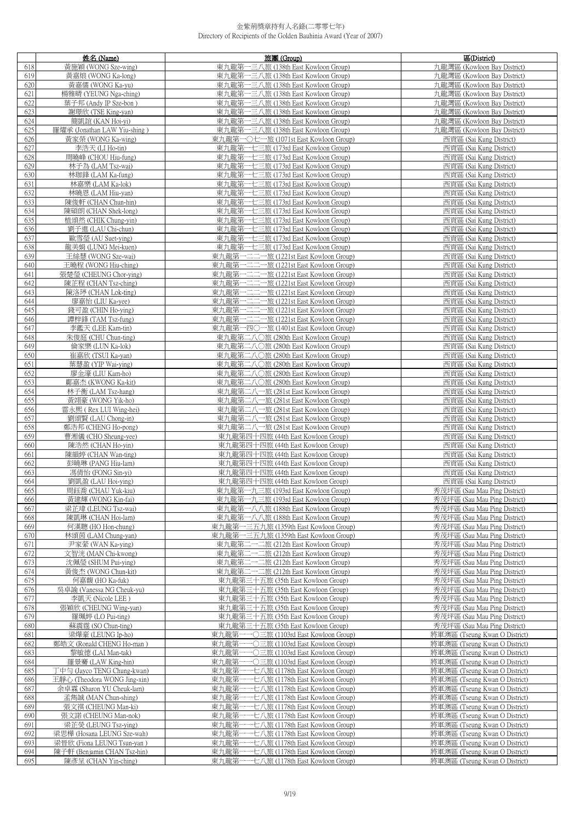|     | 姓名 (Name)                    | 旅團 (Group)                                | 區(District)                   |
|-----|------------------------------|-------------------------------------------|-------------------------------|
| 618 | 黃施穎 (WONG Sze-wing)          | 東九龍第一三八旅 (138th East Kowloon Group)       | 九龍灣區 (Kowloon Bay District)   |
| 619 | 黃嘉烺 (WONG Ka-long)           | 東九龍第一三八旅 (138th East Kowloon Group)       | 九龍灣區 (Kowloon Bay District)   |
| 620 | 黃嘉儒 (WONG Ka-yu)             | 東九龍第一三八旅 (138th East Kowloon Group)       | 九龍灣區 (Kowloon Bay District)   |
| 621 | 楊雅晴 (YEUNG Nga-ching)        | 東九龍第一三八旅 (138th East Kowloon Group)       | 九龍灣區 (Kowloon Bay District)   |
| 622 | 葉子邦 (Andy IP Sze-bon)        | 東九龍第一三八旅 (138th East Kowloon Group)       | 九龍灣區 (Kowloon Bay District)   |
| 623 | 謝璟欣 (TSE King-yan)           | 東九龍第一三八旅 (138th East Kowloon Group)       | 九龍灣區 (Kowloon Bay District)   |
| 624 | 簡凱誼 (KAN Hoi-yi)             | 東九龍第一三八旅 (138th East Kowloon Group)       | 九龍灣區 (Kowloon Bay District)   |
| 625 | 羅燿承 (Jonathan LAW Yiu-shing) | 東九龍第一三八旅 (138th East Kowloon Group)       | 九龍灣區 (Kowloon Bay District)   |
| 626 | 黃家榮 (WONG Ka-wing)           | 東九龍第一〇七一旅 (1071st East Kowloon Group)     | 西貢區 (Sai Kung District)       |
| 627 |                              |                                           |                               |
|     | 李浩天 (LI Ho-tin)              | 東九龍第一七三旅 (173rd East Kowloon Group)       | 西貢區 (Sai Kung District)       |
| 628 | 周曉峰 (CHOU Hiu-fung)          | 東九龍第一七三旅 (173rd East Kowloon Group)       | 西貢區 (Sai Kung District)       |
| 629 | 林子為 (LAM Tsz-wai)            | 東九龍第一七三旅 (173rd East Kowloon Group)       | 西貢區 (Sai Kung District)       |
| 630 | 林珈鋒 (LAM Ka-fung)            | 東九龍第一七三旅 (173rd East Kowloon Group)       | 西貢區 (Sai Kung District)       |
| 631 | 林嘉樂 (LAM Ka-lok)             | 東九龍第一七三旅 (173rd East Kowloon Group)       | 西貢區 (Sai Kung District)       |
| 632 | 林曉恩 (LAM Hiu-yan)            | 東九龍第一七三旅 (173rd East Kowloon Group)       | 西貢區 (Sai Kung District)       |
| 633 | 陳俊軒 (CHAN Chun-hin)          | 東九龍第一七三旅 (173rd East Kowloon Group)       | 西貢區 (Sai Kung District)       |
| 634 | 陳碩朗 (CHAN Shek-long)         | 東九龍第一七三旅 (173rd East Kowloon Group)       | 西貢區 (Sai Kung District)       |
| 635 | 植頌然 (CHIK Chung-yin)         | 東九龍第一七三旅 (173rd East Kowloon Group)       | 西貢區 (Sai Kung District)       |
| 636 | 劉子進 (LAU Chi-chun)           | 東九龍第一七三旅 (173rd East Kowloon Group)       | 西貢區 (Sai Kung District)       |
| 637 | 歐雪瑩 (AU Suet-ying)           | 東九龍第一七三旅 (173rd East Kowloon Group)       | 西貢區 (Sai Kung District)       |
| 638 | 龍美娟 (LUNG Mei-kuen)          | 東九龍第一七三旅 (173rd East Kowloon Group)       | 西貢區 (Sai Kung District)       |
| 639 | 王絲慧 (WONG Sze-wai)           | 東九龍第一二二一旅 (1221st East Kowloon Group)     | 西貢區 (Sai Kung District)       |
| 640 | 王曉程 (WONG Hiu-ching)         | 東九龍第一二二一旅 (1221st East Kowloon Group)     | 西貢區 (Sai Kung District)       |
| 641 | 張楚瑩 (CHEUNG Chor-ying)       | 東九龍第一二二一旅 (1221st East Kowloon Group)     | 西貢區 (Sai Kung District)       |
| 642 | 陳芷程 (CHAN Tsz-ching)         | 東九龍第一二二一旅 (1221st East Kowloon Group)     | 西貢區 (Sai Kung District)       |
| 643 | 陳洛弴 (CHAN Lok-ting)          | 東九龍第一二二一旅 (1221st East Kowloon Group)     | 西貢區 (Sai Kung District)       |
| 644 | 廖嘉怡 (LIU Ka-yee)             | 東九龍第一二二一旅 (1221st East Kowloon Group)     | 西貢區 (Sai Kung District)       |
| 645 | 錢可盈 (CHIN Ho-ying)           | 東九龍第一二二一旅 (1221st East Kowloon Group)     | 西貢區 (Sai Kung District)       |
| 646 | 譚梓鋒 (TAM Tsz-fung)           | 東九龍第一二二一旅 (1221st East Kowloon Group)     | 西貢區 (Sai Kung District)       |
| 647 | 李鑑天 (LEE Kam-tin)            | 東九龍第一四〇一旅 (1401st East Kowloon Group)     | 西貢區 (Sai Kung District)       |
|     |                              |                                           |                               |
| 648 | 朱俊庭 (CHU Chun-ting)          | 東九龍第二八〇旅 (280th East Kowloon Group)       | 西貢區 (Sai Kung District)       |
| 649 | 倫家樂 (LUN Ka-lok)             | 東九龍第二八○旅 (280th East Kowloon Group)       | 西貢區 (Sai Kung District)       |
| 650 | 崔嘉欣 (TSUI Ka-yan)            | 東九龍第二八〇旅 (280th East Kowloon Group)       | 西貢區 (Sai Kung District)       |
| 651 | 葉慧盈 (YIP Wai-ying)           | 東九龍第二八○旅 (280th East Kowloon Group)       | 西貢區 (Sai Kung District)       |
| 652 | 廖金濠 (LIU Kam-ho)             | 東九龍第二八〇旅 (280th East Kowloon Group)       | 西貢區 (Sai Kung District)       |
| 653 | 鄺嘉杰 (KWONG Ka-kit)           | 東九龍第二八〇旅 (280th East Kowloon Group)       | 西貢區 (Sai Kung District)       |
| 654 | 林子衡 (LAM Tsz-hang)           | 東九龍第二八一旅 (281st East Kowloon Group)       | 西貢區 (Sai Kung District)       |
| 655 | 黃翊豪 (WONG Yik-ho)            | 東九龍第二八一旅 (281st East Kowloon Group)       | 西貢區 (Sai Kung District)       |
| 656 | 雷永熙 ( Rex LUI Wing-hei)      | 東九龍第二八一旅 (281st East Kowloon Group)       | 西貢區 (Sai Kung District)       |
| 657 | 劉頌賢 (LAU Chong-in)           | 東九龍第二八一旅 (281st East Kowloon Group)       | 西貢區 (Sai Kung District)       |
| 658 | 鄭浩邦 (CHENG Ho-pong)          | 東九龍第二八一旅 (281st East Kowloon Group)       | 西貢區 (Sai Kung District)       |
| 659 | 曹湘儀 (CHO Sheung-yee)         | 東九龍第四十四旅 (44th East Kowloon Group)        | 西貢區 (Sai Kung District)       |
| 660 | 陳浩然 (CHAN Ho-yin)            | 東九龍第四十四旅 (44th East Kowloon Group)        | 西貢區 (Sai Kung District)       |
| 661 | 陳韻婷 (CHAN Wan-ting)          | 東九龍第四十四旅 (44th East Kowloon Group)        | 西貢區 (Sai Kung District)       |
| 662 | 彭曉琳 (PANG Hiu-lam)           | 東九龍第四十四旅 (44th East Kowloon Group)        | 西貢區 (Sai Kung District)       |
| 663 | 馮倩怡 (FONG Sin-yi)            | 東九龍第四十四旅 (44th East Kowloon Group)        | 西貢區 (Sai Kung District)       |
| 664 | 劉凱盈 (LAU Hoi-ying)           | 東九龍第四十四旅 (44th East Kowloon Group)        | 西貢區 (Sai Kung District)       |
| 665 | 周鈺喬 (CHAU Yuk-kiu)           | 東九龍弟一九三旅 (193rd East Kowloon Group)       | 秀戊坪區 (Sau Mau Ping District)  |
| 666 | 黃建輝 (WONG Kin-fai)           | 東九龍第一九三旅 (193rd East Kowloon Group)       | 秀茂坪區 (Sau Mau Ping District)  |
| 667 | 梁芷瑋 (LEUNG Tsz-wai)          | 東九龍第一八八旅 (188th East Kowloon Group)       | 秀茂坪區 (Sau Mau Ping District)  |
| 668 | 陳凱琳 (CHAN Hoi-lam)           | 東九龍第一八八旅 (188th East Kowloon Group)       | 秀茂坪區 (Sau Mau Ping District)  |
| 669 | 何漢聰 (HO Hon-chung)           | 東九龍第一三五九旅 (1359th East Kowloon Group)     | 秀茂坪區 (Sau Mau Ping District)  |
| 670 | 林頌茵 (LAM Chung-yan)          | 東九龍第一三五九旅 (1359th East Kowloon Group)     | 秀茂坪區 (Sau Mau Ping District)  |
| 671 | 尹家縈 (WAN Ka-ying)            | 東九龍第二一二旅 (212th East Kowloon Group)       | 秀茂坪區 (Sau Mau Ping District)  |
| 672 | 文智洸 (MAN Chi-kwong)          | 東九龍第二一二旅 (212th East Kowloon Group)       | 秀茂坪區 (Sau Mau Ping District)  |
| 673 | 沈佩瑩 (SHUM Pui-ying)          | 東九龍第二一二旅 (212th East Kowloon Group)       | 秀茂坪區 (Sau Mau Ping District)  |
| 674 | 黃俊杰 (WONG Chun-kit)          | 東九龍第二一二旅 (212th East Kowloon Group)       | 秀茂坪區 (Sau Mau Ping District)  |
| 675 | 何嘉馥 (HO Ka-fuk)              | 東九龍第三十五旅 (35th East Kowloon Group)        | 秀茂坪區 (Sau Mau Ping District)  |
| 676 | 吳卓諭 (Vanessa NG Cheuk-yu)    | 東九龍第三十五旅 (35th East Kowloon Group)        | 秀茂坪區 (Sau Mau Ping District)  |
| 677 | 李凱天 (Nicole LEE)             | 東九龍第三十五旅 (35th East Kowloon Group)        | 秀茂坪區 (Sau Mau Ping District)  |
| 678 | 張穎欣 (CHEUNG Wing-yan)        | 東九龍第三十五旅 (35th East Kowloon Group)        | 秀茂坪區 (Sau Mau Ping District)  |
| 679 | 羅珮婷 (LO Pui-ting)            | 東九龍第三十五旅 (35th East Kowloon Group)        | 秀茂坪區 (Sau Mau Ping District)  |
|     |                              |                                           |                               |
| 680 | 蘇震霆 (SO Chun-ting)           | 東九龍第三十五旅 (35th East Kowloon Group)        | 秀茂坪區 (Sau Mau Ping District)  |
| 681 | 梁燁豪 (LEUNG Ip-ho)            | 東九龍第一<br>一〇三旅 (1103rd East Kowloon Group) | 將軍澳區 (Tseung Kwan O District) |
| 682 | 鄭皓文 (Ronald CHENG Ho-man)    | 東九龍第-                                     | 將軍澳區 (Tseung Kwan O District) |
| 683 | 黎敏德 (LAI Man-tak)            | 一〇三旅 (1103rd East Kowloon Group)<br>東九龍第一 | 將軍澳區 (Tseung Kwan O District) |
| 684 | 羅景騫 (LAW King-hin)           | 東九龍第<br>一〇三旅 (1103rd East Kowloon Group)  | 將軍澳區 (Tseung Kwan O District) |
| 685 | 丁中勻 (Jayco TENG Chung-kwan)  | 東九龍第<br>一七八旅 (1178th East Kowloon Group)  | 將軍澳區 (Tseung Kwan O District) |
| 686 | 王靜心 (Theodora WONG Jing-xin) | ・七八旅 (1178th East Kowloon Group)<br>東九龍第  | 將軍澳區 (Tseung Kwan O District) |
| 687 | 余卓霖 (Sharon YU Cheuk-lam)    | -七八旅 (1178th East Kowloon Group)<br>東九龍第  | 將軍澳區 (Tseung Kwan O District) |
| 688 | 孟雋誠 (MAN Chun-shing)         | ·七八旅 (1178th East Kowloon Group)<br>東九龍第一 | 將軍澳區 (Tseung Kwan O District) |
| 689 | 張文祺 (CHEUNG Man-ki)          | 東九龍第<br>七八旅 (1178th East Kowloon Group)   | 將軍澳區 (Tseung Kwan O District) |
| 690 | 張文諾 (CHEUNG Man-nok)         | 東九龍第一<br>・七八旅 (1178th East Kowloon Group) | 將軍澳區 (Tseung Kwan O District) |
| 691 | 梁芷熒 (LEUNG Tsz-ying)         | 東九龍第<br>·七八旅 (1178th East Kowloon Group)  | 將軍澳區 (Tseung Kwan O District) |
| 692 | 梁思樺 (Hosana LEUNG Sze-wah)   | 東九龍第-<br>·七八旅 (1178th East Kowloon Group) | 將軍澳區 (Tseung Kwan O District) |
| 693 | 梁晉欣 (Fiona LEUNG Tsun-yan)   | 東九龍第<br>·七八旅 (1178th East Kowloon Group)  | 將軍澳區 (Tseung Kwan O District) |
| 694 | 陳子軒 (Benjamin CHAN Tsz-hin)  | 東九龍第<br>-七八旅 (1178th East Kowloon Group)  | 將軍澳區 (Tseung Kwan O District) |
| 695 | 陳彥呈 (CHAN Yin-ching)         | 東九龍第一<br>一七八旅 (1178th East Kowloon Group) | 將軍澳區 (Tseung Kwan O District) |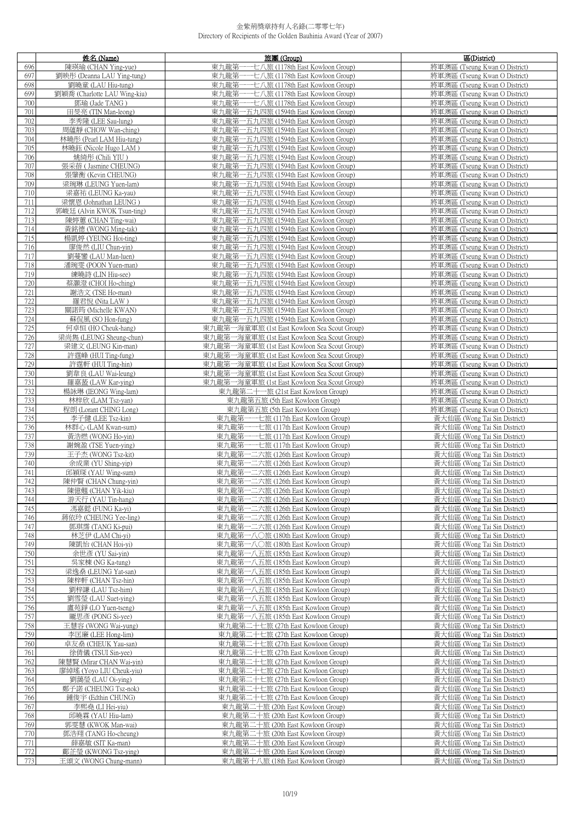|            | 姓名 (Name)                                | 旅團 (Group)                                                                     | 區(District)                                                  |
|------------|------------------------------------------|--------------------------------------------------------------------------------|--------------------------------------------------------------|
| 696        | 陳瑛瑜 (CHAN Ying-yue)                      | 東九龍第<br>-七八旅 (1178th East Kowloon Group)                                       | 將軍澳區 (Tseung Kwan O District)                                |
| 697        | 劉映彤 (Deanna LAU Ying-tung)               | 東九龍第<br>----七八旅 (1178th East Kowloon Group)                                    | 將軍澳區 (Tseung Kwan O District)                                |
| 698        | 劉曉章 (LAU Hiu-tung)                       | ---七八旅 (1178th East Kowloon Group)<br>東九龍第一                                    | 將軍澳區 (Tseung Kwan O District)                                |
| 699        | 劉穎喬 (Charlotte LAU Wing-kiu)             | ---七八旅 (1178th East Kowloon Group)<br>東九龍第                                     | 將軍澳區 (Tseung Kwan O District)                                |
| 700        | 鄧瑜 (Jade TANG)                           | 東九龍第一一七八旅 (1178th East Kowloon Group)                                          | 將軍澳區 (Tseung Kwan O District)                                |
| 701        | 田旻亮 (TIN Man-leong)                      | 東九龍第一五九四旅 (1594th East Kowloon Group)                                          | 將軍澳區 (Tseung Kwan O District)                                |
| 702        | 李秀隆 (LEE Sau-lung)                       | 東九龍第一五九四旅 (1594th East Kowloon Group)                                          | 將軍澳區 (Tseung Kwan O District)                                |
| 703        | 周蘊靜 (CHOW Wan-ching)                     | 東九龍第一五九四旅 (1594th East Kowloon Group)                                          | 將軍澳區 (Tseung Kwan O District)                                |
| 704        | 林曉彤 (Pearl LAM Hiu-tung)                 | 東九龍第一五九四旅 (1594th East Kowloon Group)                                          | 將軍澳區 (Tseung Kwan O District)                                |
| 705        | 林曉鈺 (Nicole Hugo LAM)                    | 東九龍第一五九四旅 (1594th East Kowloon Group)                                          | 將軍澳區 (Tseung Kwan O District)                                |
| 706        | 姚綺彤 (Chili YIU)                          | 東九龍第一五九四旅 (1594th East Kowloon Group)                                          | 將軍澳區 (Tseung Kwan O District)                                |
| 707        | 張采蓓 (Jasmine CHEUNG)                     | 東九龍第一五九四旅 (1594th East Kowloon Group)                                          | 將軍澳區 (Tseung Kwan O District)                                |
| 708        | 張肇衡 (Kevin CHEUNG)                       | 東九龍第一五九四旅 (1594th East Kowloon Group)                                          | 將軍澳區 (Tseung Kwan O District)                                |
| 709        | 梁琬琳 (LEUNG Yuen-lam)                     | 東九龍第一五九四旅 (1594th East Kowloon Group)                                          | 將軍澳區 (Tseung Kwan O District)                                |
| 710        | 梁嘉祐 (LEUNG Ka-yau)                       | 東九龍第一五九四旅 (1594th East Kowloon Group)                                          | 將軍澳區 (Tseung Kwan O District)                                |
| 711        | 梁懷恩 (Johnathan LEUNG)                    | 東九龍第一五九四旅 (1594th East Kowloon Group)                                          | 將軍澳區 (Tseung Kwan O District)                                |
| 712        | 郭峻廷 (Alvin KWOK Tsun-ting)               | 東九龍第一五九四旅 (1594th East Kowloon Group)                                          | 將軍澳區 (Tseung Kwan O District)                                |
| 713        | 陳婷蕙 (CHAN Ting-wai)                      | 東九龍第一五九四旅 (1594th East Kowloon Group)                                          | 將軍澳區 (Tseung Kwan O District)                                |
| 714        | 黃銘德 (WONG Ming-tak)                      | 東九龍第一五九四旅 (1594th East Kowloon Group)                                          | 將軍澳區 (Tseung Kwan O District)                                |
| 715        | 楊凱婷 (YEUNG Hoi-ting)                     | 東九龍第一五九四旅 (1594th East Kowloon Group)                                          | 將軍澳區 (Tseung Kwan O District)                                |
| 716        | 廖俊然 (LIU Chun-yin)                       | 東九龍第一五九四旅 (1594th East Kowloon Group)                                          | 將軍澳區 (Tseung Kwan O District)                                |
| 717        |                                          | 東九龍第一五九四旅 (1594th East Kowloon Group)                                          |                                                              |
|            | 劉蔓鑾 (LAU Man-luen)                       |                                                                                | 將軍澳區 (Tseung Kwan O District)                                |
| 718<br>719 | 潘琬雯 (POON Yuen-man)<br>練曉詩 (LIN Hiu-see) | 東九龍第一五九四旅 (1594th East Kowloon Group)<br>東九龍第一五九四旅 (1594th East Kowloon Group) | 將軍澳區 (Tseung Kwan O District)                                |
| 720        | 蔡灝澄 (CHOI Ho-ching)                      |                                                                                | 將軍澳區 (Tseung Kwan O District)                                |
|            |                                          | 東九龍第一五九四旅 (1594th East Kowloon Group)                                          | 將軍澳區 (Tseung Kwan O District)                                |
| 721        | 謝浩文 (TSE Ho-man)<br>羅君悅 (Nita LAW)       | 東九龍第一五九四旅 (1594th East Kowloon Group)                                          | 將軍澳區 (Tseung Kwan O District)                                |
| 722        |                                          | 東九龍第一五九四旅 (1594th East Kowloon Group)                                          | 將軍澳區 (Tseung Kwan O District)                                |
| 723<br>724 | 關諾筠 (Michelle KWAN)<br>蘇侃風 (SO Hon-fung) | 東九龍第一五九四旅 (1594th East Kowloon Group)                                          | 將軍澳區 (Tseung Kwan O District)                                |
|            |                                          | 東九龍第一五九四旅 (1594th East Kowloon Group)                                          | 將軍澳區 (Tseung Kwan O District)                                |
| 725        | 何卓恒 (HO Cheuk-hang)                      | 東九龍第一海童軍旅 (1st East Kowloon Sea Scout Group)                                   | 將軍澳區 (Tseung Kwan O District)                                |
| 726        | 梁尚雋 (LEUNG Sheung-chun)                  | 東九龍第一海童軍旅 (1st East Kowloon Sea Scout Group)                                   | 將軍澳區 (Tseung Kwan O District)                                |
| 727        | 梁建文 (LEUNG Kin-man)                      | 東九龍第一海童軍旅 (1st East Kowloon Sea Scout Group)                                   | 將軍澳區 (Tseung Kwan O District)                                |
| 728        | 許霆峰 (HUI Ting-fung)                      | 東九龍第一海童軍旅 (1st East Kowloon Sea Scout Group)                                   | 將軍澳區 (Tseung Kwan O District)                                |
| 729        | 許霆軒 (HUI Ting-hin)                       | 東九龍第一海童軍旅 (1st East Kowloon Sea Scout Group)                                   | 將軍澳區 (Tseung Kwan O District)                                |
| 730        | 劉韋良 (LAU Wai-leung)                      | 東九龍第一海童軍旅 (1st East Kowloon Sea Scout Group)                                   | 將軍澳區 (Tseung Kwan O District)                                |
| 731        | 羅嘉萾 (LAW Kar-ying)                       | 東九龍第一海童軍旅 (1st East Kowloon Sea Scout Group)                                   | 將軍澳區 (Tseung Kwan O District)                                |
| 732        | 楊詠琳 (IEONG Wing-lam)                     | 東九龍第二十一旅 (21st East Kowloon Group)                                             | 將軍澳區 (Tseung Kwan O District)                                |
| 733        | 林梓欣 (LAM Tsz-yan)                        | 東九龍第五旅 (5th East Kowloon Group)                                                | 將軍澳區 (Tseung Kwan O District)                                |
| 734        | 程朗 (Lorant CHING Long)                   | 東九龍第五旅 (5th East Kowloon Group)                                                | 將軍澳區 (Tseung Kwan O District)                                |
| 735        | 李子健 (LEE Tsz-kin)                        | 東九龍第一一七旅 (117th East Kowloon Group)                                            | 黃大仙區 (Wong Tai Sin District)                                 |
| 736        | 林群心 (LAM Kwan-sum)                       | 東九龍第一一七旅 (117th East Kowloon Group)                                            | 黃大仙區 (Wong Tai Sin District)                                 |
| 737        | 黃浩燃 (WONG Ho-yin)                        | 東九龍第一一七旅 (117th East Kowloon Group)                                            | 黃大仙區 (Wong Tai Sin District)                                 |
| 738<br>739 | 謝婉盈 (TSE Yuen-ying)                      | 東九龍第一一七旅 (117th East Kowloon Group)                                            | 黃大仙區 (Wong Tai Sin District)                                 |
| 740        | 王子杰 (WONG Tsz-kit)                       | 東九龍第一二六旅 (126th East Kowloon Group)<br>東九龍第一二六旅 (126th East Kowloon Group)     | 黃大仙區 (Wong Tai Sin District)                                 |
| 741        | 余成業 (YU Shing-yip)<br>邱穎琛 (YAU Wing-sum) | 東九龍第一二六旅 (126th East Kowloon Group)                                            | 黃大仙區 (Wong Tai Sin District)<br>黃大仙區 (Wong Tai Sin District) |
| 742        | 陳仲賢 (CHAN Chung-yin)                     | 東九龍第一二六旅 (126th East Kowloon Group)                                            | 黃大仙區 (Wong Tai Sin District)                                 |
| 743        | 陳億翹 (CHAN Yik-kiu)                       | 東九龍弟一二六旅 (126th East Kowloon Group)                                            | <u>黃大仙區 (Wong Tai Sin District)</u>                          |
| 744        | 游天行 (YAU Tin-hang)                       | 東九龍第一二六旅 (126th East Kowloon Group)                                            | 黃大仙區 (Wong Tai Sin District)                                 |
| 745        | 馮嘉懿 (FUNG Ka-yi)                         | 東九龍第一二六旅 (126th East Kowloon Group)                                            | 黃大仙區 (Wong Tai Sin District)                                 |
| 746        | 蔣依玲 (CHEUNG Yee-ling)                    | 東九龍第一二六旅 (126th East Kowloon Group)                                            | 黃大仙區 (Wong Tai Sin District)                                 |
| 747        | 鄧琪霈 (TANG Ki-pui)                        | 東九龍第一二六旅 (126th East Kowloon Group)                                            | 黃大仙區 (Wong Tai Sin District)                                 |
| 748        | 林芝伊 (LAM Chi-yi)                         | 東九龍第一八〇旅 (180th East Kowloon Group)                                            | 黃大仙區 (Wong Tai Sin District)                                 |
| 749        | 陳凱怡 (CHAN Hoi-yi)                        | 東九龍第一八〇旅 (180th East Kowloon Group)                                            | 黃大仙區 (Wong Tai Sin District)                                 |
| 750        | 余世彥 (YU Sai-yin)                         | 東九龍第一八五旅 (185th East Kowloon Group)                                            | 黃大仙區 (Wong Tai Sin District)                                 |
| 751        | 吳家棟 (NG Ka-tung)                         | 東九龍第一八五旅 (185th East Kowloon Group)                                            | 黃大仙區 (Wong Tai Sin District)                                 |
| 752        | 梁逸桑 (LEUNG Yat-san)                      | 東九龍第一八五旅 (185th East Kowloon Group)                                            | 黃大仙區 (Wong Tai Sin District)                                 |
| 753        | 陳梓軒 (CHAN Tsz-hin)                       | 東九龍第一八五旅 (185th East Kowloon Group)                                            | 黃大仙區 (Wong Tai Sin District)                                 |
| 754        | 劉梓謙 (LAU Tsz-him)                        | 東九龍第一八五旅 (185th East Kowloon Group)                                            | 黃大仙區 (Wong Tai Sin District)                                 |
| 755        | 劉雪瑩 (LAU Suet-ying)                      | 東九龍第一八五旅 (185th East Kowloon Group)                                            | 黃大仙區 (Wong Tai Sin District)                                 |
| 756        | 盧苑錚 (LO Yuen-tseng)                      | 東九龍第一八五旅 (185th East Kowloon Group)                                            | 黃大仙區 (Wong Tai Sin District)                                 |
| 757        | 麗思彥 (PONG Si-yee)                        | 東九龍第一八五旅 (185th East Kowloon Group)                                            | 黃大仙區 (Wong Tai Sin District)                                 |
| 758        | 王慧容 (WONG Wai-yung)                      | 東九龍第二十七旅 (27th East Kowloon Group)                                             | 黃大仙區 (Wong Tai Sin District)                                 |
| 759        | 李匡廉 (LEE Hong-lim)                       | 東九龍第二十七旅 (27th East Kowloon Group)                                             | 黃大仙區 (Wong Tai Sin District)                                 |
| 760        | 卓友桑 (CHEUK Yau-san)                      | 東九龍第二十七旅 (27th East Kowloon Group)                                             | 黃大仙區 (Wong Tai Sin District)                                 |
| 761        | 徐倩儀 (TSUI Sin-yee)                       | 東九龍第二十七旅 (27th East Kowloon Group)                                             | 黃大仙區 (Wong Tai Sin District)                                 |
| 762        | 陳慧賢 (Mirar CHAN Wai-yin)                 | 東九龍第二十七旅 (27th East Kowloon Group)                                             | 黃大仙區 (Wong Tai Sin District)                                 |
| 763        | 廖綽瑤 (Yoyo LIU Cheuk-yiu)                 | 東九龍第二十七旅 (27th East Kowloon Group)                                             | 黃大仙區 (Wong Tai Sin District)                                 |
| 764        | 劉藹瑩 (LAU Oi-ying)                        | 東九龍第二十七旅 (27th East Kowloon Group)                                             | 黃大仙區 (Wong Tai Sin District)                                 |
| 765        | 鄭子諾 (CHEUNG Tsz-nok)                     | 東九龍第二十七旅 (27th East Kowloon Group)                                             | 黃大仙區 (Wong Tai Sin District)                                 |
| 766        | 鍾俊宇 (Edthin CHUNG)                       | 東九龍第二十七旅 (27th East Kowloon Group)                                             | 黃大仙區 (Wong Tai Sin District)                                 |
| 767        | 李熙堯 (LI Hei-yiu)                         | 東九龍第二十旅 (20th East Kowloon Group)                                              | 黃大仙區 (Wong Tai Sin District)                                 |
| 768        | 邱曉霖 (YAU Hiu-lam)                        | 東九龍第二十旅 (20th East Kowloon Group)                                              | 黃大仙區 (Wong Tai Sin District)                                 |
| 769        | 郭雯慧 (KWOK Man-wai)                       | 東九龍第二十旅 (20th East Kowloon Group)                                              | 黃大仙區 (Wong Tai Sin District)                                 |
| 770        | 鄧浩翔 (TANG Ho-cheung)                     | 東九龍第二十旅 (20th East Kowloon Group)                                              | 黃大仙區 (Wong Tai Sin District)                                 |
| 771        | 薛嘉敏 (SIT Ka-man)                         | 東九龍第二十旅 (20th East Kowloon Group)                                              | 黃大仙區 (Wong Tai Sin District)                                 |
| 772        | 鄺芷瑩 (KWONG Tsz-ying)                     | 東九龍第二十旅 (20th East Kowloon Group)                                              | 黃大仙區 (Wong Tai Sin District)                                 |
| 773        | 王頌文 (WONG Chung-mann)                    | 東九龍第十八旅 (18th East Kowloon Group)                                              | 黃大仙區 (Wong Tai Sin District)                                 |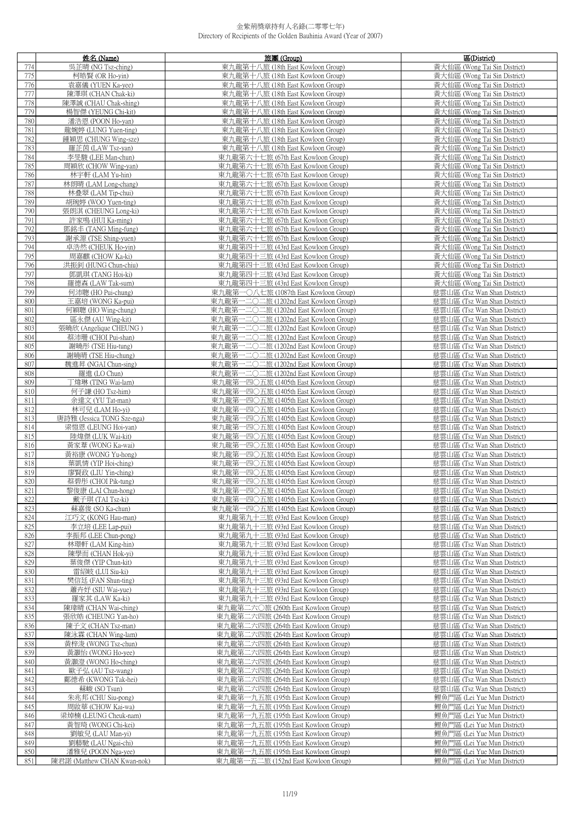|            | 姓名 (Name)                                 | 旅團(Group)                                                                      | 區(District)                                                  |
|------------|-------------------------------------------|--------------------------------------------------------------------------------|--------------------------------------------------------------|
| 774        | 吳芷晴 (NG Tsz-ching)                        | 東九龍第十八旅 (18th East Kowloon Group)                                              | 黃大仙區 (Wong Tai Sin District)                                 |
| 775        | 柯皓賢 (OR Ho-yin)                           | 東九龍第十八旅 (18th East Kowloon Group)                                              | 黃大仙區 (Wong Tai Sin District)                                 |
| 776        | 袁嘉儀 (YUEN Ka-yee)                         | 東九龍第十八旅 (18th East Kowloon Group)                                              | 黃大仙區 (Wong Tai Sin District)                                 |
| 777        | 陳澤琪 (CHAN Chak-ki)                        | 東九龍第十八旅 (18th East Kowloon Group)                                              | 黃大仙區 (Wong Tai Sin District)                                 |
| 778        | 陳澤誠 (CHAU Chak-shing)                     | 東九龍第十八旅 (18th East Kowloon Group)                                              | 黃大仙區 (Wong Tai Sin District)                                 |
| 779        | 楊智傑 (YEUNG Chi-kit)                       | 東九龍第十八旅 (18th East Kowloon Group)                                              | 黃大仙區 (Wong Tai Sin District)                                 |
| 780        | 潘浩恩 (POON Ho-yan)                         | 東九龍第十八旅 (18th East Kowloon Group)                                              | 黃大仙區 (Wong Tai Sin District)                                 |
| 781        | 龍婉婷 (LUNG Yuen-ting)                      | 東九龍第十八旅 (18th East Kowloon Group)                                              | 黃大仙區 (Wong Tai Sin District)                                 |
| 782        | 鍾穎思 (CHUNG Wing-sze)                      | 東九龍第十八旅 (18th East Kowloon Group)                                              | 黃大仙區 (Wong Tai Sin District)                                 |
| 783        | 羅芷茵 (LAW Tsz-yan)                         | 東九龍第十八旅 (18th East Kowloon Group)                                              | 黃大仙區 (Wong Tai Sin District)                                 |
| 784<br>785 | 李旻駿 (LEE Man-chun)<br>周穎欣 (CHOW Wing-yan) | 東九龍第六十七旅 (67th East Kowloon Group)<br>東九龍第六十七旅 (67th East Kowloon Group)       | 黃大仙區 (Wong Tai Sin District)                                 |
| 786        | 林宇軒 (LAM Yu-hin)                          | 東九龍第六十七旅 (67th East Kowloon Group)                                             | 黃大仙區 (Wong Tai Sin District)<br>黃大仙區 (Wong Tai Sin District) |
| 787        | 林朗晴 (LAM Long-chang)                      | 東九龍第六十七旅 (67th East Kowloon Group)                                             | 黃大仙區 (Wong Tai Sin District)                                 |
| 788        | 林叠翠 (LAM Tip-chui)                        | 東九龍第六十七旅 (67th East Kowloon Group)                                             | 黃大仙區 (Wong Tai Sin District)                                 |
| 789        | 胡琬婷 (WOO Yuen-ting)                       | 東九龍第六十七旅 (67th East Kowloon Group)                                             | 黃大仙區 (Wong Tai Sin District)                                 |
| 790        | 張朗淇 (CHEUNG Long-ki)                      | 東九龍第六十七旅 (67th East Kowloon Group)                                             | 黃大仙區 (Wong Tai Sin District)                                 |
| 791        | 許家鳴 (HUI Ka-ming)                         | 東九龍第六十七旅 (67th East Kowloon Group)                                             | 黃大仙區 (Wong Tai Sin District)                                 |
| 792        | 鄧銘丰 (TANG Ming-fung)                      | 東九龍第六十七旅 (67th East Kowloon Group)                                             | 黃大仙區 (Wong Tai Sin District)                                 |
| 793        | 謝承源 (TSE Shing-yuen)                      | 東九龍第六十七旅 (67th East Kowloon Group)                                             | 黃大仙區 (Wong Tai Sin District)                                 |
| 794        | 卓浩然 (CHEUK Ho-yin)                        | 東九龍第四十三旅 (43rd East Kowloon Group)                                             | 黃大仙區 (Wong Tai Sin District)                                 |
| 795        | 周嘉麒 (CHOW Ka-ki)                          | 東九龍第四十三旅 (43rd East Kowloon Group)                                             | 黃大仙區 (Wong Tai Sin District)                                 |
| 796        | 洪振釗 (HUNG Chun-chiu)                      | 東九龍第四十三旅 (43rd East Kowloon Group)                                             | 黃大仙區 (Wong Tai Sin District)                                 |
| 797        | 鄧凱琪 (TANG Hoi-ki)                         | 東九龍第四十三旅 (43rd East Kowloon Group)                                             | 黃大仙區 (Wong Tai Sin District)                                 |
| 798        | 羅德森 (LAW Tak-sum)                         | 東九龍第四十三旅 (43rd East Kowloon Group)                                             | 黃大仙區 (Wong Tai Sin District)                                 |
| 799        | 何沛聰 (HO Pui-chung)                        | 東九龍第一〇八七旅 (1087th East Kowloon Group)                                          | 慈雲山區 (Tsz Wan Shan District)                                 |
| 800        | 王嘉培 (WONG Ka-pui)                         | 東九龍第一二〇二旅 (1202nd East Kowloon Group)                                          | 慈雲山區 (Tsz Wan Shan District)                                 |
| 801        | 何穎聰 (HO Wing-chung)                       | 東九龍第一二〇二旅 (1202nd East Kowloon Group)                                          | 慈雲山區 (Tsz Wan Shan District)                                 |
| 802        | 區永傑 (AU Wing-kit)                         | 東九龍第一二〇二旅 (1202nd East Kowloon Group)                                          | 慈雲山區 (Tsz Wan Shan District)                                 |
| 803        | 張曉欣 (Angelique CHEUNG)                    | 東九龍第一二〇二旅 (1202nd East Kowloon Group)<br>東九龍第一二〇二旅 (1202nd East Kowloon Group) | 慈雲山區 (Tsz Wan Shan District)<br>慈雲山區 (Tsz Wan Shan District) |
| 804<br>805 | 蔡沛珊 (CHOI Pui-shan)                       | 東九龍第一二〇二旅 (1202nd East Kowloon Group)                                          | 慈雲山區 (Tsz Wan Shan District)                                 |
| 806        | 謝曉彤 (TSE Hiu-tung)<br>謝曉晴 (TSE Hiu-chung) | 東九龍第一二〇二旅 (1202nd East Kowloon Group)                                          | 慈雲山區 (Tsz Wan Shan District)                                 |
| 807        | 魏進昇 (NGAI Chun-sing)                      | 東九龍第一二〇二旅 (1202nd East Kowloon Group)                                          | 慈雲山區 (Tsz Wan Shan District)                                 |
| 808        | 羅進(LO Chun)                               | 東九龍第一二〇二旅 (1202nd East Kowloon Group)                                          | 慈雲山區 (Tsz Wan Shan District)                                 |
| 809        | 丁煒琳 (TING Wai-lam)                        | 東九龍第一四〇五旅 (1405th East Kowloon Group)                                          | 慈雲山區 (Tsz Wan Shan District)                                 |
| 810        | 何子謙 (HO Tsz-him)                          | 東九龍第一四〇五旅 (1405th East Kowloon Group)                                          | 慈雲山區 (Tsz Wan Shan District)                                 |
| 811        | 余達文 (YU Tat-man)                          | 東九龍第一四〇五旅 (1405th East Kowloon Group)                                          | 慈雲山區 (Tsz Wan Shan District)                                 |
| 812        | 林可兒 (LAM Ho-yi)                           | 東九龍第一四〇五旅 (1405th East Kowloon Group)                                          | 慈雲山區 (Tsz Wan Shan District)                                 |
| 813        | 唐詩雅 (Jessica TONG Sze-nga)                | 東九龍第一四〇五旅 (1405th East Kowloon Group)                                          | 慈雲山區 (Tsz Wan Shan District)                                 |
| 814        | 梁愷恩 (LEUNG Hoi-yan)                       | 東九龍第一四〇五旅 (1405th East Kowloon Group)                                          | 慈雲山區 (Tsz Wan Shan District)                                 |
| 815        | 陸煒傑 (LUK Wai-kit)                         | 東九龍第一四〇五旅 (1405th East Kowloon Group)                                          | 慈雲山區 (Tsz Wan Shan District)                                 |
| 816        | 黃家葦 (WONG Ka-wai)                         | 東九龍第一四〇五旅 (1405th East Kowloon Group)                                          | 慈雲山區 (Tsz Wan Shan District)                                 |
| 817        | 黃裕康 (WONG Yu-hong)                        | 東九龍第一四〇五旅 (1405th East Kowloon Group)                                          | 慈雲山區 (Tsz Wan Shan District)                                 |
| 818        | 葉凱情 (YIP Hoi-ching)                       | 東九龍第一四〇五旅 (1405th East Kowloon Group)                                          | 慈雲山區 (Tsz Wan Shan District)                                 |
| 819        | 廖賢政 (LIU Yin-ching)                       | 東九龍第一四〇五旅 (1405th East Kowloon Group)                                          | 慈雲山區 (Tsz Wan Shan District)                                 |
| 820        | 蔡碧彤 (CHOI Pik-tung)                       | 東九龍第一四〇五旅 (1405th East Kowloon Group)                                          | 慈雲山區 (Tsz Wan Shan District)                                 |
| 821<br>822 | 黎俊康 (LAI Chun-hong)                       | 東九龍第一四〇五旅 (1405th East Kowloon Group)                                          | 慈雲山區 (Tsz Wan Shan District)                                 |
| 823        | 戴子琪 (TAI Tsz-ki)<br>蘇嘉俊 (SO Ka-chun)      | 東九龍第一四〇五旅 (1405th East Kowloon Group)<br>東九龍第一四〇五旅 (1405th East Kowloon Group) | 慈雲山區 (Tsz Wan Shan District)<br>慈雲山區 (Tsz Wan Shan District) |
| 824        | 江巧文 (KONG Hau-man)                        | 東九龍第九十三旅 (93rd East Kowloon Group)                                             | 慈雲山區 (Tsz Wan Shan District)                                 |
| 825        | 李立培 (LEE Lap-pui)                         | 東九龍第九十三旅 (93rd East Kowloon Group)                                             | 慈雲山區 (Tsz Wan Shan District)                                 |
| 826        | 李振邦 (LEE Chun-pong)                       | 東九龍第九十三旅 (93rd East Kowloon Group)                                             | 慈雲山區 (Tsz Wan Shan District)                                 |
| 827        | 林璟軒 (LAM King-hin)                        | 東九龍第九十三旅 (93rd East Kowloon Group)                                             | 慈雲山區 (Tsz Wan Shan District)                                 |
| 828        | 陳學而 (CHAN Hok-yi)                         | 東九龍第九十三旅 (93rd East Kowloon Group)                                             | 慈雲山區 (Tsz Wan Shan District)                                 |
| 829        | 葉俊傑 (YIP Chun-kit)                        | 東九龍第九十三旅 (93rd East Kowloon Group)                                             | 慈雲山區 (Tsz Wan Shan District)                                 |
| 830        | 雷紹岐 (LUI Siu-ki)                          | 東九龍第九十三旅 (93rd East Kowloon Group)                                             | 慈雲山區 (Tsz Wan Shan District)                                 |
| 831        | 樊信廷 (FAN Shun-ting)                       | 東九龍第九十三旅 (93rd East Kowloon Group)                                             | 慈雲山區 (Tsz Wan Shan District)                                 |
| 832        | 蕭卉妤 (SIU Wai-yue)                         | 東九龍第九十三旅 (93rd East Kowloon Group)                                             | 慈雲山區 (Tsz Wan Shan District)                                 |
| 833        | 羅家其 (LAW Ka-ki)                           | 東九龍第九十三旅 (93rd East Kowloon Group)                                             | 慈雲山區 (Tsz Wan Shan District)                                 |
| 834        | 陳瑋晴 (CHAN Wai-ching)                      | 東九龍第二六〇旅 (260th East Kowloon Group)                                            | 慈雲山區 (Tsz Wan Shan District)                                 |
| 835<br>836 | 張欣皓 (CHEUNG Yan-ho)<br>陳子文 (CHAN Tsz-man) | 東九龍第二六四旅 (264th East Kowloon Group)<br>東九龍第二六四旅 (264th East Kowloon Group)     | 慈雲山區 (Tsz Wan Shan District)<br>慈雲山區 (Tsz Wan Shan District) |
| 837        | 陳泳霖 (CHAN Wing-lam)                       | 東九龍第二六四旅 (264th East Kowloon Group)                                            | 慈雲山區 (Tsz Wan Shan District)                                 |
| 838        | 黃梓浚 (WONG Tsz-chun)                       | 東九龍第二六四旅 (264th East Kowloon Group)                                            | 慈雲山區 (Tsz Wan Shan District)                                 |
| 839        | 黃灝怡 (WONG Ho-yee)                         | 東九龍第二六四旅 (264th East Kowloon Group)                                            | 慈雲山區 (Tsz Wan Shan District)                                 |
| 840        | 黃灝澄 (WONG Ho-ching)                       | 東九龍第二六四旅 (264th East Kowloon Group)                                            | 慈雲山區 (Tsz Wan Shan District)                                 |
| 841        | 歐子弘 (AU Tsz-wang)                         | 東九龍第二六四旅 (264th East Kowloon Group)                                            | 慈雲山區 (Tsz Wan Shan District)                                 |
| 842        | 鄺德希 (KWONG Tak-hei)                       | 東九龍第二六四旅 (264th East Kowloon Group)                                            | 慈雲山區 (Tsz Wan Shan District)                                 |
| 843        | 蘇峻 (SO Tsun)                              | 東九龍第二六四旅 (264th East Kowloon Group)                                            | 慈雲山區 (Tsz Wan Shan District)                                 |
| 844        | 朱兆邦 (CHU Siu-pong)                        | 東九龍第一九五旅 (195th East Kowloon Group)                                            | 鯉魚門區 (Lei Yue Mun District)                                  |
| 845        | 周啟華 (CHOW Kai-wa)                         | 東九龍第一九五旅 (195th East Kowloon Group)                                            | 鯉魚門區 (Lei Yue Mun District)                                  |
| 846        | 梁焯楠 (LEUNG Cheuk-nam)                     | 東九龍第一九五旅 (195th East Kowloon Group)                                            | 鯉魚門區 (Lei Yue Mun District)                                  |
| 847        | 黃智琦 (WONG Chi-kei)                        | 東九龍第一九五旅 (195th East Kowloon Group)                                            | 鯉魚門區 (Lei Yue Mun District)                                  |
| 848        | 劉敏兒 (LAU Man-yi)                          | 東九龍第一九五旅 (195th East Kowloon Group)                                            | 鯉魚門區 (Lei Yue Mun District)                                  |
| 849        | 劉藝馳 (LAU Ngai-chi)                        | 東九龍第一九五旅 (195th East Kowloon Group)                                            | 鯉魚門區 (Lei Yue Mun District)                                  |
| 850        | 潘雅兒 (POON Nga-yee)                        | 東九龍第一九五旅 (195th East Kowloon Group)                                            | 鯉魚門區 (Lei Yue Mun District)                                  |
| 851        | 陳君諾 (Matthew CHAN Kwan-nok)               | 東九龍第一五二旅 (152nd East Kowloon Group)                                            | 鯉魚門區 (Lei Yue Mun District)                                  |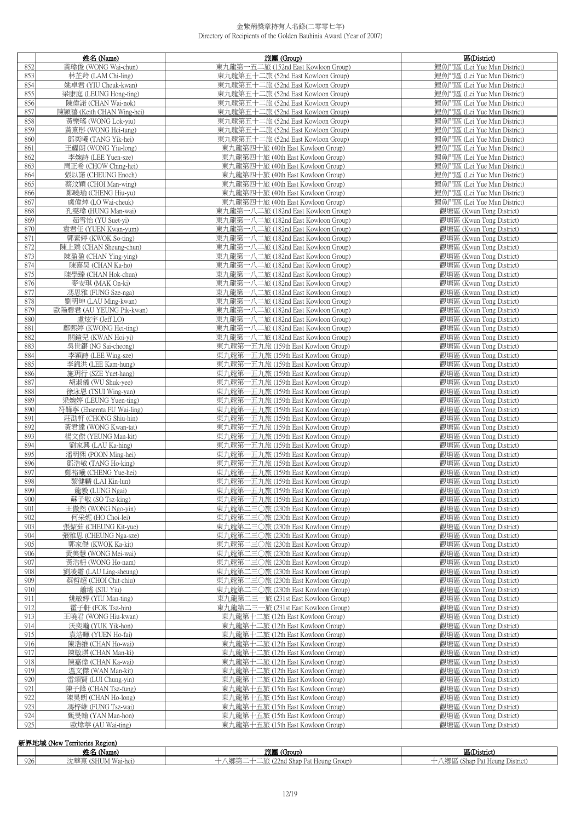|            | 姓名 (Name)                                    | 旅團 (Group)                                                                 | 區(District)                                                |
|------------|----------------------------------------------|----------------------------------------------------------------------------|------------------------------------------------------------|
| 852        | 黃瑋俊 (WONG Wai-chun)                          | 東九龍第一五二旅 (152nd East Kowloon Group)                                        | 鯉魚門區 (Lei Yue Mun District)                                |
| 853        | 林芷羚 (LAM Chi-ling)                           | 東九龍第五十二旅 (52nd East Kowloon Group)                                         | 鯉魚門區 (Lei Yue Mun District)                                |
| 854        | 姚卓君 (YIU Cheuk-kwan)                         | 東九龍第五十二旅 (52nd East Kowloon Group)                                         | 鯉魚門區 (Lei Yue Mun District)                                |
| 855        | 梁康庭 (LEUNG Hong-ting)                        | 東九龍第五十二旅 (52nd East Kowloon Group)                                         | 鯉魚門區 (Lei Yue Mun District)                                |
| 856        | 陳偉諾 (CHAN Wai-nok)                           | 東九龍第五十二旅 (52nd East Kowloon Group)                                         | 鯉魚門區 (Lei Yue Mun District)                                |
| 857        | 陳頴禧 (Keith CHAN Wing-hei)                    | 東九龍第五十二旅 (52nd East Kowloon Group)                                         | 鯉魚門區 (Lei Yue Mun District)                                |
| 858        | 黃樂瑤 (WONG Lok-yiu)                           | 東九龍第五十二旅 (52nd East Kowloon Group)                                         | 鯉魚門區 (Lei Yue Mun District)                                |
| 859<br>860 | 黃熹彤 (WONG Hei-tung)<br>鄧奕曦 (TANG Yik-hei)    | 東九龍第五十二旅 (52nd East Kowloon Group)<br>東九龍第五十二旅 (52nd East Kowloon Group)   | 鯉魚門區 (Lei Yue Mun District)<br>鯉魚門區 (Lei Yue Mun District) |
| 861        | 王耀朗 (WONG Yiu-long)                          | 東九龍第四十旅 (40th East Kowloon Group)                                          | 鯉魚門區 (Lei Yue Mun District)                                |
| 862        | 李婉詩 (LEE Yuen-sze)                           | 東九龍第四十旅 (40th East Kowloon Group)                                          | 鯉魚門區 (Lei Yue Mun District)                                |
| 863        | 周正希 (CHOW Ching-hei)                         | 東九龍第四十旅 (40th East Kowloon Group)                                          | 鯉魚門區 (Lei Yue Mun District)                                |
| 864        | 張以諾 (CHEUNG Enoch)                           | 東九龍第四十旅 (40th East Kowloon Group)                                          | 鯉魚門區 (Lei Yue Mun District)                                |
| 865        | 蔡汶穎 (CHOI Man-wing)                          | 東九龍第四十旅 (40th East Kowloon Group)                                          | 鯉魚門區 (Lei Yue Mun District)                                |
| 866        | 鄭曉瑜 (CHENG Hiu-yu)                           | 東九龍第四十旅 (40th East Kowloon Group)                                          | 鯉魚門區 (Lei Yue Mun District)                                |
| 867        | 盧偉焯 (LO Wai-cheuk)                           | 東九龍第四十旅 (40th East Kowloon Group)                                          | 鯉魚門區 (Lei Yue Mun District)                                |
| 868        | 孔雯瑋 (HUNG Man-wai)                           | 東九龍第一八二旅 (182nd East Kowloon Group)                                        | 觀塘區 (Kwun Tong District)                                   |
| 869        | 茹雪怡 (YU Suet-yi)                             | 東九龍第一八二旅 (182nd East Kowloon Group)                                        | 觀塘區 (Kwun Tong District)                                   |
| 870<br>871 | 袁君任 (YUEN Kwan-yum)                          | 東九龍第一八二旅 (182nd East Kowloon Group)                                        | 觀塘區 (Kwun Tong District)<br>觀塘區 (Kwun Tong District)       |
| 872        | 郭素婷 (KWOK So-ting)<br>陳上臻 (CHAN Sheung-chun) | 東九龍第一八二旅 (182nd East Kowloon Group)<br>東九龍第一八二旅 (182nd East Kowloon Group) | 觀塘區 (Kwun Tong District)                                   |
| 873        | 陳盈盈 (CHAN Ying-ying)                         | 東九龍第一八二旅 (182nd East Kowloon Group)                                        | 觀塘區 (Kwun Tong District)                                   |
| 874        | 陳嘉昊 (CHAN Ka-ho)                             | 東九龍第一八二旅 (182nd East Kowloon Group)                                        | 觀塘區 (Kwun Tong District)                                   |
| 875        | 陳學臻 (CHAN Hok-chun)                          | 東九龍第一八二旅 (182nd East Kowloon Group)                                        | 觀塘區 (Kwun Tong District)                                   |
| 876        | 麥安琪 (MAK On-ki)                              | 東九龍第一八二旅 (182nd East Kowloon Group)                                        | 觀塘區 (Kwun Tong District)                                   |
| 877        | 馮思雅 (FUNG Sze-nga)                           | 東九龍第一八二旅 (182nd East Kowloon Group)                                        | 觀塘區 (Kwun Tong District)                                   |
| 878        | 劉明坤 (LAU Ming-kwan)                          | 東九龍第一八二旅 (182nd East Kowloon Group)                                        | 觀塘區 (Kwun Tong District)                                   |
| 879        | 歐陽碧君 (AU YEUNG Pik-kwan)                     | 東九龍第一八二旅 (182nd East Kowloon Group)                                        | 觀塘區 (Kwun Tong District)                                   |
| 880        | 盧炫宇 (Jeff LO)                                | 東九龍第一八二旅 (182nd East Kowloon Group)                                        | 觀塘區 (Kwun Tong District)                                   |
| 881        | 鄺熙婷 (KWONG Hei-ting)                         | 東九龍第一八二旅 (182nd East Kowloon Group)                                        | 觀塘區 (Kwun Tong District)                                   |
| 882<br>883 | 關鎧兒 (KWAN Hoi-yi)                            | 東九龍第一八二旅 (182nd East Kowloon Group)                                        | 觀塘區 (Kwun Tong District)                                   |
| 884        | 吳世鏘 (NG Sai-cheong)<br>李穎詩 (LEE Wing-sze)    | 東九龍第一五九旅 (159th East Kowloon Group)<br>東九龍第一五九旅 (159th East Kowloon Group) | 觀塘區 (Kwun Tong District)<br>觀塘區 (Kwun Tong District)       |
| 885        | 李錦洪 (LEE Kam-hung)                           | 東九龍第一五九旅 (159th East Kowloon Group)                                        | 觀塘區 (Kwun Tong District)                                   |
| 886        | 施玥行 (SZE Yuet-hang)                          | 東九龍第一五九旅 (159th East Kowloon Group)                                        | 觀塘區 (Kwun Tong District)                                   |
| 887        | 胡淑儀 (WU Shuk-yee)                            | 東九龍第一五九旅 (159th East Kowloon Group)                                        | 觀塘區 (Kwun Tong District)                                   |
| 888        | 徐泳恩 (TSUI Wing-yan)                          | 東九龍第一五九旅 (159th East Kowloon Group)                                        | 觀塘區 (Kwun Tong District)                                   |
| 889        | 梁婉婷 (LEUNG Yuen-ting)                        | 東九龍第一五九旅 (159th East Kowloon Group)                                        | 觀塘區 (Kwun Tong District)                                   |
| 890        | 符韡寧 (Ehsernta FU Wai-ling)                   | 東九龍第一五九旅 (159th East Kowloon Group)                                        | 觀塘區 (Kwun Tong District)                                   |
| 891        | 莊劭軒 (CHONG Shiu-hin)                         | 東九龍第一五九旅 (159th East Kowloon Group)                                        | 觀塘區 (Kwun Tong District)                                   |
| 892        | 黃君達 (WONG Kwan-tat)                          | 東九龍第一五九旅 (159th East Kowloon Group)                                        | 觀塘區 (Kwun Tong District)                                   |
| 893<br>894 | 楊文傑 (YEUNG Man-kit)<br>劉家興 (LAU Ka-hing)     | 東九龍第一五九旅 (159th East Kowloon Group)<br>東九龍第一五九旅 (159th East Kowloon Group) | 觀塘區 (Kwun Tong District)<br>觀塘區 (Kwun Tong District)       |
| 895        | 潘明熙 (POON Ming-hei)                          | 東九龍第一五九旅 (159th East Kowloon Group)                                        | 觀塘區 (Kwun Tong District)                                   |
| 896        | 鄧浩敬 (TANG Ho-king)                           | 東九龍第一五九旅 (159th East Kowloon Group)                                        | 觀塘區 (Kwun Tong District)                                   |
| 897        | 鄭裕曦 (CHENG Yue-hei)                          | 東九龍第一五九旅 (159th East Kowloon Group)                                        | 觀塘區 (Kwun Tong District)                                   |
| 898        | 黎健麟 (LAI Kin-lun)                            | 東九龍第一五九旅 (159th East Kowloon Group)                                        | 觀塘區 (Kwun Tong District)                                   |
| 899        | 龍毅 (LUNG Ngai)                               | 東九龍弟一五九旅 (159th East Kowloon Group)                                        | 觀塘區 (Kwun Tong District)                                   |
| 900        | 蘇子敬 (SO Tsz-king)                            | 東九龍第一五九旅 (159th East Kowloon Group)                                        | 觀塘區 (Kwun Tong District)                                   |
| 901        | 王傲然 (WONG Ngo-yin)                           | 東九龍第二三〇旅 (230th East Kowloon Group)                                        | 觀塘區 (Kwun Tong District)                                   |
| 902        | 何采妮 (HO Choi-lei)                            | 東九龍第二三〇旅 (230th East Kowloon Group)                                        | 觀塘區 (Kwun Tong District)                                   |
| 903<br>904 | 張絜茹 (CHEUNG Kit-yue)<br>張雅思 (CHEUNG Nga-sze) | 東九龍第二三〇旅 (230th East Kowloon Group)<br>東九龍第二三〇旅 (230th East Kowloon Group) | 觀塘區 (Kwun Tong District)<br>觀塘區 (Kwun Tong District)       |
| 905        | 郭家傑 (KWOK Ka-kit)                            | 東九龍第二三〇旅 (230th East Kowloon Group)                                        | 觀塘區 (Kwun Tong District)                                   |
| 906        | 黃美慧 (WONG Mei-wai)                           | 東九龍第二三〇旅 (230th East Kowloon Group)                                        | 觀塘區 (Kwun Tong District)                                   |
| 907        | 黃浩枬 (WONG Ho-nam)                            | 東九龍第二三〇旅 (230th East Kowloon Group)                                        | 觀塘區 (Kwun Tong District)                                   |
| 908        | 劉凌霜 (LAU Ling-sheung)                        | 東九龍第二三〇旅 (230th East Kowloon Group)                                        | 觀塘區 (Kwun Tong District)                                   |
| 909        | 蔡哲超 (CHOI Chit-chiu)                         | 東九龍第二三〇旅 (230th East Kowloon Group)                                        | 觀塘區 (Kwun Tong District)                                   |
| 910        | 蕭瑤 (SIU Yiu)                                 | 東九龍第二三〇旅 (230th East Kowloon Group)                                        | 觀塘區 (Kwun Tong District)                                   |
| 911        | 姚敏婷 (YIU Man-ting)                           | 東九龍第二三一旅 (231st East Kowloon Group)                                        | 觀塘區 (Kwun Tong District)                                   |
| 912        | 霍子軒 (FOK Tsz-hin)                            | 東九龍第二三一旅 (231st East Kowloon Group)                                        | 觀塘區 (Kwun Tong District)                                   |
| 913        | 王曉君 (WONG Hiu-kwan)                          | 東九龍第十二旅 (12th East Kowloon Group)                                          | 觀塘區 (Kwun Tong District)                                   |
| 914<br>915 | 沃奕瀚 (YUK Yik-hon)<br>袁浩暉 (YUEN Ho-fai)       | 東九龍第十二旅 (12th East Kowloon Group)<br>東九龍第十二旅 (12th East Kowloon Group)     | 觀塘區 (Kwun Tong District)<br>觀塘區 (Kwun Tong District)       |
| 916        | 陳浩維 (CHAN Ho-wai)                            | 東九龍第十二旅 (12th East Kowloon Group)                                          | 觀塘區 (Kwun Tong District)                                   |
| 917        | 陳敏琪 (CHAN Man-ki)                            | 東九龍第十二旅 (12th East Kowloon Group)                                          | 觀塘區 (Kwun Tong District)                                   |
| 918        | 陳嘉偉 (CHAN Ka-wai)                            | 東九龍第十二旅 (12th East Kowloon Group)                                          | 觀塘區 (Kwun Tong District)                                   |
| 919        | 溫文傑 (WAN Man-kit)                            | 東九龍第十二旅 (12th East Kowloon Group)                                          | 觀塘區 (Kwun Tong District)                                   |
| 920        | 雷頌賢 (LUI Chung-yin)                          | 東九龍第十二旅 (12th East Kowloon Group)                                          | 觀塘區 (Kwun Tong District)                                   |
| 921        | 陳子鋒 (CHAN Tsz-fung)                          | 東九龍第十五旅 (15th East Kowloon Group)                                          | 觀塘區 (Kwun Tong District)                                   |
| 922        | 陳昊朗 (CHAN Ho-long)                           | 東九龍第十五旅 (15th East Kowloon Group)                                          | 觀塘區 (Kwun Tong District)                                   |
| 923<br>924 | 馮梓維 (FUNG Tsz-wai)                           | 東九龍第十五旅 (15th East Kowloon Group)                                          | 觀塘區 (Kwun Tong District)                                   |
| 925        | 甄旻翰 (YAN Man-hon)                            | 東九龍第十五旅 (15th East Kowloon Group)                                          | 觀塘區 (Kwun Tong District)<br>觀塘區 (Kwun Tong District)       |
|            | 歐煒葶 (AU Wai-ting)                            | 東九龍第十五旅 (15th East Kowloon Group)                                          |                                                            |

| 新界地域<br>Mew Territories Region) |                                |                                     |                                  |
|---------------------------------|--------------------------------|-------------------------------------|----------------------------------|
|                                 | ' Name                         | ' (Group,<br>ᄱᄾ                     | 區(District)                      |
| 926                             | $   -$<br><b>HE</b><br>Wai-hei | 上旅 (22nd Shap Pat Heung 6<br>Group) | (Shap Pat Heung District)<br>、郷區 |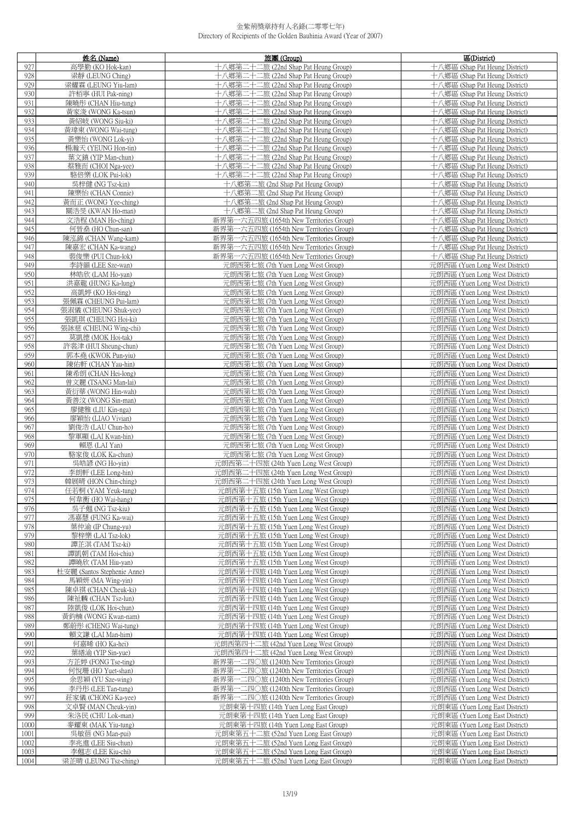|              | 姓名 (Name)                                        | 旅團 (Group)                                                                   | 區(District)                                                      |
|--------------|--------------------------------------------------|------------------------------------------------------------------------------|------------------------------------------------------------------|
| 927          | 高學勤 (KO Hok-kan)                                 | 十八鄉第二十二旅 (22nd Shap Pat Heung Group)                                         | 十八鄉區 (Shap Pat Heung District)                                   |
| 928          | 梁靜 (LEUNG Ching)                                 | 十八鄉第二十二旅 (22nd Shap Pat Heung Group)                                         | 十八鄉區 (Shap Pat Heung District)                                   |
| 929          | 梁耀霖 (LEUNG Yiu-lam)                              | 十八鄉第二十二旅 (22nd Shap Pat Heung Group)                                         | 十八鄉區 (Shap Pat Heung District)                                   |
| 930          | 許栢寧 (HUI Pak-ning)                               | 十八鄉第二十二旅 (22nd Shap Pat Heung Group)                                         | 十八鄉區 (Shap Pat Heung District)                                   |
| 931          | 陳曉彤 (CHAN Hiu-tung)                              | 十八鄉第二十二旅 (22nd Shap Pat Heung Group)                                         | 十八鄉區 (Shap Pat Heung District)                                   |
| 932          | 黃家浚 (WONG Ka-tsun)                               | 十八鄉第二十二旅 (22nd Shap Pat Heung Group)                                         | 十八鄉區 (Shap Pat Heung District)                                   |
| 933          | 黃紹岐 (WONG Siu-ki)                                | 十八鄉第二十二旅 (22nd Shap Pat Heung Group)                                         | 十八鄉區 (Shap Pat Heung District)                                   |
| 934          | 黃瑋東 (WONG Wai-tung)                              | 十八鄉第二十二旅 (22nd Shap Pat Heung Group)                                         | 十八鄉區 (Shap Pat Heung District)                                   |
| 935          | 黃樂怡 (WONG Lok-yi)                                | 十八鄉第二十二旅 (22nd Shap Pat Heung Group)                                         | 十八鄉區 (Shap Pat Heung District)                                   |
| 936          | 楊瀚天 (YEUNG Hon-tin)                              | 十八鄉第二十二旅 (22nd Shap Pat Heung Group)                                         | 十八鄉區 (Shap Pat Heung District)                                   |
| 937          | 葉文鎮 (YIP Man-chun)                               | 十八鄉第二十二旅 (22nd Shap Pat Heung Group)                                         | 十八鄉區 (Shap Pat Heung District)                                   |
| 938          | 蔡雅而 (CHOI Nga-yee)                               | 十八鄉第二十二旅 (22nd Shap Pat Heung Group)                                         | 十八鄉區 (Shap Pat Heung District)                                   |
| 939          | 駱倍樂 (LOK Pui-lok)                                | 十八鄉第二十二旅 (22nd Shap Pat Heung Group)                                         | 十八鄉區 (Shap Pat Heung District)                                   |
| 940          | 吳梓健 (NG Tsz-kin)                                 | 十八鄉第二旅 (2nd Shap Pat Heung Group)                                            | 十八鄉區 (Shap Pat Heung District)                                   |
| 941          | 陳樂怡 (CHAN Connie)                                | 十八郷第二旅 (2nd Shap Pat Heung Group)                                            | 十八鄉區 (Shap Pat Heung District)                                   |
| 942          | 黃而正 (WONG Yee-ching)                             | 十八鄉第二旅 (2nd Shap Pat Heung Group)                                            | 十八鄉區 (Shap Pat Heung District)                                   |
| 943          | 關浩旻 (KWAN Ho-man)                                | 十八鄉第二旅 (2nd Shap Pat Heung Group)                                            | 十八鄉區 (Shap Pat Heung District)                                   |
| 944          | 文浩程 (MAN Ho-ching)                               | 新界第一六五四旅 (1654th New Territories Group)                                      | 十八鄉區 (Shap Pat Heung District)                                   |
| 945          | 何晉燊 (HO Chun-san)                                | 新界第一六五四旅 (1654th New Territories Group)                                      | 十八鄉區 (Shap Pat Heung District)                                   |
| 946          | 陳泓錦 (CHAN Wang-kam)                              | 新界第一六五四旅 (1654th New Territories Group)                                      | 十八鄉區 (Shap Pat Heung District)                                   |
| 947          | 陳嘉宏 (CHAN Ka-wang)                               | 新界第一六五四旅 (1654th New Territories Group)                                      | 十八鄉區 (Shap Pat Heung District)                                   |
| 948          | 裴俊樂 (PUI Chun-lok)                               | 新界第一六五四旅 (1654th New Territories Group)                                      | 十八鄉區 (Shap Pat Heung District)                                   |
| 949          | 李詩韻 (LEE Sze-wan)                                | 元朗西第七旅 (7th Yuen Long West Group)                                            | 元朗西區 (Yuen Long West District)                                   |
| 950          | 林皓欣 (LAM Ho-yan)                                 | 元朗西第七旅 (7th Yuen Long West Group)                                            | 元朗西區 (Yuen Long West District)                                   |
| 951          | 洪嘉龍 (HUNG Ka-lung)                               | 元朗西第七旅 (7th Yuen Long West Group)                                            | 元朗西區 (Yuen Long West District)                                   |
| 952          | 高凱婷 (KO Hoi-ting)                                | 元朗西第七旅 (7th Yuen Long West Group)                                            | 元朗西區 (Yuen Long West District)                                   |
| 953          | 張佩霖 (CHEUNG Pui-lam)                             | 元朗西第七旅 (7th Yuen Long West Group)                                            | 元朗西區 (Yuen Long West District)                                   |
| 954          | 張淑儀 (CHEUNG Shuk-yee)                            | 元朗西第七旅 (7th Yuen Long West Group)                                            | 元朗西區 (Yuen Long West District)                                   |
| 955          | 張凱琪 (CHEUNG Hoi-ki)                              | 元朗西第七旅 (7th Yuen Long West Group)                                            | 元朗西區 (Yuen Long West District)                                   |
| 956          | 張詠慈 (CHEUNG Wing-chi)                            | 元朗西第七旅 (7th Yuen Long West Group)                                            | 元朗西區 (Yuen Long West District)                                   |
| 957          | 莫凱德 (MOK Hoi-tak)                                | 元朗西第七旅 (7th Yuen Long West Group)                                            | 元朗西區 (Yuen Long West District)                                   |
| 958          | 許裳津 (HUI Sheung-chun)                            | 元朗西第七旅 (7th Yuen Long West Group)                                            | 元朗西區 (Yuen Long West District)                                   |
| 959          | 郭本堯 (KWOK Pun-yiu)                               | 元朗西第七旅 (7th Yuen Long West Group)                                            | 元朗西區 (Yuen Long West District)                                   |
| 960          | 陳佑軒 (CHAN Yau-hin)                               | 元朗西第七旅 (7th Yuen Long West Group)                                            | 元朗西區 (Yuen Long West District)                                   |
| 961          | 陳希朗 (CHAN Hei-long)                              | 元朗西第七旅 (7th Yuen Long West Group)                                            | 元朗西區 (Yuen Long West District)                                   |
| 962          | 曾文麗 (TSANG Man-lai)                              | 元朗西第七旅 (7th Yuen Long West Group)                                            | 元朗西區 (Yuen Long West District)                                   |
| 963          | 黃衍華 (WONG Hin-wah)                               | 元朗西第七旅 (7th Yuen Long West Group)                                            | 元朗西區 (Yuen Long West District)                                   |
| 964          | 黃善汶 (WONG Sin-man)                               | 元朗西第七旅 (7th Yuen Long West Group)                                            | 元朗西區 (Yuen Long West District)                                   |
| 965          | 廖健雅 (LIU Kin-nga)                                | 元朗西第七旅 (7th Yuen Long West Group)                                            | 元朗西區 (Yuen Long West District)                                   |
| 966<br>967   | 廖穎怡 (LIAO Vivian)<br>劉俊浩 (LAU Chun-ho)           | 元朗西第七旅 (7th Yuen Long West Group)                                            | 元朗西區 (Yuen Long West District)<br>元朗西區 (Yuen Long West District) |
| 968          | 黎軍顯 (LAI Kwan-hin)                               | 元朗西第七旅 (7th Yuen Long West Group)<br>元朗西第七旅 (7th Yuen Long West Group)       | 元朗西區 (Yuen Long West District)                                   |
| 969          | 賴恩 (LAI Yan)                                     | 元朗西第七旅 (7th Yuen Long West Group)                                            | 元朗西區 (Yuen Long West District)                                   |
| 970          | 駱家俊 (LOK Ka-chun)                                | 元朗西第七旅 (7th Yuen Long West Group)                                            | 元朗西區 (Yuen Long West District)                                   |
| 971          | 吳皓諺 (NG Ho-yin)                                  | 元朗西第二十四旅 (24th Yuen Long West Group)                                         | 元朗西區 (Yuen Long West District)                                   |
| 972          | 李朗軒 (LEE Long-hin)                               | 元朗西第二十四旅 (24th Yuen Long West Group)                                         | 元朗西區 (Yuen Long West District)                                   |
| 973          | 韓展晴 (HON Chin-ching)                             | 元朗西第二十四旅 (24th Yuen Long West Group)                                         | 元朗西區 (Yuen Long West District)                                   |
| 974          | 任若桐 (YAM Yeuk-tung)                              | 元朗西第十五脈 (15th Yuen Long West Group)                                          | 兀朗西區 (Yuen Long West District)                                   |
| 975          | 何韋衡 (HO Wai-hang)                                | 元朗西第十五旅 (15th Yuen Long West Group)                                          | 元朗西區 (Yuen Long West District)                                   |
| 976          | 吳子翹 (NG Tsz-kiu)                                 | 元朗西第十五旅 (15th Yuen Long West Group)                                          | 元朗西區 (Yuen Long West District)                                   |
| 977          | 馮嘉慧 (FUNG Ka-wai)                                | 元朗西第十五旅 (15th Yuen Long West Group)                                          | 元朗西區 (Yuen Long West District)                                   |
| 978          | 葉仲渝 (IP Chung-yu)                                | 元朗西第十五旅 (15th Yuen Long West Group)                                          | 元朗西區 (Yuen Long West District)                                   |
| 979          | 黎梓樂 (LAI Tsz-lok)                                | 元朗西第十五旅 (15th Yuen Long West Group)                                          | 元朗西區 (Yuen Long West District)                                   |
| 980          | 譚芷淇 (TAM Tsz-ki)                                 | 元朗西第十五旅 (15th Yuen Long West Group)                                          | 元朗西區 (Yuen Long West District)                                   |
| 981          | 譚凱朝 (TAM Hoi-chiu)                               | 元朗西第十五旅 (15th Yuen Long West Group)                                          | 元朗西區 (Yuen Long West District)                                   |
| 982<br>983   | 譚曉欣 (TAM Hiu-yan)                                | 元朗西第十五旅 (15th Yuen Long West Group)<br>元朗西第十四旅 (14th Yuen Long West Group)   | 元朗西區 (Yuen Long West District)<br>元朗西區 (Yuen Long West District) |
| 984          | 杜安麗 (Santos Stephenie Anne)<br>馬穎妍 (MA Wing-yin) | 元朗西第十四旅 (14th Yuen Long West Group)                                          | 元朗西區 (Yuen Long West District)                                   |
| 985          | 陳卓祺 (CHAN Cheuk-ki)                              | 元朗西第十四旅 (14th Yuen Long West Group)                                          | 元朗西區 (Yuen Long West District)                                   |
| 986          | 陳祉麟 (CHAN Tsz-lun)                               | 元朗西第十四旅 (14th Yuen Long West Group)                                          | 元朗西區 (Yuen Long West District)                                   |
| 987          | 陸凱俊 (LOK Hoi-chun)                               | 元朗西第十四旅 (14th Yuen Long West Group)                                          | 元朗西區 (Yuen Long West District)                                   |
| 988          | 黃鈞楠 (WONG Kwan-nam)                              | 元朗西第十四旅 (14th Yuen Long West Group)                                          | 元朗西區 (Yuen Long West District)                                   |
| 989          | 鄭蔚彤 (CHENG Wai-tung)                             | 元朗西第十四旅 (14th Yuen Long West Group)                                          | 元朗西區 (Yuen Long West District)                                   |
| 990          | 賴文謙 (LAI Man-him)                                | 元朗西第十四旅 (14th Yuen Long West Group)                                          | 元朗西區 (Yuen Long West District)                                   |
| 991          | 何嘉晞 (HO Ka-hei)                                  | 元朗西第四十二旅 (42nd Yuen Long West Group)                                         | 元朗西區 (Yuen Long West District)                                   |
| 992          | 葉繕渝 (YIP Sin-yue)                                | 元朗西第四十二旅 (42nd Yuen Long West Group)                                         | 元朗西區 (Yuen Long West District)                                   |
| 993          | 方芷婷 (FONG Tse-ting)                              | 新界第一二四〇旅 (1240th New Territories Group)                                      | 元朗西區 (Yuen Long West District)                                   |
| 994          | 何悅珊 (HO Yuet-shan)                               | 新界第一二四〇旅 (1240th New Territories Group)                                      | 元朗西區 (Yuen Long West District)                                   |
| 995          | 余思穎 (YU Sze-wing)                                | 新界第一二四〇旅 (1240th New Territories Group)                                      | 元朗西區 (Yuen Long West District)                                   |
| 996          | 李丹彤 (LEE Tan-tung)                               | 新界第一二四〇旅 (1240th New Territories Group)                                      | 元朗西區 (Yuen Long West District)                                   |
| 997          | 莊家儀 (CHONG Ka-yee)                               | 新界第一二四〇旅 (1240th New Territories Group)                                      | 元朗西區 (Yuen Long West District)                                   |
| 998          | 文卓賢 (MAN Cheuk-yin)                              | 元朗東第十四旅 (14th Yuen Long East Group)                                          | 元朗東區 (Yuen Long East District)                                   |
| 999          | 朱洛民 (CHU Lok-man)                                | 元朗東第十四旅 (14th Yuen Long East Group)                                          | 元朗東區 (Yuen Long East District)                                   |
| 1000         | 麥耀東 (MAK Yiu-tung)                               | 元朗東第十四旅 (14th Yuen Long East Group)                                          | 元朗東區 (Yuen Long East District)                                   |
| 1001<br>1002 | 吳敏蓓 (NG Man-pui)<br>李兆進 (LEE Siu-chun)           | 元朗東第五十二旅 (52nd Yuen Long East Group)<br>元朗東第五十二旅 (52nd Yuen Long East Group) | 元朗東區 (Yuen Long East District)<br>元朗東區 (Yuen Long East District) |
| 1003         | 李翹志 (LEE Kiu-chi)                                | 元朗東第五十二旅 (52nd Yuen Long East Group)                                         | 元朗東區 (Yuen Long East District)                                   |
| 1004         | 梁芷晴 (LEUNG Tsz-ching)                            | 元朗東第五十二旅 (52nd Yuen Long East Group)                                         | 元朗東區 (Yuen Long East District)                                   |
|              |                                                  |                                                                              |                                                                  |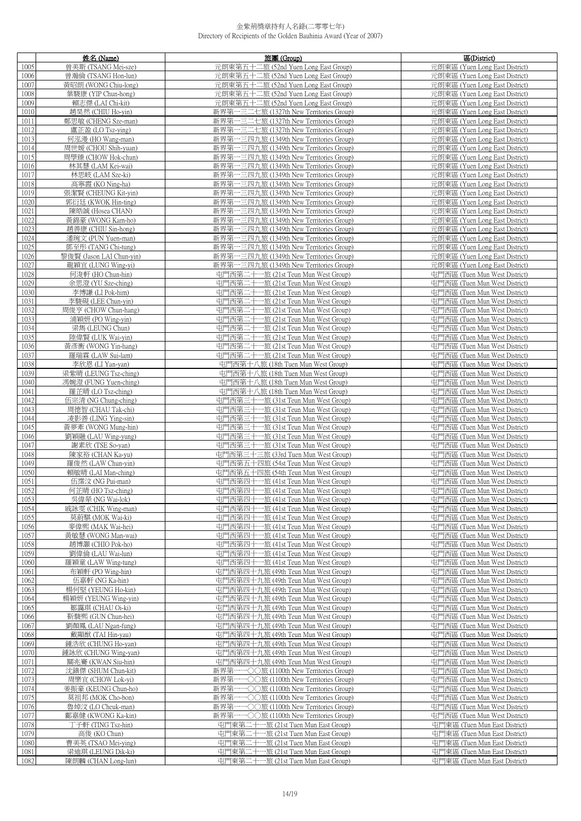|              | 姓名 (Name)                                      | 旅團 (Group)                                                                             | 區(District)                                                      |
|--------------|------------------------------------------------|----------------------------------------------------------------------------------------|------------------------------------------------------------------|
| 1005         | 曾美斯 (TSANG Mei-sze)                            | 元朗東第五十二旅 (52nd Yuen Long East Group)                                                   | 元朗東區 (Yuen Long East District)                                   |
| 1006         | 曾瀚倫 (TSANG Hon-lun)                            | 元朗東第五十二旅 (52nd Yuen Long East Group)                                                   | 元朗東區 (Yuen Long East District)                                   |
| 1007         | 黃昭朗 (WONG Chiu-long)                           | 元朗東第五十二旅 (52nd Yuen Long East Group)                                                   | 元朗東區 (Yuen Long East District)                                   |
| 1008         | 葉駿康 (YIP Chun-hong)                            | 元朗東第五十二旅 (52nd Yuen Long East Group)                                                   | 元朗東區 (Yuen Long East District)                                   |
| 1009         | 賴志傑 (LAI Chi-kit)                              | 元朗東第五十二旅 (52nd Yuen Long East Group)                                                   | 元朗東區 (Yuen Long East District)                                   |
| 1010         | 趙昊然 (CHIU Ho-yin)                              | 新界第一三二七旅 (1327th New Territories Group)                                                | 元朗東區 (Yuen Long East District)                                   |
| 1011         | 鄭思敏 (CHENG Sze-man)                            | 新界第一三二七旅 (1327th New Territories Group)                                                | 元朗東區 (Yuen Long East District)                                   |
| 1012         | 盧芷盈 (LO Tsz-ying)                              | 新界第一三二七旅 (1327th New Territories Group)                                                | 元朗東區 (Yuen Long East District)                                   |
| 1013         | 何泓漫 (HO Wang-man)                              | 新界第一三四九旅 (1349th New Territories Group)<br>新界第一三四九旅 (1349th New Territories Group)     | 元朗東區 (Yuen Long East District)<br>元朗東區 (Yuen Long East District) |
| 1014<br>1015 | 周世媛 (CHOU Shih-yuan)<br>周學臻 (CHOW Hok-chun)    | 新界第一三四九旅 (1349th New Territories Group)                                                | 元朗東區 (Yuen Long East District)                                   |
| 1016         | 林其慧 (LAM Kei-wai)                              | 新界第一三四九旅 (1349th New Territories Group)                                                | 元朗東區 (Yuen Long East District)                                   |
| 1017         | 林思岐 (LAM Sze-ki)                               | 新界第一三四九旅 (1349th New Territories Group)                                                | 元朗東區 (Yuen Long East District)                                   |
| 1018         | 高寧霞 (KO Ning-ha)                               | 新界第一三四九旅 (1349th New Territories Group)                                                | 元朗東區 (Yuen Long East District)                                   |
| 1019         | 張潔賢 (CHEUNG Kit-yin)                           | 新界第一三四九旅 (1349th New Territories Group)                                                | 元朗東區 (Yuen Long East District)                                   |
| 1020         | 郭衍廷 (KWOK Hin-ting)                            | 新界第一三四九旅 (1349th New Territories Group)                                                | 元朗東區 (Yuen Long East District)                                   |
| 1021         | 陳皓誠 (Hosea CHAN)                               | 新界第一三四九旅 (1349th New Territories Group)                                                | 元朗東區 (Yuen Long East District)                                   |
| 1022         | 黃錦豪 (WONG Kam-ho)                              | 新界第一三四九旅 (1349th New Territories Group)                                                | 元朗東區 (Yuen Long East District)                                   |
| 1023         | 趙善康 (CHIU Sin-hong)                            | 新界第一三四九旅 (1349th New Territories Group)                                                | 元朗東區 (Yuen Long East District)                                   |
| 1024         | 潘琬文 (PUN Yuen-man)                             | 新界第一三四九旅 (1349th New Territories Group)                                                | 元朗東區 (Yuen Long East District)                                   |
| 1025         | 鄧至彤 (TANG Chi-tung)                            | 新界第一三四九旅 (1349th New Territories Group)                                                | 元朗東區 (Yuen Long East District)                                   |
| 1026<br>1027 | 黎俊賢 (Jason LAI Chun-yin)<br>龍穎宜 (LUNG Wing-yi) | 新界第一三四九旅 (1349th New Territories Group)<br>新界第一三四九旅 (1349th New Territories Group)     | 元朗東區 (Yuen Long East District)<br>元朗東區 (Yuen Long East District) |
| 1028         | 何浚軒 (HO Chun-hin)                              | 屯門西第二十一旅 (21st Teun Mun West Group)                                                    | 屯門西區 (Tuen Mun West District)                                    |
| 1029         | 余思澄 (YU Sze-ching)                             | 屯門西第二十一旅 (21st Teun Mun West Group)                                                    | 屯門西區 (Tuen Mun West District)                                    |
| 1030         | 李博謙 (LI Pok-him)                               | 屯門西第二十一旅 (21st Teun Mun West Group)                                                    | 屯門西區 (Tuen Mun West District)                                    |
| 1031         | 李駿硯 (LEE Chun-yin)                             | 屯門西第二十一旅 (21st Teun Mun West Group)                                                    | 屯門西區 (Tuen Mun West District)                                    |
| 1032         | 周俊亨 (CHOW Chun-hang)                           | 屯門西第二十一旅 (21st Teun Mun West Group)                                                    | 屯門西區 (Tuen Mun West District)                                    |
| 1033         | 浦穎妍 (PO Wing-yin)                              | 屯門西第二十一旅 (21st Teun Mun West Group)                                                    | 屯門西區 (Tuen Mun West District)                                    |
| 1034         | 梁雋 (LEUNG Chun)                                | 屯門西第二十一旅 (21st Teun Mun West Group)                                                    | 屯門西區 (Tuen Mun West District)                                    |
| 1035         | 陸偉賢 (LUK Wai-yin)                              | 屯門西第二十一旅 (21st Teun Mun West Group)                                                    | 屯門西區 (Tuen Mun West District)                                    |
| 1036         | 黃彥衡 (WONG Yin-hang)                            | 屯門西第二十一旅 (21st Teun Mun West Group)                                                    | 屯門西區 (Tuen Mun West District)                                    |
| 1037         | 羅瑞霖 (LAW Sui-lam)                              | 屯門西第二十一旅 (21st Teun Mun West Group)                                                    | 屯門西區 (Tuen Mun West District)                                    |
| 1038<br>1039 | 李欣恩 (LI Yan-yan)<br>梁紫晴 (LEUNG Tsz-ching)      | 屯門西第十八旅 (18th Tuen Mun West Group)<br>屯門西第十八旅 (18th Tuen Mun West Group)               | 屯門西區 (Tuen Mun West District)<br>屯門西區 (Tuen Mun West District)   |
| 1040         | 馮婉澄 (FUNG Yuen-ching)                          | 屯門西第十八旅 (18th Tuen Mun West Group)                                                     | 屯門西區 (Tuen Mun West District)                                    |
| 1041         | 羅芷晴 (LO Tsz-ching)                             | 屯門西第十八旅 (18th Tuen Mun West Group)                                                     | 屯門西區 (Tuen Mun West District)                                    |
| 1042         | 伍宗清 (NG Chung-ching)                           | 屯門西第三十一旅 (31st Teun Mun West Group)                                                    | 屯門西區 (Tuen Mun West District)                                    |
| 1043         | 周德智 (CHAU Tak-chi)                             | 屯門西第三十一旅 (31st Teun Mun West Group)                                                    | 屯門西區 (Tuen Mun West District)                                    |
| 1044         | 凌影善 (LING Ying-sin)                            | 屯門西第三十一旅 (31st Teun Mun West Group)                                                    | 屯門西區 (Tuen Mun West District)                                    |
| 1045         | 黃夢牽 (WONG Mung-hin)                            | 屯門西第三十一旅 (31st Teun Mun West Group)                                                    | 屯門西區 (Tuen Mun West District)                                    |
| 1046         | 劉穎融 (LAU Wing-yung)                            | 屯門西第三十一旅 (31st Teun Mun West Group)                                                    | 屯門西區 (Tuen Mun West District)                                    |
| 1047<br>1048 | 謝素欣 (TSE So-yan)<br>陳家裕 (CHAN Ka-yu)           | 屯門西第三十一旅 (31st Teun Mun West Group)<br>屯門西第三十三旅 (33rd Tuen Mun West Group)             | 屯門西區 (Tuen Mun West District)<br>屯門西區 (Tuen Mun West District)   |
| 1049         | 羅俊然 (LAW Chun-yin)                             | 屯門西第五十四旅 (54st Teun Mun West Group)                                                    | 屯門西區 (Tuen Mun West District)                                    |
| 1050         | 賴敏晴 (LAI Man-ching)                            | 屯門西第五十四旅 (54th Teun Mun West Group)                                                    | 屯門西區 (Tuen Mun West District)                                    |
| 1051         | 伍霈汶 (NG Pui-man)                               | 屯門西第四十一旅 (41st Teun Mun West Group)                                                    | 屯門西區 (Tuen Mun West District)                                    |
| 1052         | 何芷晴 (HO Tsz-ching)                             | 屯門西第四十一旅 (41st Teun Mun West Group)                                                    | 屯門西區 (Tuen Mun West District)                                    |
| 1053         | 吳偉犖 (NG Wai-lok)                               | 屯門西第四十一旅 (41st Teun Mun West Group)                                                    | 屯門西區 (Tuen Mun West District)                                    |
| 1054         | 戚詠雯 (CHIK Wing-man)                            | 屯門西第四十一旅 (41st Teun Mun West Group)                                                    | 屯門西區 (Tuen Mun West District)                                    |
| 1055         | 莫蔚騏 (MOK Wai-ki)                               | 屯門西第四十一旅 (41st Teun Mun West Group)                                                    | 屯門西區 (Tuen Mun West District)                                    |
| 1056         | 麥偉熙 (MAK Wai-hei)                              | 屯門西第四十一旅 (41st Teun Mun West Group)                                                    | 屯門西區 (Tuen Mun West District)                                    |
| 1057<br>1058 | 黃敏慧 (WONG Man-wai)<br>趙博灝 (CHIO Pok-ho)        | 屯門西第四十一旅 (41st Teun Mun West Group)<br>屯門西第四十一旅 (41st Teun Mun West Group)             | 屯門西區 (Tuen Mun West District)<br>屯門西區 (Tuen Mun West District)   |
| 1059         | 劉偉倫 (LAU Wai-lun)                              | 屯門西第四十一旅 (41st Teun Mun West Group)                                                    | 屯門西區 (Tuen Mun West District)                                    |
| 1060         | 羅穎童 (LAW Wing-tung)                            | 屯門西第四十一旅 (41st Teun Mun West Group)                                                    | 屯門西區 (Tuen Mun West District)                                    |
| 1061         | 布穎軒 (PO Wing-hin)                              | 屯門西第四十九旅 (49th Teun Mun West Group)                                                    | 屯門西區 (Tuen Mun West District)                                    |
| 1062         | 伍嘉軒 (NG Ka-hin)                                | 屯門西第四十九旅 (49th Teun Mun West Group)                                                    | 屯門西區 (Tuen Mun West District)                                    |
| 1063         | 楊何堅 (YEUNG Ho-kin)                             | 屯門西第四十九旅 (49th Teun Mun West Group)                                                    | 屯門西區 (Tuen Mun West District)                                    |
| 1064         | 楊穎妍 (YEUNG Wing-yin)                           | 屯門西第四十九旅 (49th Teun Mun West Group)                                                    | 屯門西區 (Tuen Mun West District)                                    |
| 1065         | 鄒靄琪 (CHAU Oi-ki)                               | 屯門西第四十九旅 (49th Teun Mun West Group)                                                    | 屯門西區 (Tuen Mun West District)                                    |
| 1066<br>1067 | 靳駿熙 (GUN Chun-hei)<br>劉顏鳳 (LAU Ngan-fung)      | 屯門西第四十九旅 (49th Teun Mun West Group)<br>屯門西第四十九旅 (49th Teun Mun West Group)             | 屯門西區 (Tuen Mun West District)<br>屯門西區 (Tuen Mun West District)   |
| 1068         | 戴顯猷 (TAI Hin-yau)                              | 屯門西第四十九旅 (49th Teun Mun West Group)                                                    | 屯門西區 (Tuen Mun West District)                                    |
| 1069         | 鍾浩欣 (CHUNG Ho-yan)                             | 屯門西第四十九旅 (49th Teun Mun West Group)                                                    | 屯門西區 (Tuen Mun West District)                                    |
| 1070         | 鍾詠欣 (CHUNG Wing-yan)                           | 屯門西第四十九旅 (49th Teun Mun West Group)                                                    | 屯門西區 (Tuen Mun West District)                                    |
| 1071         | 關兆騫 (KWAN Siu-hin)                             | 屯門西第四十九旅 (49th Teun Mun West Group)                                                    | 屯門西區 (Tuen Mun West District)                                    |
| 1072         | 沈鎮傑 (SHUM Chun-kit)                            | 新界第一一○○旅 (1100th New Territories Group)                                                | 屯門西區 (Tuen Mun West District)                                    |
| 1073         | 周樂宜 (CHOW Lok-yi)                              | •○○旅 (1100th New Territories Group)<br>新界第-                                            | 屯門西區 (Tuen Mun West District)                                    |
| 1074         | 姜振豪 (KEUNG Chun-ho)                            | 新界第一-<br>−○○旅 (1100th New Territories Group)                                           | 屯門西區 (Tuen Mun West District)                                    |
| 1075         | 莫祖邦 (MOK Cho-bon)                              | 新界第一-<br>−○○旅 (1100th New Territories Group)                                           | 屯門西區 (Tuen Mun West District)                                    |
| 1076<br>1077 | 魯焯汶 (LO Cheuk-man)<br>鄺嘉健 (KWONG Ka-kin)       | →○○旅 (1100th New Territories Group)<br>新界第-<br>新界第一─○○旅 (1100th New Territories Group) | 屯門西區 (Tuen Mun West District)<br>屯門西區 (Tuen Mun West District)   |
| 1078         | 丁子軒 (TING Tsz-hin)                             | 屯門東第二十一旅 (21st Tuen Mun East Group)                                                    | 屯門東區 (Tuen Mun East District)                                    |
| 1079         | 高俊 (KO Chun)                                   | 屯門東第二十一旅 (21st Tuen Mun East Group)                                                    | 屯門東區 (Tuen Mun East District)                                    |
| 1080         | 曹美英 (TSAO Mei-ying)                            | 屯門東第二十一旅 (21st Tuen Mun East Group)                                                    | 屯門東區 (Tuen Mun East District)                                    |
| 1081         | 梁迪琪 (LEUNG Dik-ki)                             | 屯門東第二十一旅 (21st Tuen Mun East Group)                                                    | 屯門東區 (Tuen Mun East District)                                    |
| 1082         | 陳朗麟 (CHAN Long-lun)                            | 屯門東第二十一旅 (21st Tuen Mun East Group)                                                    | 屯門東區 (Tuen Mun East District)                                    |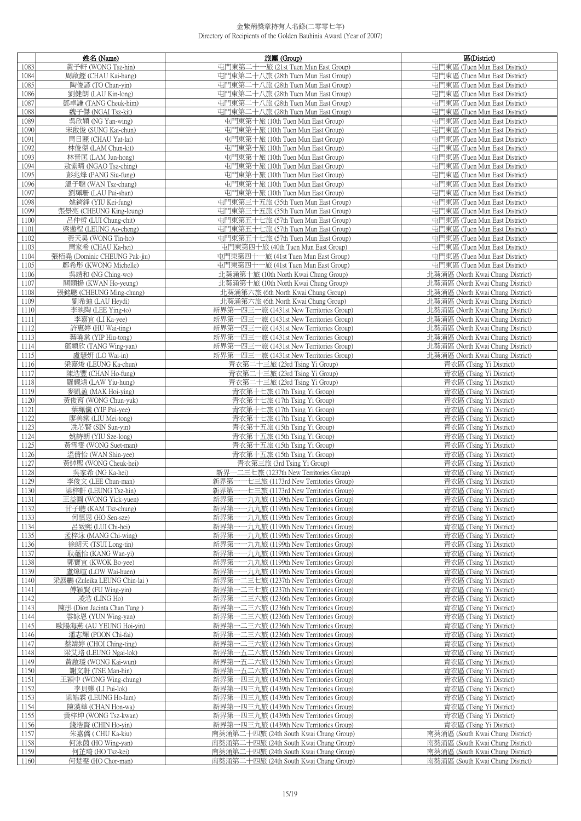|              | 姓名 (Name)                                     | 旅團 (Group)                                                                                    | 區(District)                                                          |
|--------------|-----------------------------------------------|-----------------------------------------------------------------------------------------------|----------------------------------------------------------------------|
| 1083         | 黃子軒 (WONG Tsz-hin)                            | 屯門東第二十一旅 (21st Tuen Mun East Group)                                                           | 屯門東區 (Tuen Mun East District)                                        |
| 1084         | 周啟鏗 (CHAU Kai-hang)                           | 屯門東第二十八旅 (28th Tuen Mun East Group)                                                           | 屯門東區 (Tuen Mun East District)                                        |
| 1085         | 陶俊諺 (TO Chun-yin)                             | 屯門東第二十八旅 (28th Tuen Mun East Group)                                                           | 屯門東區 (Tuen Mun East District)                                        |
| 1086         | 劉健朗 (LAU Kin-long)                            | 屯門東第二十八旅 (28th Tuen Mun East Group)                                                           | 屯門東區 (Tuen Mun East District)                                        |
| 1087         | 鄧卓謙 (TANG Cheuk-him)                          | 屯門東第二十八旅 (28th Tuen Mun East Group)                                                           | 屯門東區 (Tuen Mun East District)                                        |
| 1088         | 魏子傑 (NGAI Tsz-kit)                            | 屯門東第二十八旅 (28th Tuen Mun East Group)                                                           | 屯門東區 (Tuen Mun East District)                                        |
| 1089         | 吳欣穎 (NG Yan-wing)                             | 屯門東第十旅 (10th Tuen Mun East Group)                                                             | 屯門東區 (Tuen Mun East District)                                        |
| 1090         | 宋啟俊 (SUNG Kai-chun)                           | 屯門東第十旅 (10th Tuen Mun East Group)                                                             | 屯門東區 (Tuen Mun East District)                                        |
| 1091         | 周日麗 (CHAU Yat-lai)                            | 屯門東第十旅 (10th Tuen Mun East Group)                                                             | 屯門東區 (Tuen Mun East District)                                        |
| 1092<br>1093 | 林俊傑 (LAM Chun-kit)<br>林晉匡 (LAM Jun-hong)      | 屯門東第十旅 (10th Tuen Mun East Group)<br>屯門東第十旅 (10th Tuen Mun East Group)                        | 屯門東區 (Tuen Mun East District)<br>屯門東區 (Tuen Mun East District)       |
| 1094         | 敖紫晴 (NGAO Tsz-ching)                          | 屯門東第十旅 (10th Tuen Mun East Group)                                                             | 屯門東區 (Tuen Mun East District)                                        |
| 1095         | 彭兆烽 (PANG Siu-fung)                           | 屯門東第十旅 (10th Tuen Mun East Group)                                                             | 屯門東區 (Tuen Mun East District)                                        |
| 1096         | 溫子聰 (WAN Tsz-chung)                           | 屯門東第十旅 (10th Tuen Mun East Group)                                                             | 屯門東區 (Tuen Mun East District)                                        |
| 1097         | 劉珮珊 (LAU Pui-shan)                            | 屯門東第十旅 (10th Tuen Mun East Group)                                                             | 屯門東區 (Tuen Mun East District)                                        |
| 1098         | 姚錡鋒 (YIU Kei-fung)                            | 屯門東第三十五旅 (35th Tuen Mun East Group)                                                           | 屯門東區 (Tuen Mun East District)                                        |
| 1099         | 張景亮 (CHEUNG King-leung)                       | 屯門東第三十五旅 (35th Tuen Mun East Group)                                                           | 屯門東區 (Tuen Mun East District)                                        |
| 1100         | 呂仲哲 (LUI Chung-chit)                          | 屯門東第五十七旅 (57th Tuen Mun East Group)                                                           | 屯門東區 (Tuen Mun East District)                                        |
| 1101         | 梁遨程 (LEUNG Ao-cheng)                          | 屯門東第五十七旅 (57th Tuen Mun East Group)                                                           | 屯門東區 (Tuen Mun East District)                                        |
| 1102         | 黃天昊 (WONG Tin-ho)                             | 屯門東第五十七旅 (57th Tuen Mun East Group)                                                           | 屯門東區 (Tuen Mun East District)                                        |
| 1103         | 周家希 (CHAU Ka-hei)                             | 屯門東第四十旅 (40th Tuen Mun East Group)                                                            | 屯門東區 (Tuen Mun East District)                                        |
| 1104         | 張栢堯 (Dominic CHEUNG Pak-jiu)                  | 屯門東第四十一旅 (41st Tuen Mun East Group)                                                           | 屯門東區 (Tuen Mun East District)                                        |
| 1105<br>1106 | 鄺希彤 (KWONG Michelle)                          | 屯門東第四十一旅 (41st Tuen Mun East Group)<br>北葵涌第十旅 (10th North Kwai Chung Group)                   | 屯門東區 (Tuen Mun East District)<br>北葵涌區 (North Kwai Chung District)    |
| 1107         | 吳靖和 (NG Ching-wo)<br>關顥揚 (KWAN Ho-yeung)      | 北葵涌第十旅 (10th North Kwai Chung Group)                                                          | 北葵涌區 (North Kwai Chung District)                                     |
| 1108         | 張銘聰 (CHEUNG Ming-chung)                       | 北葵涌第六旅 (6th North Kwai Chung Group)                                                           | 北葵涌區 (North Kwai Chung District)                                     |
| 1109         | 劉希迪 (LAU Heydi)                               | 北葵涌第六旅 (6th North Kwai Chung Group)                                                           | 北葵涌區 (North Kwai Chung District)                                     |
| 1110         | 李映陶 (LEE Ying-to)                             | 新界第一四三一旅 (1431st New Territories Group)                                                       | 北葵涌區 (North Kwai Chung District)                                     |
| 1111         | 李嘉宜 (LI Ka-vee)                               | 新界第一四三一旅 (1431st New Territories Group)                                                       | 北葵涌區 (North Kwai Chung District)                                     |
| 1112         | 許惠婷 (HU Wai-ting)                             | 新界第一四三一旅 (1431st New Territories Group)                                                       | 北葵涌區 (North Kwai Chung District)                                     |
| 1113         | 葉曉棠 (YIP Hiu-tong)                            | 新界第一四三一旅 (1431st New Territories Group)                                                       | 北葵涌區 (North Kwai Chung District)                                     |
| 1114         | 鄧穎欣 (TANG Wing-yan)                           | 新界第一四三一旅 (1431st New Territories Group)                                                       | 北葵涌區 (North Kwai Chung District)                                     |
| 1115         | 盧慧妍 (LO Wai-in)                               | 新界第一四三一旅 (1431st New Territories Group)                                                       | 北葵涌區 (North Kwai Chung District)                                     |
| 1116         | 梁嘉焌 (LEUNG Ka-chun)                           | 青衣第二十三旅 (23rd Tsing Yi Group)                                                                 | 青衣區 (Tsing Yi District)                                              |
| 1117<br>1118 | 陳浩豐 (CHAN Ho-fung)<br>羅耀鴻 (LAW Yiu-hung)      | 青衣第二十三旅 (23rd Tsing Yi Group)<br>青衣第二十三旅 (23rd Tsing Yi Group)                                | 青衣區 (Tsing Yi District)<br>青衣區 (Tsing Yi District)                   |
| 1119         | 麥凱盈 (MAK Hoi-ying)                            | 青衣第十七旅 (17th Tsing Yi Group)                                                                  | 青衣區 (Tsing Yi District)                                              |
| 1120         | 黃俊育 (WONG Chun-yuk)                           | 青衣第十七旅 (17th Tsing Yi Group)                                                                  | 青衣區 (Tsing Yi District)                                              |
| 1121         | 葉珮儀 (YIP Pui-yee)                             | 青衣第十七旅 (17th Tsing Yi Group)                                                                  | 青衣區 (Tsing Yi District)                                              |
| 1122         | 廖美棠 (LIU Mei-tong)                            | 青衣第十七旅 (17th Tsing Yi Group)                                                                  | 青衣區 (Tsing Yi District)                                              |
| 1123         | 冼芯賢 (SIN Sun-yin)                             | 青衣第十五旅 (15th Tsing Yi Group)                                                                  | 青衣區 (Tsing Yi District)                                              |
| 1124         | 姚詩朗(YIU Sze-long)                             | 青衣第十五旅 (15th Tsing Yi Group)                                                                  | 青衣區 (Tsing Yi District)                                              |
| 1125         | 黃雪雯 (WONG Suet-man)                           | 青衣第十五旅 (15th Tsing Yi Group)                                                                  | 青衣區 (Tsing Yi District)                                              |
| 1126         | 溫倩怡 (WAN Shin-yee)                            | 青衣第十五旅 (15th Tsing Yi Group)                                                                  | 青衣區 (Tsing Yi District)                                              |
| 1127<br>1128 | 黃綽熙 (WONG Cheuk-hei)<br>吳家希 (NG Ka-hei)       | 青衣第三旅 (3rd Tsing Yi Group)<br>新界一二三七旅 (1237th New Territories Group)                          | 青衣區 (Tsing Yi District)<br>青衣區 (Tsing Yi District)                   |
| 1129         | 李俊文 (LEE Chun-man)                            | 新界第一一七三旅 (1173rd New Territories Group)                                                       | 青衣區 (Tsing Yi District)                                              |
| 1130         | 梁梓軒 (LEUNG Tsz-hin)                           | 新界第一一七三旅 (1173rd New Territories Group)                                                       | 青衣區 (Tsing Yi District)                                              |
| 1131         | 王益圓 (WONG Yick-yuen)                          | 新界第一一九九旅 (1199th New Territories Group)                                                       | 青衣區 (Tsing Yi District)                                              |
| 1132         | 甘子聰 (KAM Tsz-chung)                           | -九九旅 (1199th New Territories Group)<br>新界第-                                                   | 青衣區 (Tsing Yi District)                                              |
| 1133         | 何慎思 (HO Sen-sze)                              | 新界第-<br>--九九旅 (1199th New Territories Group)                                                  | 青衣區 (Tsing Yi District)                                              |
| 1134         | 呂致熙 (LUI Chi-hei)                             | 一九九旅 (1199th New Territories Group)<br>新界第-                                                   | 青衣區 (Tsing Yi District)                                              |
| 1135         | 孟梓泳 (MANG Chi-wing)                           | 新界第-<br>---九九旅 (1199th New Territories Group)                                                 | 青衣區 (Tsing Yi District)                                              |
| 1136<br>1137 | 徐朗天 (TSUI Long-tin)<br>耿蘊怡 (KANG Wan-yi)      | ----九九旅 (1199th New Territories Group)<br>新界第-<br>新界第-<br>一九九旅 (1199th New Territories Group) | 青衣區 (Tsing Yi District)<br>青衣區 (Tsing Yi District)                   |
| 1138         | 郭寶宜 (KWOK Bo-yee)                             | 新界第-<br>---九九旅 (1199th New Territories Group)                                                 | 青衣區 (Tsing Yi District)                                              |
| 1139         | 盧煒暄 (LOW Wai-huen)                            | ----九九旅 (1199th New Territories Group)<br>新界第-                                                | 青衣區 (Tsing Yi District)                                              |
| 1140         | 梁展鸝 (Zuleika LEUNG Chin-lai)                  | 新界第一二三七旅 (1237th New Territories Group)                                                       | 青衣區 (Tsing Yi District)                                              |
| 1141         | 傅穎賢 (FU Wing-yin)                             | 新界第一二三七旅 (1237th New Territories Group)                                                       | 青衣區 (Tsing Yi District)                                              |
| 1142         | 凌浩 (LING Ho)                                  | 新界第一二三六旅 (1236th New Territories Group)                                                       | 青衣區 (Tsing Yi District)                                              |
| 1143         | 陳彤 (Dion Jacinta Chan Tung)                   | 新界第一二三六旅 (1236th New Territories Group)                                                       | 青衣區 (Tsing Yi District)                                              |
| 1144         | 雲詠恩 (YUN Wing-yan)                            | 新界第一二三六旅 (1236th New Territories Group)                                                       | 青衣區 (Tsing Yi District)                                              |
| 1145         | 歐陽海燕 (AU YEUNG Hoi-yin)                       | 新界第一二三六旅 (1236th New Territories Group)                                                       | 青衣區 (Tsing Yi District)                                              |
| 1146<br>1147 | 潘志輝 (POON Chi-fai)                            | 新界第一二三六旅 (1236th New Territories Group)                                                       | 青衣區 (Tsing Yi District)                                              |
| 1148         | 蔡靖婷 (CHOI Ching-ting)<br>梁艾珞 (LEUNG Ngai-lok) | 新界第一二三六旅 (1236th New Territories Group)<br>新界第一五二六旅 (1526th New Territories Group)            | 青衣區 (Tsing Yi District)<br>青衣區 (Tsing Yi District)                   |
| 1149         | 黃啟瑗 (WONG Kai-wun)                            | 新界第一五二六旅 (1526th New Territories Group)                                                       | 青衣區 (Tsing Yi District)                                              |
| 1150         | 謝文軒 (TSE Man-hin)                             | 新界第一五二六旅 (1526th New Territories Group)                                                       | 青衣區 (Tsing Yi District)                                              |
| 1151         | 王穎中 (WONG Wing-chung)                         | 新界第一四三九旅 (1439th New Territories Group)                                                       | 青衣區 (Tsing Yi District)                                              |
| 1152         | 李貝樂 (LI Pui-lok)                              | 新界第一四三九旅 (1439th New Territories Group)                                                       | 青衣區 (Tsing Yi District)                                              |
| 1153         | 梁皓霖 (LEUNG Ho-lam)                            | 新界第一四三九旅 (1439th New Territories Group)                                                       | 青衣區 (Tsing Yi District)                                              |
| 1154         | 陳漢華 (CHAN Hon-wa)                             | 新界第一四三九旅 (1439th New Territories Group)                                                       | 青衣區 (Tsing Yi District)                                              |
| 1155         | 黃梓坤 (WONG Tsz-kwan)                           | 新界第一四三九旅 (1439th New Territories Group)                                                       | 青衣區 (Tsing Yi District)                                              |
| 1156         | 錢浩賢 (CHIN Ho-yin)                             | 新界第一四三九旅 (1439th New Territories Group)                                                       | 青衣區 (Tsing Yi District)                                              |
| 1157<br>1158 | 朱嘉僑 (CHU Ka-kiu)<br>何泳茵 (HO Wing-yan)         | 南葵涌第二十四旅 (24th South Kwai Chung Group)<br>南葵涌第二十四旅 (24th South Kwai Chung Group)              | 南葵涌區 (South Kwai Chung District)<br>南葵涌區 (South Kwai Chung District) |
| 1159         | 何芷琦 (HO Tsz-kei)                              | 南葵涌第二十四旅 (24th South Kwai Chung Group)                                                        | 南葵涌區 (South Kwai Chung District)                                     |
| 1160         | 何楚雯 (HO Chor-man)                             | 南葵涌第二十四旅 (24th South Kwai Chung Group)                                                        | 南葵涌區 (South Kwai Chung District)                                     |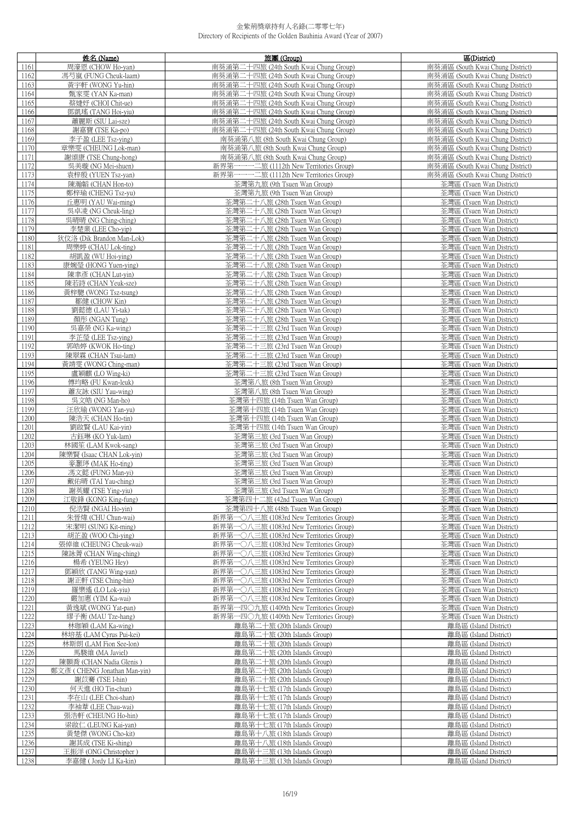|              | 姓名 (Name)                                  | 旅團 (Group)                                                    | 區(District)                                          |
|--------------|--------------------------------------------|---------------------------------------------------------------|------------------------------------------------------|
| 1161         | 周濠恩 (CHOW Ho-yan)                          | 南葵涌第二十四旅 (24th South Kwai Chung Group)                        | 南葵涌區 (South Kwai Chung District)                     |
| 1162         | 馮芍嵐 (FUNG Cheuk-laam)                      | 南葵涌第二十四旅 (24th South Kwai Chung Group)                        | 南葵涌區 (South Kwai Chung District)                     |
| 1163         | 黃宇軒 (WONG Yu-hin)                          | 南葵涌第二十四旅 (24th South Kwai Chung Group)                        | 南葵涌區 (South Kwai Chung District)                     |
| 1164         | 甄家雯 (YAN Ka-man)                           | 南葵涌第二十四旅 (24th South Kwai Chung Group)                        | 南葵涌區 (South Kwai Chung District)                     |
| 1165         | 蔡婕妤 (CHOI Chit-ue)                         | 南葵涌第二十四旅 (24th South Kwai Chung Group)                        | 南葵涌區 (South Kwai Chung District)                     |
| 1166         | 鄧凱瑤 (TANG Hoi-yiu)                         | 南葵涌第二十四旅 (24th South Kwai Chung Group)                        | 南葵涌區 (South Kwai Chung District)                     |
| 1167         | 蕭麗斯 (SIU Lai-sze)                          | 南葵涌第二十四旅 (24th South Kwai Chung Group)                        | 南葵涌區 (South Kwai Chung District)                     |
| 1168         | 謝嘉寶 (TSE Ka-po)                            | 南葵涌第二十四旅 (24th South Kwai Chung Group)                        | 南葵涌區 (South Kwai Chung District)                     |
| 1169         | 李子盈 (LEE Tsz-ying)                         | 南葵涌第八旅 (8th South Kwai Chung Group)                           | 南葵涌區 (South Kwai Chung District)                     |
| 1170         | 章樂雯 (CHEUNG Lok-man)                       | 南葵涌第八旅 (8th South Kwai Chung Group)                           | 南葵涌區 (South Kwai Chung District)                     |
| 1171         | 謝頌康 (TSE Chung-hong)                       | 南葵涌第八旅 (8th South Kwai Chung Group)                           | 南葵涌區 (South Kwai Chung District)                     |
| 1172         | 吳美璇 (NG Mei-shuen)                         | 新界第一一一二旅 (1112th New Territories Group)                       | 南葵涌區 (South Kwai Chung District)                     |
| 1173         | 袁梓殷 (YUEN Tsz-yan)                         | 新界第一一一二旅 (1112th New Territories Group)                       | 南葵涌區 (South Kwai Chung District)                     |
| 1174         | 陳瀚韜 (CHAN Hon-to)                          | 荃灣第九旅 (9th Tsuen Wan Group)                                   | 荃灣區 (Tsuen Wan District)                             |
| 1175         | 鄭梓瑜 (CHENG Tsz-yu)                         | 荃灣第九旅 (9th Tsuen Wan Group)                                   | 荃灣區 (Tsuen Wan District)                             |
| 1176         | 丘惠明 (YAU Wai-ming)                         | 荃灣第二十八旅 (28th Tsuen Wan Group)                                | 荃灣區 (Tsuen Wan District)                             |
| 1177         | 吳卓凌 (NG Cheuk-ling)                        | 荃灣第二十八旅 (28th Tsuen Wan Group)                                | 荃灣區 (Tsuen Wan District)                             |
| 1178         | 吳晴晴 (NG Ching-ching)                       | 荃灣第二十八旅 (28th Tsuen Wan Group)                                | 荃灣區 (Tsuen Wan District)                             |
| 1179         | 李楚業 (LEE Cho-yip)                          | 荃灣第二十八旅 (28th Tsuen Wan Group)                                | 荃灣區 (Tsuen Wan District)                             |
| 1180         | 狄伩洛 (Dik Brandon Man-Lok)                  | 荃灣第二十八旅 (28th Tsuen Wan Group)                                | 荃灣區 (Tsuen Wan District)                             |
| 1181         | 周樂婷 (CHAU Lok-ting)                        | 荃灣第二十八旅 (28th Tsuen Wan Group)                                | 荃灣區 (Tsuen Wan District)                             |
| 1182         | 胡凱盈 (WU Hoi-ying)                          | 荃灣第二十八旅 (28th Tsuen Wan Group)                                | 荃灣區 (Tsuen Wan District)                             |
| 1183         | 康婉瑩 (HONG Yuen-ying)                       | 荃灣第二十八旅 (28th Tsuen Wan Group)                                | 荃灣區 (Tsuen Wan District)                             |
| 1184         | 陳聿彥 (CHAN Lut-yin)                         | 荃灣第二十八旅 (28th Tsuen Wan Group)                                | 荃灣區 (Tsuen Wan District)                             |
| 1185         | 陳若詩 (CHAN Yeuk-sze)                        | 荃灣第二十八旅 (28th Tsuen Wan Group)                                | 荃灣區 (Tsuen Wan District)                             |
| 1186         | 黃梓驄 (WONG Tsz-tsung)                       | 荃灣第二十八旅 (28th Tsuen Wan Group)                                | 荃灣區 (Tsuen Wan District)                             |
| 1187         | 鄒健 (CHOW Kin)                              | 荃灣第二十八旅 (28th Tsuen Wan Group)                                | 荃灣區 (Tsuen Wan District)                             |
| 1188         | 劉懿德 (LAU Yi-tak)                           | 荃灣第二十八旅 (28th Tsuen Wan Group)                                | 荃灣區 (Tsuen Wan District)                             |
| 1189         | 顏彤 (NGAN Tung)                             | 荃灣第二十八旅 (28th Tsuen Wan Group)                                | 荃灣區 (Tsuen Wan District)                             |
| 1190         | 吳嘉榮 (NG Ka-wing)                           | 荃灣第二十三旅 (23rd Tsuen Wan Group)                                | 荃灣區 (Tsuen Wan District)                             |
| 1191         | 李芷瑩 (LEE Tsz-ying)                         | 荃灣第二十三旅 (23rd Tsuen Wan Group)                                | 荃灣區 (Tsuen Wan District)                             |
| 1192         | 郭皓婷 (KWOK Ho-ting)                         | 荃灣第二十三旅 (23rd Tsuen Wan Group)                                | 荃灣區 (Tsuen Wan District)                             |
| 1193         | 陳翠霖 (CHAN Tsui-lam)                        | 荃灣第二十三旅 (23rd Tsuen Wan Group)                                | 荃灣區 (Tsuen Wan District)                             |
| 1194         | 黃靖雯 (WONG Ching-man)                       | 荃灣第二十三旅 (23rd Tsuen Wan Group)                                | 荃灣區 (Tsuen Wan District)                             |
| 1195         | 盧穎麒 (LO Wing-ki)                           | 荃灣第二十三旅 (23rd Tsuen Wan Group)                                | 荃灣區 (Tsuen Wan District)                             |
| 1196         | 傅均略 (FU Kwan-leuk)                         | 荃灣第八旅 (8th Tsuen Wan Group)                                   | 荃灣區 (Tsuen Wan District)                             |
| 1197         | 蕭友詠 (SIU Yau-wing)                         | 荃灣第八旅 (8th Tsuen Wan Group)                                   | 荃灣區 (Tsuen Wan District)                             |
| 1198         | 吳文皓 (NG Man-ho)                            | 荃灣第十四旅 (14th Tsuen Wan Group)                                 | 荃灣區 (Tsuen Wan District)                             |
| 1199         | 汪欣瑜 (WONG Yan-yu)                          | 荃灣第十四旅 (14th Tsuen Wan Group)                                 | 荃灣區 (Tsuen Wan District)                             |
| 1200         | 陳浩天 (CHAN Ho-tin)                          | 荃灣第十四旅 (14th Tsuen Wan Group)                                 | 荃灣區 (Tsuen Wan District)                             |
| 1201         | 劉啟賢 (LAU Kai-yin)                          | 荃灣第十四旅 (14th Tsuen Wan Group)                                 | 荃灣區 (Tsuen Wan District)                             |
| 1202         | 古鈺琳 (KO Yuk-lam)                           | 荃灣第三旅 (3rd Tsuen Wan Group)                                   | 荃灣區 (Tsuen Wan District)                             |
| 1203         | 林國笙 (LAM Kwok-sang)                        | 荃灣第三旅 (3rd Tsuen Wan Group)                                   | 荃灣區 (Tsuen Wan District)                             |
| 1204         | 陳樂賢 (Isaac CHAN Lok-yin)                   | 荃灣第三旅 (3rd Tsuen Wan Group)                                   | 荃灣區 (Tsuen Wan District)                             |
| 1205         | 麥灝弴 (MAK Ho-ting)                          | 荃灣第三旅 (3rd Tsuen Wan Group)                                   | 荃灣區 (Tsuen Wan District)                             |
| 1206         | 馮文懿 (FUNG Man-yi)                          | 荃灣第三旅 (3rd Tsuen Wan Group)<br>荃灣第三旅 (3rd Tsuen Wan Group)    | 荃灣區 (Tsuen Wan District)                             |
| 1207         | 戴佑晴 (TAI Yau-ching)                        |                                                               | 荃灣區 (Tsuen Wan District)                             |
| 1208<br>1209 | 謝英耀 (TSE Ying-yiu)<br>江敬鋒 (KONG King-fung) | 荃灣第三旅 (3rd Tsuen Wan Group)<br>荃灣第四十二旅 (42nd Tsuen Wan Group) | 荃灣區 (Tsuen Wan District)<br>荃灣區 (Tsuen Wan District) |
| 1210         | 倪浩賢 (NGAI Ho-yin)                          | 荃灣第四十八旅 (48th Tsuen Wan Group)                                | 荃灣區 (Tsuen Wan District)                             |
| 1211         | 朱晉煒 (CHU Chun-wai)                         | 新界第一〇八三旅 (1083rd New Territories Group)                       | 荃灣區 (Tsuen Wan District)                             |
| 1212         | 宋潔明 (SUNG Kit-ming)                        | 新界第一〇八三旅 (1083rd New Territories Group)                       | 荃灣區 (Tsuen Wan District)                             |
| 1213         | 胡芷盈 (WOO Chi-ying)                         | 新界第一〇八三旅 (1083rd New Territories Group)                       | 荃灣區 (Tsuen Wan District)                             |
| 1214         | 張倬維 (CHEUNG Cheuk-wai)                     | 新界第一〇八三旅 (1083rd New Territories Group)                       | 荃灣區 (Tsuen Wan District)                             |
| 1215         | 陳詠菁 (CHAN Wing-ching)                      | 新界第一〇八三旅 (1083rd New Territories Group)                       | 荃灣區 (Tsuen Wan District)                             |
| 1216         | 楊希 (YEUNG Hey)                             | 新界第一〇八三旅 (1083rd New Territories Group)                       | 荃灣區 (Tsuen Wan District)                             |
| 1217         | 鄧穎欣 (TANG Wing-yan)                        | 新界第一〇八三旅 (1083rd New Territories Group)                       | 荃灣區 (Tsuen Wan District)                             |
| 1218         | 謝正軒 (TSE Ching-hin)                        | 新界第一〇八三旅 (1083rd New Territories Group)                       | 荃灣區 (Tsuen Wan District)                             |
| 1219         | 羅樂遙 (LO Lok-yiu)                           | 新界第一〇八三旅 (1083rd New Territories Group)                       | 荃灣區 (Tsuen Wan District)                             |
| 1220         | 嚴加惠 (YIM Ka-wai)                           | 新界第一〇八三旅 (1083rd New Territories Group)                       | 荃灣區 (Tsuen Wan District)                             |
| 1221         | 黃逸斌 (WONG Yat-pan)                         | 新界第一四〇九旅 (1409th New Territories Group)                       | 荃灣區 (Tsuen Wan District)                             |
| 1222         | 繆子衡 (MAU Tze-hang)                         | 新界第一四○九旅 (1409th New Territories Group)                       | 荃灣區 (Tsuen Wan District)                             |
| 1223         | 林珈穎 (LAM Ka-wing)                          | 離島第二十旅 (20th Islands Group)                                   | 離島區 (Island District)                                |
| 1224         | 林培基 (LAM Cyrus Pui-kei)                    | 離島第二十旅 (20th Islands Group)                                   | 離島區 (Island District)                                |
| 1225         | 林斯朗 (LAM Fion See-lon)                     | 離島第二十旅 (20th Islands Group)                                   | 離島區 (Island District)                                |
| 1226         | 馬駿維 (MA Javiel)                            | 離島第二十旅 (20th Islands Group)                                   | 離島區 (Island District)                                |
| 1227         | 陳顥喬 (CHAN Nadia Glenis)                    | 離島第二十旅 (20th Islands Group)                                   | 離島區 (Island District)                                |
| 1228         | 鄭文彥 (CHENG Jonathan Man-yin)               | 離島第二十旅 (20th Islands Group)                                   | 離島區 (Island District)                                |
| 1229         | 謝苡騫 (TSE I-hin)                            | 離島第二十旅 (20th Islands Group)                                   | 離島區 (Island District)                                |
| 1230<br>1231 | 何天進 (HO Tin-chun)                          | 離島第十七旅 (17th Islands Group)                                   | 離島區 (Island District)                                |
| 1232         | 李在山 (LEE Choi-shan)<br>李袖葦 (LEE Chau-wai)  | 離島第十七旅 (17th Islands Group)<br>離島第十七旅 (17th Islands Group)    | 離島區 (Island District)<br>離島區 (Island District)       |
| 1233         | 張浩軒 (CHEUNG Ho-hin)                        | 離島第十七旅 (17th Islands Group)                                   | 離島區 (Island District)                                |
| 1234         | 梁啟仁 (LEUNG Kai-yan)                        | 離島第十七旅 (17th Islands Group)                                   | 離島區 (Island District)                                |
| 1235         | 黃楚傑 (WONG Cho-kit)                         | 離島第十八旅 (18th Islands Group)                                   | 離島區 (Island District)                                |
| 1236         | 謝其成 (TSE Ki-shing)                         | 離島第十八旅 (18th Islands Group)                                   | 離島區 (Island District)                                |
| 1237         | 王振洋 (ONG Christopher)                      | 離島第十三旅 (13th Islands Group)                                   | 離島區 (Island District)                                |
| 1238         | 李嘉健 (Jordy LI Ka-kin)                      | 離島第十三旅 (13th Islands Group)                                   | 離島區 (Island District)                                |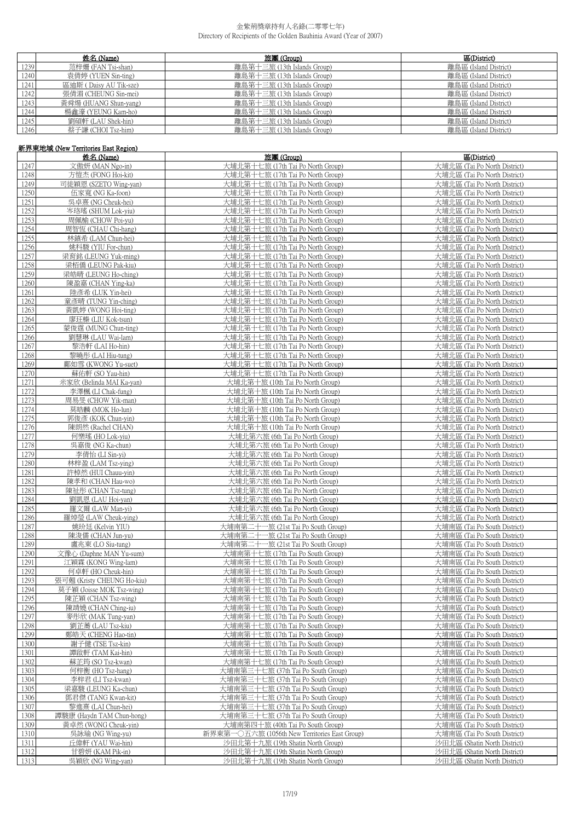|      | 姓名 (Name)              | 旅團 (Group)                  | 區(District)           |
|------|------------------------|-----------------------------|-----------------------|
| 1239 | 范梓姍 (FAN Tsi-shan)     | 離島第十三旅 (13th Islands Group) | 離島區 (Island District) |
| 1240 | 袁倩婷 (YUEN Sin-ting)    | 離島第十三旅 (13th Islands Group) | 離島區 (Island District) |
| 1241 | 區迪斯 (Daisy AU Tik-sze) | 離島第十三旅 (13th Islands Group) | 離島區 (Island District) |
| 1242 | 張倩湄 (CHEUNG Sin-mei)   | 離島第十三旅 (13th Islands Group) | 離島區 (Island District) |
| 1243 | 黃舜煬 (HUANG Shun-yang)  | 離島第十三旅 (13th Islands Group) | 離島區 (Island District) |
| 1244 | 楊鑫濠 (YEUNG Kam-ho)     | 離島第十三旅 (13th Islands Group) | 離島區 (Island District) |
| 1245 | 劉碩軒 (LAU Shek-hin)     | 離島第十三旅 (13th Islands Group) | 離島區 (Island District) |
| 1246 | 蔡子謙 (CHOI Tsz-him)     | 離島第十三旅 (13th Islands Group) | 離島區 (Island District) |

# 新界東地域 (New Territories East Region)

|      | 姓名 (Name)                  | 旅團 (Group)                                    | 區(District)                  |
|------|----------------------------|-----------------------------------------------|------------------------------|
| 1247 | 文傲妍 (MAN Ngo-in)           | 大埔北第十七旅 (17th Tai Po North Group)             | 大埔北區 (Tai Po North District) |
| 1248 | 方愷杰 (FONG Hoi-kit)         | 大埔北第十七旅 (17th Tai Po North Group)             | 大埔北區 (Tai Po North District) |
| 1249 | 司徒穎恩 (SZETO Wing-yan)      | 大埔北第十七旅 (17th Tai Po North Group)             | 大埔北區 (Tai Po North District) |
| 1250 | 伍家寬 (NG Ka-foon)           | 大埔北第十七旅 (17th Tai Po North Group)             | 大埔北區 (Tai Po North District) |
| 1251 | 吳卓熹 (NG Cheuk-hei)         | 大埔北第十七旅 (17th Tai Po North Group)             | 大埔北區 (Tai Po North District) |
| 1252 | 岑珞瑤 (SHUM Lok-yiu)         | 大埔北第十七旅 (17th Tai Po North Group)             | 大埔北區 (Tai Po North District) |
|      |                            |                                               |                              |
| 1253 | 周佩榆 (CHOW Poi-yu)          | 大埔北第十七旅 (17th Tai Po North Group)             | 大埔北區 (Tai Po North District) |
| 1254 | 周智恆 (CHAU Chi-hang)        | 大埔北第十七旅 (17th Tai Po North Group)             | 大埔北區 (Tai Po North District) |
| 1255 | 林鎮希 (LAM Chun-hei)         | 大埔北第十七旅 (17th Tai Po North Group)             | 大埔北區 (Tai Po North District) |
| 1256 | 姚科駿 (YIU For-chun)         | 大埔北第十七旅 (17th Tai Po North Group)             | 大埔北區 (Tai Po North District) |
| 1257 | 梁育銘 (LEUNG Yuk-ming)       | 大埔北第十七旅 (17th Tai Po North Group)             | 大埔北區 (Tai Po North District) |
| 1258 | 梁栢僑 (LEUNG Pak-kiu)        | 大埔北第十七旅 (17th Tai Po North Group)             | 大埔北區 (Tai Po North District) |
| 1259 | 梁皓晴 (LEUNG Ho-ching)       | 大埔北第十七旅 (17th Tai Po North Group)             | 大埔北區 (Tai Po North District) |
| 1260 | 陳盈嘉 (CHAN Ying-ka)         | 大埔北第十七旅 (17th Tai Po North Group)             | 大埔北區 (Tai Po North District) |
| 1261 | 陸彥希 (LUK Yin-hei)          | 大埔北第十七旅 (17th Tai Po North Group)             | 大埔北區 (Tai Po North District) |
| 1262 | 童彥晴 (TUNG Yin-ching)       | 大埔北第十七旅 (17th Tai Po North Group)             | 大埔北區 (Tai Po North District) |
| 1263 | 黃凱婷 (WONG Hoi-ting)        | 大埔北第十七旅 (17th Tai Po North Group)             | 大埔北區 (Tai Po North District) |
| 1264 | 廖玨榛 (LIU Kok-tsun)         | 大埔北第十七旅 (17th Tai Po North Group)             | 大埔北區 (Tai Po North District) |
|      | 蒙俊霆 (MUNG Chun-ting)       | 大埔北第十七旅 (17th Tai Po North Group)             | 大埔北區 (Tai Po North District) |
| 1265 |                            |                                               |                              |
| 1266 | 劉慧琳 (LAU Wai-lam)          | 大埔北第十七旅 (17th Tai Po North Group)             | 大埔北區 (Tai Po North District) |
| 1267 | 黎浩軒 (LAI Ho-hin)           | 大埔北第十七旅 (17th Tai Po North Group)             | 大埔北區 (Tai Po North District) |
| 1268 | 黎曉彤 (LAI Hiu-tung)         | 大埔北第十七旅 (17th Tai Po North Group)             | 大埔北區 (Tai Po North District) |
| 1269 | 鄺如雪 (KWONG Yu-suet)        | 大埔北第十七旅 (17th Tai Po North Group)             | 大埔北區 (Tai Po North District) |
| 1270 | 蘇佑軒 (SO Yau-hin)           | 大埔北第十七旅 (17th Tai Po North Group)             | 大埔北區 (Tai Po North District) |
| 1271 | 米家欣 (Belinda MAI Ka-yan)   | 大埔北第十旅 (10th Tai Po North Group)              | 大埔北區 (Tai Po North District) |
| 1272 | 李澤楓 (LI Chak-fung)         | 大埔北第十旅 (10th Tai Po North Group)              | 大埔北區 (Tai Po North District) |
| 1273 | 周易旻 (CHOW Yik-man)         | 大埔北第十旅 (10th Tai Po North Group)              | 大埔北區 (Tai Po North District) |
| 1274 | 莫皓麟 (MOK Ho-lun)           | 大埔北第十旅 (10th Tai Po North Group)              | 大埔北區 (Tai Po North District) |
| 1275 | 郭俊彥 (KOK Chun-yin)         | 大埔北第十旅 (10th Tai Po North Group)              | 大埔北區 (Tai Po North District) |
| 1276 | 陳朗然 (Rachel CHAN)          | 大埔北第十旅 (10th Tai Po North Group)              | 大埔北區 (Tai Po North District) |
| 1277 | 何樂瑤 (HO Lok-yiu)           | 大埔北第六旅 (6th Tai Po North Group)               | 大埔北區 (Tai Po North District) |
| 1278 | 吳嘉俊 (NG Ka-chun)           | 大埔北第六旅 (6th Tai Po North Group)               | 大埔北區 (Tai Po North District) |
| 1279 | 李倩怡 (LI Sin-yi)            | 大埔北第六旅 (6th Tai Po North Group)               | 大埔北區 (Tai Po North District) |
|      | 林梓盈 (LAM Tsz-ying)         | 大埔北第六旅 (6th Tai Po North Group)               | 大埔北區 (Tai Po North District) |
| 1280 |                            |                                               |                              |
| 1281 | 許棹然 (HUI Chauu-yin)        | 大埔北第六旅 (6th Tai Po North Group)               | 大埔北區 (Tai Po North District) |
| 1282 | 陳孝和 (CHAN Hau-wo)          | 大埔北第六旅 (6th Tai Po North Group)               | 大埔北區 (Tai Po North District) |
| 1283 | 陳祉彤 (CHAN Tsz-tung)        | 大埔北第六旅 (6th Tai Po North Group)               | 大埔北區 (Tai Po North District) |
| 1284 | 劉凱恩 (LAU Hoi-yan)          | 大埔北第六旅 (6th Tai Po North Group)               | 大埔北區 (Tai Po North District) |
| 1285 | 羅文爾 (LAW Man-yi)           | 大埔北第六旅 (6th Tai Po North Group)               | 大埔北區 (Tai Po North District) |
| 1286 | 羅焯瑩 (LAW Cheuk-ying)       | 大埔北第六旅 (6th Tai Po North Group)               | 大埔北區 (Tai Po North District) |
| 1287 | 姚玠廷 (Kelvin YIU)           | 大埔南第二十一旅 (21st Tai Po South Group)            | 大埔南區 (Tai Po South District) |
| 1288 | 陳浚儒 (CHAN Jun-yu)          | 大埔南第二十一旅 (21st Tai Po South Group)            | 大埔南區 (Tai Po South District) |
| 1289 | 盧兆東 (LO Siu-tung)          | 大埔南第二十一旅 (21st Tai Po South Group)            | 大埔南區 (Tai Po South District) |
| 1290 | 文豫心 (Daphne MAN Yu-sum)    | 大埔南第十七旅 (17th Tai Po South Group)             | 大埔南區 (Tai Po South District) |
| 1291 | 江穎霖 (KONG Wing-lam)        | 大埔南第十七旅 (17th Tai Po South Group)             | 大埔南區 (Tai Po South District) |
| 1292 | 何卓軒 (HO Cheuk-hin)         | 大埔南第十七旅 (17th Tai Po South Group)             | 大埔南區 (Tai Po South District) |
| 1293 | 張可翹 (Kristy CHEUNG Ho-kiu) | 大埔南第十七旅 (17th Tai Po South Group)             | 大埔南區 (Tai Po South District) |
| 1294 | 莫子穎 (Joisse MOK Tsz-wing)  | 大埔南第十七旅 (17th Tai Po South Group)             | 大埔南區 (Tai Po South District) |
| 1295 | 陳芷穎 (CHAN Tsz-wing)        | 大埔南第十七旅 (17th Tai Po South Group)             | 大埔南區 (Tai Po South District) |
| 1296 | 陳靖嬈 (CHAN Ching-iu)        | 大埔南第十七旅 (17th Tai Po South Group)             | 大埔南區 (Tai Po South District) |
| 1297 | 麥彤欣 (MAK Tung-yan)         | 大埔南第十七旅 (17th Tai Po South Group)             | 大埔南區 (Tai Po South District) |
| 1298 | 劉芷蕎 (LAU Tsz-kiu)          | 大埔南第十七旅 (17th Tai Po South Group)             | 大埔南區 (Tai Po South District) |
| 1299 | 鄭皓天 (CHENG Hao-tin)        | 大埔南第十七旅 (17th Tai Po South Group)             | 大埔南區 (Tai Po South District) |
|      |                            |                                               |                              |
| 1300 | 謝子健 (TSE Tsz-kin)          | 大埔南第十七旅 (17th Tai Po South Group)             | 大埔南區 (Tai Po South District) |
| 1301 | 譚啟軒 (TAM Kai-hin)          | 大埔南第十七旅 (17th Tai Po South Group)             | 大埔南區 (Tai Po South District) |
| 1302 | 蘇芷筠 (SO Tsz-kwan)          | 大埔南第十七旅 (17th Tai Po South Group)             | 大埔南區 (Tai Po South District) |
| 1303 | 何梓衡 (HO Tsz-hang)          | 大埔南第三十七旅 (37th Tai Po South Group)            | 大埔南區 (Tai Po South District) |
| 1304 | 李梓君 (LI Tsz-kwan)          | 大埔南第三十七旅 (37th Tai Po South Group)            | 大埔南區 (Tai Po South District) |
| 1305 | 梁嘉駿 (LEUNG Ka-chun)        | 大埔南第三十七旅 (37th Tai Po South Group)            | 大埔南區 (Tai Po South District) |
| 1306 | 鄧君傑 (TANG Kwan-kit)        | 大埔南第三十七旅 (37th Tai Po South Group)            | 大埔南區 (Tai Po South District) |
| 1307 | 黎進熹 (LAI Chun-hei)         | 大埔南第三十七旅 (37th Tai Po South Group)            | 大埔南區 (Tai Po South District) |
| 1308 | 譚駿康 (Haydn TAM Chun-hong)  | 大埔南第三十七旅 (37th Tai Po South Group)            | 大埔南區 (Tai Po South District) |
| 1309 | 黃卓然 (WONG Cheuk-yin)       | 大埔南第四十旅 (40th Tai Po South Group)             | 大埔南區 (Tai Po South District) |
| 1310 | 吳詠瑜 (NG Wing-yu)           | 新界東第一〇五六旅 (1056th New Territories East Group) | 大埔南區 (Tai Po South District) |
| 1311 | 丘偉軒 (YAU Wai-hin)          | 沙田北第十九旅 (19th Shatin North Group)             | 沙田北區 (Shatin North District) |
| 1312 | 甘碧妍 (KAM Pik-in)           | 沙田北第十九旅 (19th Shatin North Group)             | 沙田北區 (Shatin North District) |
| 1313 | 吳穎欣 (NG Wing-yan)          | 沙田北第十九旅 (19th Shatin North Group)             | 沙田北區 (Shatin North District) |
|      |                            |                                               |                              |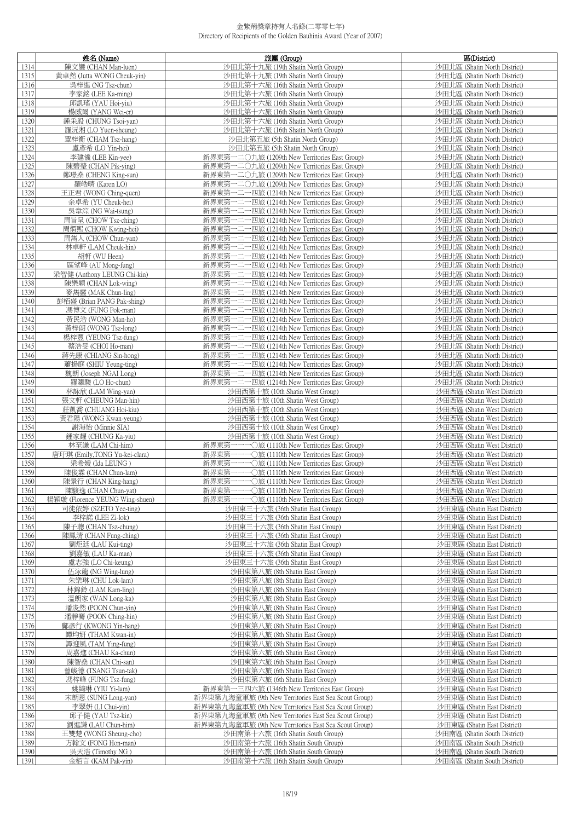|      | 姓名 (Name)                       | 旅團 (Group)                                           | 區(District)                  |
|------|---------------------------------|------------------------------------------------------|------------------------------|
| 1314 | 陳文鑾 (CHAN Man-luen)             | 沙田北第十九旅 (19th Shatin North Group)                    | 沙田北區 (Shatin North District) |
| 1315 | 黃卓然 (Jutta WONG Cheuk-yin)      | 沙田北第十九旅 (19th Shatin North Group)                    | 沙田北區 (Shatin North District) |
| 1316 | 吴梓進 (NG Tsz-chun)               | 沙田北第十六旅 (16th Shatin North Group)                    | 沙田北區 (Shatin North District) |
|      |                                 |                                                      |                              |
| 1317 | 李家銘 (LEE Ka-ming)               | 沙田北第十六旅 (16th Shatin North Group)                    | 沙田北區 (Shatin North District) |
| 1318 | 邱凱瑤 (YAU Hoi-yiu)               | 沙田北第十六旅 (16th Shatin North Group)                    | 沙田北區 (Shatin North District) |
| 1319 | 楊威爾 (YANG Wei-er)               | 沙田北第十六旅 (16th Shatin North Group)                    | 沙田北區 (Shatin North District) |
| 1320 | 鍾采殷 (CHUNG Tsoi-yan)            | 沙田北第十六旅 (16th Shatin North Group)                    | 沙田北區 (Shatin North District) |
| 1321 | 羅沅湘 (LO Yuen-sheung)            | 沙田北第十六旅 (16th Shatin North Group)                    | 沙田北區 (Shatin North District) |
| 1322 | 覃梓衡 (CHAM Tsz-hang)             | 沙田北第五旅 (5th Shatin North Group)                      | 沙田北區 (Shatin North District) |
| 1323 | 盧彥希 (LO Yin-hei)                | 沙田北第五旅 (5th Shatin North Group)                      | 沙田北區 (Shatin North District) |
| 1324 | 李建儀 (LEE Kin-yee)               | 新界東第一二〇九旅 (1209th New Territories East Group)        | 沙田北區 (Shatin North District) |
| 1325 | 陳碧瑩 (CHAN Pik-ying)             | 新界東第一二〇九旅 (1209th New Territories East Group)        | 沙田北區 (Shatin North District) |
| 1326 | 鄭璟燊 (CHENG King-sun)            | 新界東第一二〇九旅 (1209th New Territories East Group)        | 沙田北區 (Shatin North District) |
| 1327 | 羅皓晴 (Karen LO)                  | 新界東第一二〇九旅 (1209th New Territories East Group)        | 沙田北區 (Shatin North District) |
| 1328 | 王正君 (WONG Ching-quen)           | 新界東第一二一四旅 (1214th New Territories East Group)        | 沙田北區 (Shatin North District) |
| 1329 | 余卓希 (YU Cheuk-hei)              | 新界東第一二一四旅 (1214th New Territories East Group)        | 沙田北區 (Shatin North District) |
| 1330 | 吳韋淙 (NG Wai-tsung)              | 新界東第一二一四旅 (1214th New Territories East Group)        | 沙田北區 (Shatin North District) |
| 1331 | 周旨呈 (CHOW Tsz-ching)            | 新界東第一二一四旅 (1214th New Territories East Group)        | 沙田北區 (Shatin North District) |
| 1332 | 周烱熙 (CHOW Kwing-hei)            | 新界東第一二一四旅 (1214th New Territories East Group)        | 沙田北區 (Shatin North District) |
| 1333 | 周雋人 (CHOW Chun-yan)             | 新界東第一二一四旅 (1214th New Territories East Group)        | 沙田北區 (Shatin North District) |
| 1334 | 林卓軒 (LAM Cheuk-hin)             | 新界東第一二一四旅 (1214th New Territories East Group)        | 沙田北區 (Shatin North District) |
| 1335 | 胡軒 (WU Heen)                    | 新界東第一二一四旅 (1214th New Territories East Group)        | 沙田北區 (Shatin North District) |
| 1336 | 區望峰 (AU Mong-fung)              | 新界東第一二一四旅 (1214th New Territories East Group)        | 沙田北區 (Shatin North District) |
| 1337 | 梁智健 (Anthony LEUNG Chi-kin)     | 新界東第一二一四旅 (1214th New Territories East Group)        | 沙田北區 (Shatin North District) |
| 1338 | 陳樂穎 (CHAN Lok-wing)             | 新界東第一二一四旅 (1214th New Territories East Group)        | 沙田北區 (Shatin North District) |
| 1339 | 麥雋靈 (MAK Chun-ling)             | 新界東第一二一四旅 (1214th New Territories East Group)        | 沙田北區 (Shatin North District) |
| 1340 | 彭栢盛 (Brian PANG Pak-shing)      | 新界東第一二一四旅 (1214th New Territories East Group)        | 沙田北區 (Shatin North District) |
|      |                                 | 新界東第一二一四旅 (1214th New Territories East Group)        |                              |
| 1341 | 馮博文 (FUNG Pok-man)              |                                                      | 沙田北區 (Shatin North District) |
| 1342 | 黃民浩 (WONG Man-ho)               | 新界東第一二一四旅 (1214th New Territories East Group)        | 沙田北區 (Shatin North District) |
| 1343 | 黃梓朗 (WONG Tsz-long)             | 新界東第一二一四旅 (1214th New Territories East Group)        | 沙田北區 (Shatin North District) |
| 1344 | 楊梓豐 (YEUNG Tsz-fung)            | 新界東第一二一四旅 (1214th New Territories East Group)        | 沙田北區 (Shatin North District) |
| 1345 | 蔡浩旻 (CHOI Ho-man)               | 新界東第一二一四旅 (1214th New Territories East Group)        | 沙田北區 (Shatin North District) |
| 1346 | 蔣先康 (CHIANG Sin-hong)           | 新界東第一二一四旅 (1214th New Territories East Group)        | 沙田北區 (Shatin North District) |
| 1347 | 蕭揚庭 (SHIU Yeung-ting)           | 新界東第一二一四旅 (1214th New Territories East Group)        | 沙田北區 (Shatin North District) |
| 1348 | 魏朗 (Joseph NGAI Long)           | 新界東第一二一四旅 (1214th New Territories East Group)        | 沙田北區 (Shatin North District) |
| 1349 | 羅灝駿 (LO Ho-chun)                | 新界東第一二一四旅 (1214th New Territories East Group)        | 沙田北區 (Shatin North District) |
| 1350 | 林詠欣 (LAM Wing-yan)              | 沙田西第十旅 (10th Shatin West Group)                      | 沙田西區 (Shatin West District)  |
| 1351 | 張文軒 (CHEUNG Man-hin)            | 沙田西第十旅 (10th Shatin West Group)                      | 沙田西區 (Shatin West District)  |
| 1352 | 莊凱喬 (CHUANG Hoi-kiu)            | 沙田西第十旅 (10th Shatin West Group)                      | 沙田西區 (Shatin West District)  |
| 1353 | 黃君陽 (WONG Kwan-yeung)           | 沙田西第十旅 (10th Shatin West Group)                      | 沙田西區 (Shatin West District)  |
| 1354 | 謝海怡 (Minnie SIA)                | 沙田西第十旅 (10th Shatin West Group)                      | 沙田西區 (Shatin West District)  |
| 1355 | 鍾家耀 (CHUNG Ka-yiu)              | 沙田西第十旅 (10th Shatin West Group)                      | 沙田西區 (Shatin West District)  |
| 1356 | 林至謙 (LAM Chi-him)               | 新界東第一一一〇旅 (1110th New Territories East Group)        | 沙田西區 (Shatin West District)  |
| 1357 | 唐玗琪 (Emily,TONG Yu-kei-clara)   | 新界東第一一一〇旅 (1110th New Territories East Group)        | 沙田西區 (Shatin West District)  |
| 1358 | 梁希媛 (Ida LEUNG)                 | 新界東第一一一〇旅 (1110th New Territories East Group)        | 沙田西區 (Shatin West District)  |
| 1359 | 陳俊霖 (CHAN Chun-lam)             | 新界東第一一一〇旅 (1110th New Territories East Group)        | 沙田西區 (Shatin West District)  |
| 1360 | 陳景行 (CHAN King-hang)            | 新界東第一一一〇旅 (1110th New Territories East Group)        | 沙田西區 (Shatin West District)  |
| 1361 | 陳駿逸 (CHAN Chun-yat)             | 新界東第一一一〇旅 (1110th New Territories East Group)        | 沙田西區 (Shatin West District)  |
| 1362 | 楊穎璇 (Florence YEUNG Wing-shuen) | 新界東第一一一〇旅 (1110th New Territories East Group)        | 沙田西區 (Shatin West District)  |
| 1363 | 司徒依婷 (SZETO Yee-ting)           | 沙田東三十六旅 (36th Shatin East Group)                     | 沙田東區 (Shatin East District)  |
| 1364 | 李梓諾 (LEE Zi-lok)                | 沙田東三十六旅 (36th Shatin East Group)                     | 沙田東區 (Shatin East District)  |
| 1365 | 陳子聰 (CHAN Tsz-chung)            | 沙田東三十六旅 (36th Shatin East Group)                     | 沙田東區 (Shatin East District)  |
| 1366 | 陳鳳清 (CHAN Fung-ching)           | 沙田東三十六旅 (36th Shatin East Group)                     | 沙田東區 (Shatin East District)  |
| 1367 | 劉炬廷 (LAU Kui-ting)              | 沙田東三十六旅 (36th Shatin East Group)                     | 沙田東區 (Shatin East District)  |
| 1368 | 劉嘉敏 (LAU Ka-man)                | 沙田東三十六旅 (36th Shatin East Group)                     | 沙田東區 (Shatin East District)  |
| 1369 | 盧志強 (LO Chi-keung)              | 沙田東三十六旅 (36th Shatin East Group)                     | 沙田東區 (Shatin East District)  |
| 1370 | 伍泳龍 (NG Wing-lung)              | 沙田東第八旅 (8th Shatin East Group)                       | 沙田東區 (Shatin East District)  |
| 1371 | 朱樂琳 (CHU Lok-lam)               | 沙田東第八旅 (8th Shatin East Group)                       | 沙田東區 (Shatin East District)  |
| 1372 | 林錦鈴 (LAM Kam-ling)              | 沙田東第八旅 (8th Shatin East Group)                       | 沙田東區 (Shatin East District)  |
| 1373 | 溫朗家 (WAN Long-ka)               | 沙田東第八旅 (8th Shatin East Group)                       | 沙田東區 (Shatin East District)  |
| 1374 | 潘浚然 (POON Chun-yin)             | 沙田東第八旅 (8th Shatin East Group)                       | 沙田東區 (Shatin East District)  |
| 1375 | 潘靜騫 (POON Ching-hin)            | 沙田東第八旅 (8th Shatin East Group)                       | 沙田東區 (Shatin East District)  |
| 1376 | 鄺彥行 (KWONG Yin-hang)            | 沙田東第八旅 (8th Shatin East Group)                       | 沙田東區 (Shatin East District)  |
| 1377 | 譚均妍 (THAM Kwan-in)              | 沙田東第八旅 (8th Shatin East Group)                       | 沙田東區 (Shatin East District)  |
| 1378 | 譚迎風 (TAM Ying-fung)             | 沙田東第八旅 (8th Shatin East Group)                       | 沙田東區 (Shatin East District)  |
| 1379 | 周嘉進 (CHAU Ka-chun)              | 沙田東第六旅 (6th Shatin East Group)                       | 沙田東區 (Shatin East District)  |
| 1380 | 陳智燊 (CHAN Chi-san)              | 沙田東第六旅 (6th Shatin East Group)                       | 沙田東區 (Shatin East District)  |
| 1381 | 曾峻德 (TSANG Tsun-tak)            | 沙田東第六旅 (6th Shatin East Group)                       | 沙田東區 (Shatin East District)  |
| 1382 | 馮梓峰 (FUNG Tsz-fung)             | 沙田東第六旅 (6th Shatin East Group)                       | 沙田東區 (Shatin East District)  |
| 1383 | 姚綺琳 (YIU Yi-lam)                | 新界東第一三四六旅 (1346th New Territories East Group)        | 沙田東區 (Shatin East District)  |
| 1384 | 宋朗恩 (SUNG Long-yan)             | 新界東第九海童軍旅 (9th New Territories East Sea Scout Group) | 沙田東區 (Shatin East District)  |
| 1385 | 李翠妍 (LI Chui-yin)               | 新界東第九海童軍旅 (9th New Territories East Sea Scout Group) | 沙田東區 (Shatin East District)  |
| 1386 | 邱子健 (YAU Tsz-kin)               | 新界東第九海童軍旅 (9th New Territories East Sea Scout Group) | 沙田東區 (Shatin East District)  |
| 1387 |                                 |                                                      |                              |
|      | 劉進謙 (LAU Chun-him)              | 新界東第九海童軍旅 (9th New Territories East Sea Scout Group) | 沙田東區 (Shatin East District)  |
| 1388 | 王雙楚 (WONG Sheung-cho)           | 沙田南第十六旅 (16th Shatin South Group)                    | 沙田南區 (Shatin South District) |
| 1389 | 方翰文 (FONG Hon-man)              | 沙田南第十六旅 (16th Shatin South Group)                    | 沙田南區 (Shatin South District) |
| 1390 | 吳天浩 (Timothy NG)                | 沙田南第十六旅 (16th Shatin South Group)                    | 沙田南區 (Shatin South District) |
| 1391 | 金栢言 (KAM Pak-yin)               | 沙田南第十六旅 (16th Shatin South Group)                    | 沙田南區 (Shatin South District) |